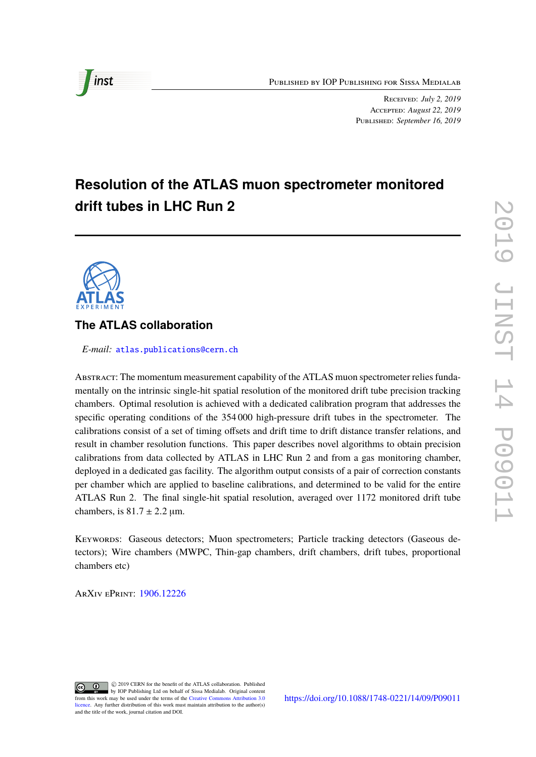Published by IOP Publishing for Sissa Medialab

Received: *July 2, 2019* Accepted: *August 22, 2019* Published: *September 16, 2019*

# **Resolution of the ATLAS muon spectrometer monitored drift tubes in LHC Run 2**



## **The ATLAS collaboration**

*E-mail:* [atlas.publications@cern.ch](mailto:atlas.publications@cern.ch)

Abstract: The momentum measurement capability of the ATLAS muon spectrometer relies fundamentally on the intrinsic single-hit spatial resolution of the monitored drift tube precision tracking chambers. Optimal resolution is achieved with a dedicated calibration program that addresses the specific operating conditions of the 354 000 high-pressure drift tubes in the spectrometer. The calibrations consist of a set of timing offsets and drift time to drift distance transfer relations, and result in chamber resolution functions. This paper describes novel algorithms to obtain precision calibrations from data collected by ATLAS in LHC Run 2 and from a gas monitoring chamber, deployed in a dedicated gas facility. The algorithm output consists of a pair of correction constants per chamber which are applied to baseline calibrations, and determined to be valid for the entire ATLAS Run 2. The final single-hit spatial resolution, averaged over 1172 monitored drift tube chambers, is  $81.7 \pm 2.2$  µm.

Keywords: Gaseous detectors; Muon spectrometers; Particle tracking detectors (Gaseous detectors); Wire chambers (MWPC, Thin-gap chambers, drift chambers, drift tubes, proportional chambers etc)

ArXiv ePrint: [1906.12226](https://arxiv.org/abs/1906.12226)

 c 2019 CERN for the benefit of the ATLAS collaboration. Published  $\overline{\circledcirc}$ by IOP Publishing Ltd on behalf of Sissa Medialab. Original content from this work may be used under the terms of the [Creative Commons Attribution 3.0](http://creativecommons.org/licenses/by/3.0/) [licence.](http://creativecommons.org/licenses/by/3.0/) Any further distribution of this work must maintain attribution to the author(s) and the title of the work, journal citation and DOI.

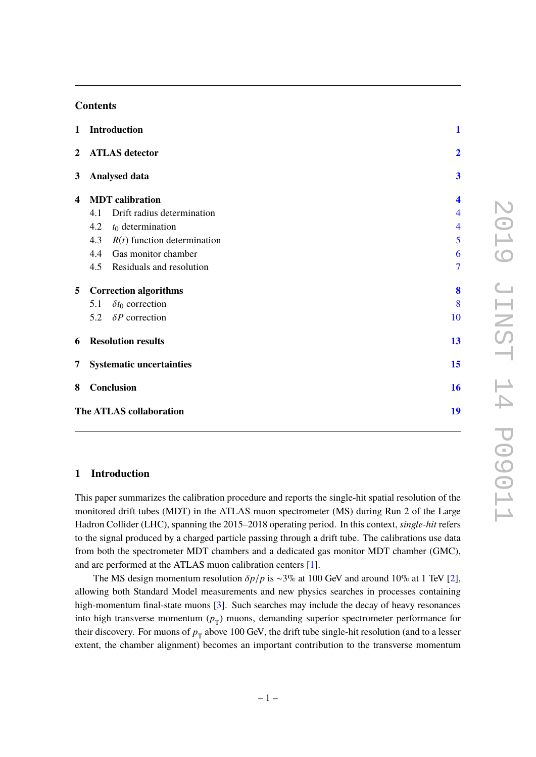## **Contents**

| 1                       | <b>Introduction</b>                  | $\mathbf{1}$             |  |
|-------------------------|--------------------------------------|--------------------------|--|
|                         | 2 ATLAS detector                     | $\overline{\mathbf{2}}$  |  |
| $\overline{\mathbf{3}}$ | <b>Analysed data</b>                 | 3                        |  |
| 4                       | <b>MDT</b> calibration               | 4                        |  |
|                         | Drift radius determination<br>4.1    | $\overline{\mathcal{A}}$ |  |
|                         | 4.2<br>$t_0$ determination           | $\overline{\mathcal{A}}$ |  |
|                         | 4.3<br>$R(t)$ function determination | 5                        |  |
|                         | 4.4 Gas monitor chamber              | 6                        |  |
|                         | 4.5<br>Residuals and resolution      | $\overline{7}$           |  |
| 5                       | <b>Correction algorithms</b>         | 8                        |  |
|                         | 5.1<br>$\delta t_0$ correction       | 8                        |  |
|                         | 5.2 $\delta P$ correction            | 10                       |  |
| 6                       | <b>Resolution results</b>            | 13                       |  |
| 7                       | <b>Systematic uncertainties</b>      | 15                       |  |
| 8                       | Conclusion                           | 16                       |  |
|                         | The ATLAS collaboration              | 19                       |  |
|                         |                                      |                          |  |

#### <span id="page-1-0"></span>**1 Introduction**

This paper summarizes the calibration procedure and reports the single-hit spatial resolution of the monitored drift tubes (MDT) in the ATLAS muon spectrometer (MS) during Run 2 of the Large Hadron Collider (LHC), spanning the 2015–2018 operating period. In this context, *single-hit* refers to the signal produced by a charged particle passing through a drift tube. The calibrations use data from both the spectrometer MDT chambers and a dedicated gas monitor MDT chamber (GMC), and are performed at the ATLAS muon calibration centers [\[1\]](#page-17-0).

The MS design momentum resolution  $\delta p/p$  is ~3% at 100 GeV and around 10% at 1 TeV [\[2\]](#page-17-1), allowing both Standard Model measurements and new physics searches in processes containing high-momentum final-state muons [\[3\]](#page-18-0). Such searches may include the decay of heavy resonances into high transverse momentum  $(p_T)$  muons, demanding superior spectrometer performance for their discovery. For muons of  $p_{\rm T}$  above 100 GeV, the drift tube single-hit resolution (and to a lesser extent, the chamber alignment) becomes an important contribution to the transverse momentum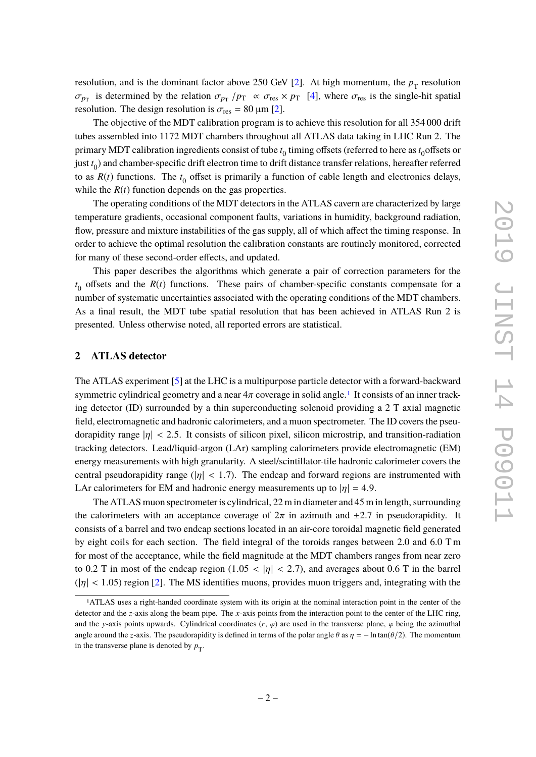resolution, and is the dominant factor above 250 GeV  $[2]$ . At high momentum, the  $p<sub>T</sub>$  resolution  $\sigma_{p_{\text{T}}}$  is determined by the relation  $\sigma_{p_{\text{T}}}$  / $p_{\text{T}} \propto \sigma_{\text{res}} \times p_{\text{T}}$  [\[4\]](#page-18-1), where  $\sigma_{\text{res}}$  is the single-hit spatial graves used the stress of  $\sigma_{\text{res}} = 80 \text{ cm}$  [3] resolution. The design resolution is  $\sigma_{res} = 80 \,\text{\mu m}$  [\[2\]](#page-17-1).

The objective of the MDT calibration program is to achieve this resolution for all 354 000 drift tubes assembled into 1172 MDT chambers throughout all ATLAS data taking in LHC Run 2. The primary MDT calibration ingredients consist of tube  $t_0$  timing offsets (referred to here as  $t_0$ offsets or just  $t_0$ ) and chamber-specific drift electron time to drift distance transfer relations, hereafter referred to as  $R(t)$  functions. The  $t<sub>0</sub>$  offset is primarily a function of cable length and electronics delays, while the  $R(t)$  function depends on the gas properties.

The operating conditions of the MDT detectors in the ATLAS cavern are characterized by large temperature gradients, occasional component faults, variations in humidity, background radiation, flow, pressure and mixture instabilities of the gas supply, all of which affect the timing response. In order to achieve the optimal resolution the calibration constants are routinely monitored, corrected for many of these second-order effects, and updated.

This paper describes the algorithms which generate a pair of correction parameters for the  $t_0$  offsets and the  $R(t)$  functions. These pairs of chamber-specific constants compensate for a number of systematic uncertainties associated with the operating conditions of the MDT chambers. As a final result, the MDT tube spatial resolution that has been achieved in ATLAS Run 2 is presented. Unless otherwise noted, all reported errors are statistical.

#### <span id="page-2-0"></span>**2 ATLAS detector**

The ATLAS experiment [\[5\]](#page-18-2) at the LHC is a multipurpose particle detector with a forward-backward symmetric cylindrical geometry and a near  $4\pi$  coverage in solid angle.<sup>[1](#page-2-1)</sup> It consists of an inner tracking detector (ID) surrounded by a thin superconducting solenoid providing a 2 T axial magnetic field, electromagnetic and hadronic calorimeters, and a muon spectrometer. The ID covers the pseudorapidity range  $|\eta| < 2.5$ . It consists of silicon pixel, silicon microstrip, and transition-radiation tracking detectors. Lead/liquid-argon (LAr) sampling calorimeters provide electromagnetic (EM) energy measurements with high granularity. A steel/scintillator-tile hadronic calorimeter covers the central pseudorapidity range ( $|\eta| < 1.7$ ). The endcap and forward regions are instrumented with LAr calorimeters for EM and hadronic energy measurements up to  $|\eta| = 4.9$ .

The ATLAS muon spectrometer is cylindrical, 22 m in diameter and 45 m in length, surrounding the calorimeters with an acceptance coverage of  $2\pi$  in azimuth and  $\pm 2.7$  in pseudorapidity. It consists of a barrel and two endcap sections located in an air-core toroidal magnetic field generated by eight coils for each section. The field integral of the toroids ranges between 2.0 and 6.0 T m for most of the acceptance, while the field magnitude at the MDT chambers ranges from near zero to 0.2 T in most of the endcap region (1.05  $<$  | $\eta$ |  $<$  2.7), and averages about 0.6 T in the barrel  $(|\eta| < 1.05)$  region [\[2\]](#page-17-1). The MS identifies muons, provides muon triggers and, integrating with the

<span id="page-2-1"></span><sup>1</sup>ATLAS uses a right-handed coordinate system with its origin at the nominal interaction point in the center of the detector and the *z*-axis along the beam pipe. The *x*-axis points from the interaction point to the center of the LHC ring, and the y-axis points upwards. Cylindrical coordinates  $(r, \varphi)$  are used in the transverse plane,  $\varphi$  being the azimuthal angle around the *z*-axis. The pseudorapidity is defined in terms of the polar angle  $\theta$  as  $\eta = -\ln \tan(\theta/2)$ . The momentum in the transverse plane is denoted by  $p_T$ .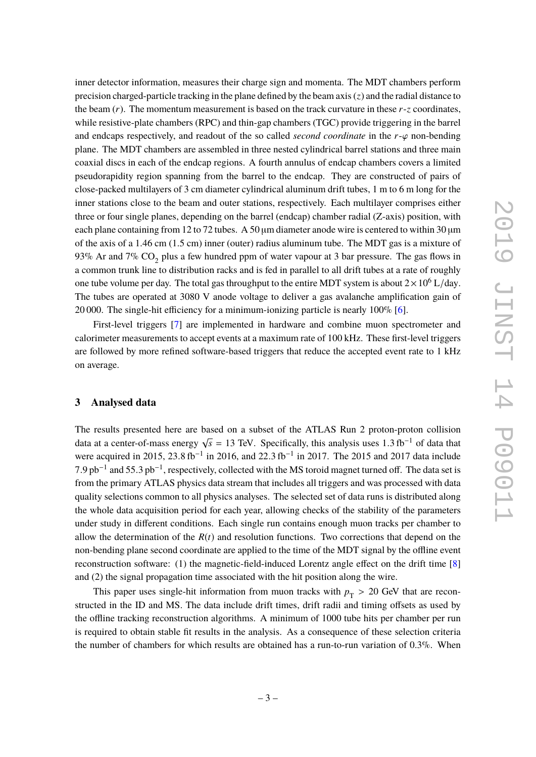inner detector information, measures their charge sign and momenta. The MDT chambers perform precision charged-particle tracking in the plane defined by the beam axis (*z*) and the radial distance to the beam (*r*). The momentum measurement is based on the track curvature in these *r*-*z* coordinates, while resistive-plate chambers (RPC) and thin-gap chambers (TGC) provide triggering in the barrel and endcaps respectively, and readout of the so called *second coordinate* in the  $r-\varphi$  non-bending plane. The MDT chambers are assembled in three nested cylindrical barrel stations and three main coaxial discs in each of the endcap regions. A fourth annulus of endcap chambers covers a limited pseudorapidity region spanning from the barrel to the endcap. They are constructed of pairs of close-packed multilayers of 3 cm diameter cylindrical aluminum drift tubes, 1 m to 6 m long for the inner stations close to the beam and outer stations, respectively. Each multilayer comprises either three or four single planes, depending on the barrel (endcap) chamber radial (Z-axis) position, with each plane containing from 12 to 72 tubes. A 50  $\mu$ m diameter anode wire is centered to within 30  $\mu$ m of the axis of a 1.46 cm (1.5 cm) inner (outer) radius aluminum tube. The MDT gas is a mixture of 93% Ar and 7%  $\mathrm{CO}_2$  plus a few hundred ppm of water vapour at 3 bar pressure. The gas flows in a common trunk line to distribution racks and is fed in parallel to all drift tubes at a rate of roughly one tube volume per day. The total gas throughput to the entire MDT system is about  $2 \times 10^6$  L/day. The tubes are operated at 3080 V anode voltage to deliver a gas avalanche amplification gain of 20 000. The single-hit efficiency for a minimum-ionizing particle is nearly 100% [\[6\]](#page-18-3).

First-level triggers [\[7\]](#page-18-4) are implemented in hardware and combine muon spectrometer and calorimeter measurements to accept events at a maximum rate of 100 kHz. These first-level triggers are followed by more refined software-based triggers that reduce the accepted event rate to 1 kHz on average.

## <span id="page-3-0"></span>**3 Analysed data**

The results presented here are based on a subset of the ATLAS Run 2 proton-proton collision data at a center-of-mass energy  $\sqrt{s}$  = 13 TeV. Specifically, this analysis uses 1.3 fb<sup>-1</sup> of data that were assumed in 2015, 22.8 fb<sup>-1</sup> in 2016, and 22.2 fb<sup>-1</sup> in 2017. The 2015 and 2017 data include were acquired in 2015, 23.8 fb<sup>-1</sup> in 2016, and 22.3 fb<sup>-1</sup> in 2017. The 2015 and 2017 data include<br> $7.0$  sh<sup>-1</sup> and 55.2 sh<sup>-1</sup>, associatively sollooted with the MS tassid weavest turned of The data ast is  $7.9 \text{ pb}^{-1}$  and  $55.3 \text{ pb}^{-1}$ , respectively, collected with the MS toroid magnet turned off. The data set is<br>from the primary ATLAS physics data stream that includes all triggers and was processed with data from the primary ATLAS physics data stream that includes all triggers and was processed with data quality selections common to all physics analyses. The selected set of data runs is distributed along the whole data acquisition period for each year, allowing checks of the stability of the parameters under study in different conditions. Each single run contains enough muon tracks per chamber to allow the determination of the  $R(t)$  and resolution functions. Two corrections that depend on the non-bending plane second coordinate are applied to the time of the MDT signal by the offline event reconstruction software: (1) the magnetic-field-induced Lorentz angle effect on the drift time [\[8\]](#page-18-5) and (2) the signal propagation time associated with the hit position along the wire.

This paper uses single-hit information from muon tracks with  $p_T > 20$  GeV that are recon-<br>ted in the ID and MS. The data include drift times, drift and include a flatte as used by structed in the ID and MS. The data include drift times, drift radii and timing offsets as used by the offline tracking reconstruction algorithms. A minimum of 1000 tube hits per chamber per run is required to obtain stable fit results in the analysis. As a consequence of these selection criteria the number of chambers for which results are obtained has a run-to-run variation of 0.3%. When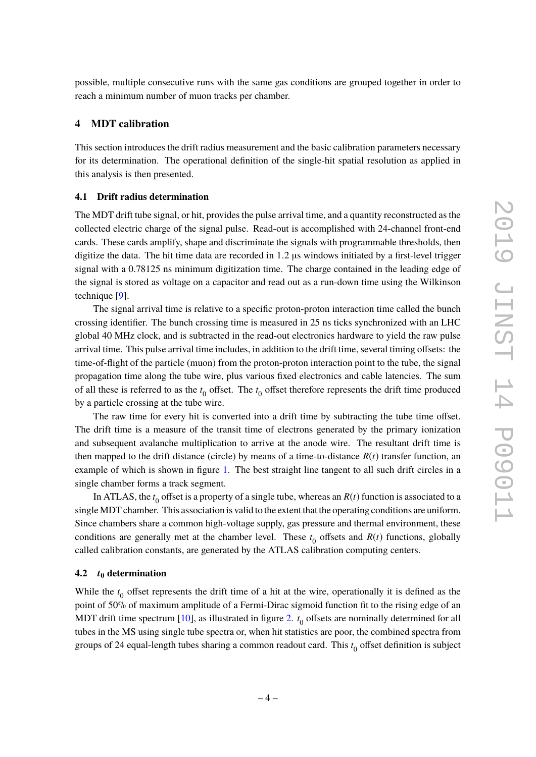possible, multiple consecutive runs with the same gas conditions are grouped together in order to reach a minimum number of muon tracks per chamber.

## <span id="page-4-0"></span>**4 MDT calibration**

This section introduces the drift radius measurement and the basic calibration parameters necessary for its determination. The operational definition of the single-hit spatial resolution as applied in this analysis is then presented.

#### <span id="page-4-1"></span>**4.1 Drift radius determination**

The MDT drift tube signal, or hit, provides the pulse arrival time, and a quantity reconstructed as the collected electric charge of the signal pulse. Read-out is accomplished with 24-channel front-end cards. These cards amplify, shape and discriminate the signals with programmable thresholds, then digitize the data. The hit time data are recorded in <sup>1</sup>.<sup>2</sup> <sup>µ</sup>s windows initiated by a first-level trigger signal with a 0.78125 ns minimum digitization time. The charge contained in the leading edge of the signal is stored as voltage on a capacitor and read out as a run-down time using the Wilkinson technique [\[9\]](#page-18-6).

The signal arrival time is relative to a specific proton-proton interaction time called the bunch crossing identifier. The bunch crossing time is measured in 25 ns ticks synchronized with an LHC global 40 MHz clock, and is subtracted in the read-out electronics hardware to yield the raw pulse arrival time. This pulse arrival time includes, in addition to the drift time, several timing offsets: the time-of-flight of the particle (muon) from the proton-proton interaction point to the tube, the signal propagation time along the tube wire, plus various fixed electronics and cable latencies. The sum of all these is referred to as the  $t_0$  offset. The  $t_0$  offset therefore represents the drift time produced by a particle crossing at the tube wire.

The raw time for every hit is converted into a drift time by subtracting the tube time offset. The drift time is a measure of the transit time of electrons generated by the primary ionization and subsequent avalanche multiplication to arrive at the anode wire. The resultant drift time is then mapped to the drift distance (circle) by means of a time-to-distance  $R(t)$  transfer function, an example of which is shown in figure [1.](#page-5-1) The best straight line tangent to all such drift circles in a single chamber forms a track segment.

In ATLAS, the  $t_0$  offset is a property of a single tube, whereas an  $R(t)$  function is associated to a single MDT chamber. This association is valid to the extent that the operating conditions are uniform. Since chambers share a common high-voltage supply, gas pressure and thermal environment, these conditions are generally met at the chamber level. These  $t_0$  offsets and  $R(t)$  functions, globally called calibration constants, are generated by the ATLAS calibration computing centers.

#### <span id="page-4-2"></span>**4.2** t**<sup>0</sup> determination**

While the  $t_0$  offset represents the drift time of a hit at the wire, operationally it is defined as the point of 50% of maximum amplitude of a Fermi-Dirac sigmoid function fit to the rising edge of an MDT drift time spectrum [\[10\]](#page-18-7), as illustrated in figure [2.](#page-5-1)  $t_0$  offsets are nominally determined for all tubes in the MS using single tube spectra or, when hit statistics are poor, the combined spectra from groups of 24 equal-length tubes sharing a common readout card. This  $t_0$  offset definition is subject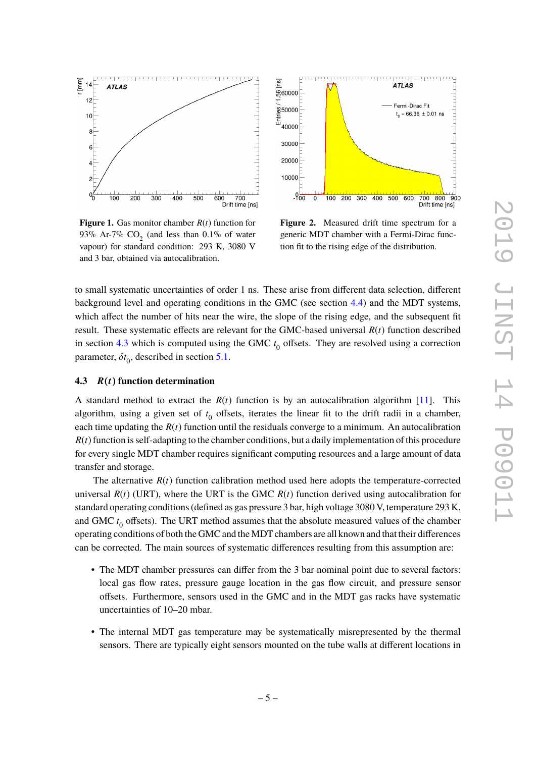<span id="page-5-1"></span>

**Figure 1.** Gas monitor chamber  $R(t)$  function for 93% Ar-7%  $CO_2$  (and less than 0.1% of water vapour) for standard condition: 293 K, 3080 V and 3 bar, obtained via autocalibration.



**Figure 2.** Measured drift time spectrum for a generic MDT chamber with a Fermi-Dirac function fit to the rising edge of the distribution.

to small systematic uncertainties of order 1 ns. These arise from different data selection, different background level and operating conditions in the GMC (see section [4.4\)](#page-6-0) and the MDT systems, which affect the number of hits near the wire, the slope of the rising edge, and the subsequent fit result. These systematic effects are relevant for the GMC-based universal *R*(*t*) function described in section  $4.3$  which is computed using the GMC  $t_0$  offsets. They are resolved using a correction parameter,  $\delta t_0$ , described in section [5.1.](#page-8-1)

#### <span id="page-5-0"></span>**4.3** R(t) **function determination**

A standard method to extract the  $R(t)$  function is by an autocalibration algorithm [\[11\]](#page-18-8). This algorithm, using a given set of  $t_0$  offsets, iterates the linear fit to the drift radii in a chamber, each time updating the *R*(*t*) function until the residuals converge to a minimum. An autocalibration  $R(t)$  function is self-adapting to the chamber conditions, but a daily implementation of this procedure for every single MDT chamber requires significant computing resources and a large amount of data transfer and storage.

The alternative  $R(t)$  function calibration method used here adopts the temperature-corrected universal  $R(t)$  (URT), where the URT is the GMC  $R(t)$  function derived using autocalibration for standard operating conditions (defined as gas pressure 3 bar, high voltage 3080 V, temperature 293 K, and GMC  $t_0$  offsets). The URT method assumes that the absolute measured values of the chamber operating conditions of both the GMC and the MDT chambers are all known and that their differences can be corrected. The main sources of systematic differences resulting from this assumption are:

- The MDT chamber pressures can differ from the 3 bar nominal point due to several factors: local gas flow rates, pressure gauge location in the gas flow circuit, and pressure sensor offsets. Furthermore, sensors used in the GMC and in the MDT gas racks have systematic uncertainties of 10–20 mbar.
- The internal MDT gas temperature may be systematically misrepresented by the thermal sensors. There are typically eight sensors mounted on the tube walls at different locations in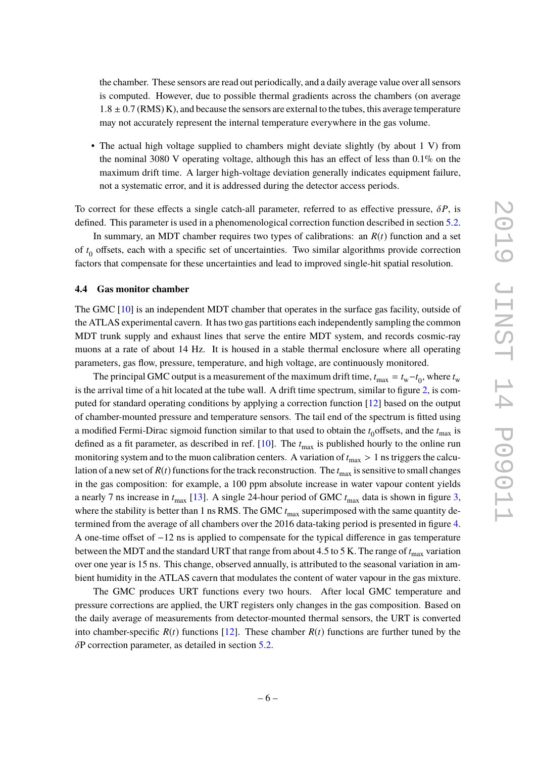the chamber. These sensors are read out periodically, and a daily average value over all sensors is computed. However, due to possible thermal gradients across the chambers (on average  $1.8 \pm 0.7$  (RMS) K), and because the sensors are external to the tubes, this average temperature may not accurately represent the internal temperature everywhere in the gas volume.

• The actual high voltage supplied to chambers might deviate slightly (by about 1 V) from the nominal 3080 V operating voltage, although this has an effect of less than 0.1% on the maximum drift time. A larger high-voltage deviation generally indicates equipment failure, not a systematic error, and it is addressed during the detector access periods.

To correct for these effects a single catch-all parameter, referred to as effective pressure,  $\delta P$ , is defined. This parameter is used in a phenomenological correction function described in section [5.2.](#page-10-0)

In summary, an MDT chamber requires two types of calibrations: an  $R(t)$  function and a set of  $t_0$  offsets, each with a specific set of uncertainties. Two similar algorithms provide correction factors that compensate for these uncertainties and lead to improved single-hit spatial resolution.

#### <span id="page-6-0"></span>**4.4 Gas monitor chamber**

The GMC [\[10\]](#page-18-7) is an independent MDT chamber that operates in the surface gas facility, outside of the ATLAS experimental cavern. It has two gas partitions each independently sampling the common MDT trunk supply and exhaust lines that serve the entire MDT system, and records cosmic-ray muons at a rate of about 14 Hz. It is housed in a stable thermal enclosure where all operating parameters, gas flow, pressure, temperature, and high voltage, are continuously monitored.

The principal GMC output is a measurement of the maximum drift time,  $t_{\text{max}} = t_{\text{w}} - t_0$ , where  $t_{\text{w}}$ is the arrival time of a hit located at the tube wall. A drift time spectrum, similar to figure [2,](#page-5-1) is computed for standard operating conditions by applying a correction function [\[12\]](#page-18-9) based on the output of chamber-mounted pressure and temperature sensors. The tail end of the spectrum is fitted using a modified Fermi-Dirac sigmoid function similar to that used to obtain the  $t_0$  offsets, and the  $t_{\text{max}}$  is defined as a fit parameter, as described in ref.  $[10]$ . The  $t_{\text{max}}$  is published hourly to the online run monitoring system and to the muon calibration centers. A variation of  $t_{\text{max}} > 1$  ns triggers the calculation of a new set of  $R(t)$  functions for the track reconstruction. The  $t_{\text{max}}$  is sensitive to small changes in the gas composition: for example, a 100 ppm absolute increase in water vapour content yields a nearly 7 ns increase in  $t_{\text{max}}$  [\[13\]](#page-18-10). A single 24-hour period of GMC  $t_{\text{max}}$  data is shown in figure [3,](#page-7-1) where the stability is better than 1 ns RMS. The GMC  $t_{\text{max}}$  superimposed with the same quantity determined from the average of all chambers over the 2016 data-taking period is presented in figure [4.](#page-7-1) A one-time offset of −12 ns is applied to compensate for the typical difference in gas temperature between the MDT and the standard URT that range from about 4.5 to 5 K. The range of  $t_{\text{max}}$  variation over one year is 15 ns. This change, observed annually, is attributed to the seasonal variation in ambient humidity in the ATLAS cavern that modulates the content of water vapour in the gas mixture.

The GMC produces URT functions every two hours. After local GMC temperature and pressure corrections are applied, the URT registers only changes in the gas composition. Based on the daily average of measurements from detector-mounted thermal sensors, the URT is converted into chamber-specific  $R(t)$  functions [\[12\]](#page-18-9). These chamber  $R(t)$  functions are further tuned by the  $\delta$ P correction parameter, as detailed in section [5.2.](#page-10-0)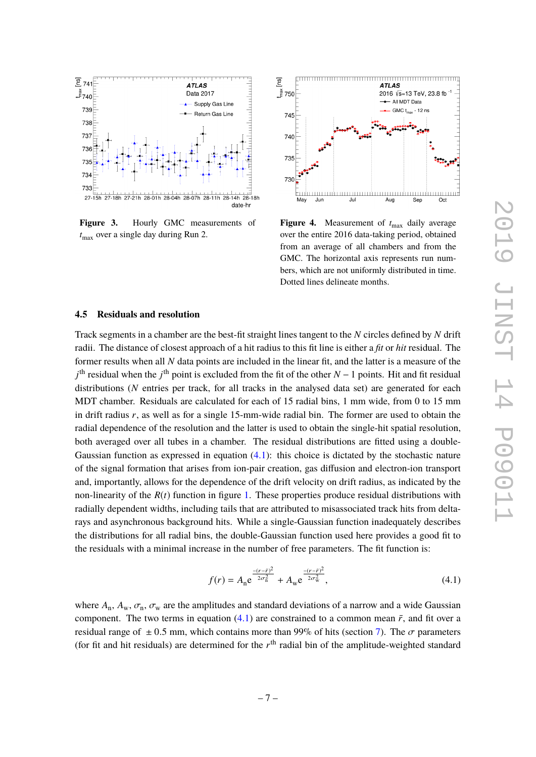<span id="page-7-1"></span>

**Figure 3.** Hourly GMC measurements of *t*max over a single day during Run 2.



**Figure 4.** Measurement of  $t_{\text{max}}$  daily average over the entire 2016 data-taking period, obtained from an average of all chambers and from the GMC. The horizontal axis represents run numbers, which are not uniformly distributed in time. Dotted lines delineate months.

#### <span id="page-7-0"></span>**4.5 Residuals and resolution**

Track segments in a chamber are the best-fit straight lines tangent to the *N* circles defined by *N* drift radii. The distance of closest approach of a hit radius to this fit line is either a *fit* or *hit* residual. The former results when all *N* data points are included in the linear fit, and the latter is a measure of the *j*<sup>th</sup> residual when the *j*<sup>th</sup> point is excluded from the fit of the other *N* − 1 points. Hit and fit residual distributions (*N* entries per track, for all tracks in the analysed data set) are generated for each MDT chamber. Residuals are calculated for each of 15 radial bins, 1 mm wide, from 0 to 15 mm in drift radius *r*, as well as for a single 15-mm-wide radial bin. The former are used to obtain the radial dependence of the resolution and the latter is used to obtain the single-hit spatial resolution, both averaged over all tubes in a chamber. The residual distributions are fitted using a double-Gaussian function as expressed in equation  $(4.1)$ : this choice is dictated by the stochastic nature of the signal formation that arises from ion-pair creation, gas diffusion and electron-ion transport and, importantly, allows for the dependence of the drift velocity on drift radius, as indicated by the non-linearity of the  $R(t)$  function in figure [1.](#page-5-1) These properties produce residual distributions with radially dependent widths, including tails that are attributed to misassociated track hits from deltarays and asynchronous background hits. While a single-Gaussian function inadequately describes the distributions for all radial bins, the double-Gaussian function used here provides a good fit to the residuals with a minimal increase in the number of free parameters. The fit function is:

<span id="page-7-2"></span>
$$
f(r) = A_n e^{\frac{-(r-\bar{r})^2}{2\sigma_n^2}} + A_w e^{\frac{-(r-\bar{r})^2}{2\sigma_w^2}},
$$
\n(4.1)

where  $A_n$ ,  $A_w$ ,  $\sigma_n$ ,  $\sigma_w$  are the amplitudes and standard deviations of a narrow and a wide Gaussian component. The true terms in equation (4.1) are constrained to a common mean  $\bar{a}$  and fit even a component. The two terms in equation [\(4.1\)](#page-7-2) are constrained to a common mean  $\bar{r}$ , and fit over a residual range of  $\pm 0.5$  mm, which contains more than 99% of hits (section [7\)](#page-15-0). The  $\sigma$  parameters (for fit and hit residuals) are determined for the  $r<sup>th</sup>$  radial bin of the amplitude-weighted standard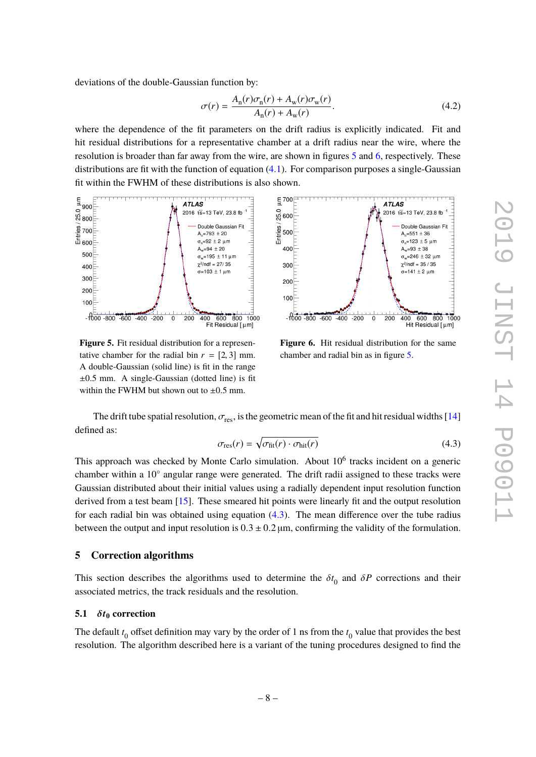deviations of the double-Gaussian function by:

<span id="page-8-4"></span>
$$
\sigma(r) = \frac{A_{\rm n}(r)\sigma_{\rm n}(r) + A_{\rm w}(r)\sigma_{\rm w}(r)}{A_{\rm n}(r) + A_{\rm w}(r)}.\tag{4.2}
$$

where the dependence of the fit parameters on the drift radius is explicitly indicated. Fit and hit residual distributions for a representative chamber at a drift radius near the wire, where the resolution is broader than far away from the wire, are shown in figures [5](#page-8-2) and [6,](#page-8-2) respectively. These distributions are fit with the function of equation  $(4.1)$ . For comparison purposes a single-Gaussian fit within the FWHM of these distributions is also shown.

<span id="page-8-2"></span>

**Figure 5.** Fit residual distribution for a representative chamber for the radial bin  $r = [2, 3]$  mm. A double-Gaussian (solid line) is fit in the range  $\pm 0.5$  mm. A single-Gaussian (dotted line) is fit within the FWHM but shown out to  $\pm 0.5$  mm.



**Figure 6.** Hit residual distribution for the same chamber and radial bin as in figure [5.](#page-8-2)

The drift tube spatial resolution,  $\sigma_{res}$ , is the geometric mean of the fit and hit residual widths [\[14\]](#page-18-11) defined as:

<span id="page-8-3"></span>
$$
\sigma_{\rm res}(r) = \sqrt{\sigma_{\rm fit}(r) \cdot \sigma_{\rm hit}(r)}\tag{4.3}
$$

This approach was checked by Monte Carlo simulation. About  $10<sup>6</sup>$  tracks incident on a generic chamber within a 10° angular range were generated. The drift radii assigned to these tracks were Gaussian distributed about their initial values using a radially dependent input resolution function derived from a test beam [\[15\]](#page-18-12). These smeared hit points were linearly fit and the output resolution for each radial bin was obtained using equation [\(4.3\)](#page-8-3). The mean difference over the tube radius between the output and input resolution is  $0.3 \pm 0.2 \,\mu$ m, confirming the validity of the formulation.

## <span id="page-8-0"></span>**5 Correction algorithms**

This section describes the algorithms used to determine the  $\delta t_0$  and  $\delta P$  corrections and their associated metrics, the track residuals and the resolution. associated metrics, the track residuals and the resolution.

### <span id="page-8-1"></span>**5.1**  $\delta t_0$  **correction**

The default  $t_0$  offset definition may vary by the order of 1 ns from the  $t_0$  value that provides the best resolution. The algorithm described here is a variant of the tuning procedures designed to find the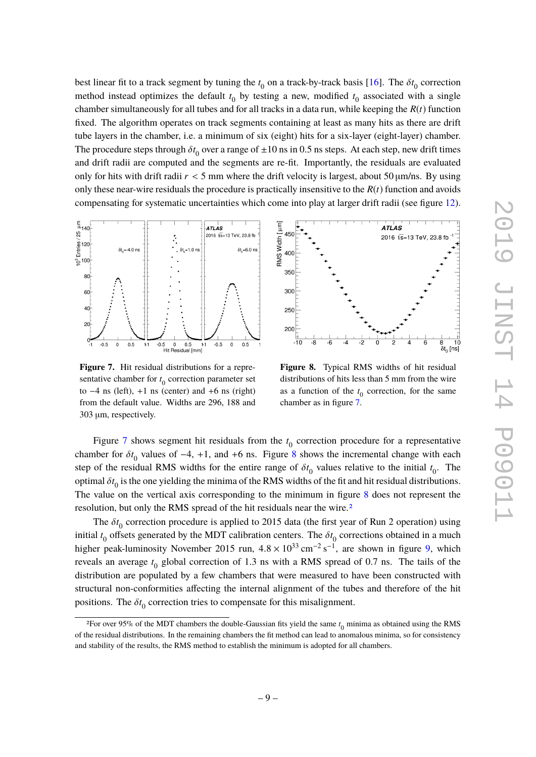best linear fit to a track segment by tuning the  $t_0$  on a track-by-track basis [\[16\]](#page-18-13). The  $\delta t_0$  correction mathed instead optimizes the default to by testing a naw madified to especiated with a single method instead optimizes the default  $t_0$  by testing a new, modified  $t_0$  associated with a single chamber simultaneously for all tubes and for all tracks in a data run, while keeping the  $R(t)$  function fixed. The algorithm operates on track segments containing at least as many hits as there are drift tube layers in the chamber, i.e. a minimum of six (eight) hits for a six-layer (eight-layer) chamber. The procedure steps through  $\delta t_0$  over a range of  $\pm 10$  ns in 0.5 ns steps. At each step, new drift times and drift radii are computed and the segments are re-fit. Importantly, the residuals are evaluated only for hits with drift radii  $r < 5$  mm where the drift velocity is largest, about 50  $\mu$ m/ns. By using only these near-wire residuals the procedure is practically insensitive to the  $R(t)$  function and avoids compensating for systematic uncertainties which come into play at larger drift radii (see figure [12\)](#page-11-0).

<span id="page-9-0"></span>

**Figure 7.** Hit residual distributions for a representative chamber for  $t_0$  correction parameter set to  $-4$  ns (left),  $+1$  ns (center) and  $+6$  ns (right) from the default value. Widths are 296, 188 and 303 µm, respectively.



**Figure 8.** Typical RMS widths of hit residual distributions of hits less than 5 mm from the wire as a function of the  $t_0$  correction, for the same chamber as in figure [7.](#page-9-0)

Figure  $7$  shows segment hit residuals from the  $t<sub>0</sub>$  correction procedure for a representative chamber for  $\delta t_0$  values of −4, +1, and +6 ns. Figure [8](#page-9-0) shows the incremental change with each change with each change with each change with each change with the special DMS widths for the entire game of  $\delta t$ , values r step of the residual RMS widths for the entire range of  $\delta t_0$  values relative to the initial  $t_0$ . The entired is the analyzible the minima of the DMS widths of the fit and hit residual distributions. optimal  $\delta t_0$  is the one yielding the minima of the RMS widths of the fit and hit residual distributions.<br>The surface on the surficel only corresponding to the minimum in figure 2, does not represent the The value on the vertical axis corresponding to the minimum in figure [8](#page-9-0) does not represent the resolution, but only the RMS spread of the hit residuals near the wire.[2](#page-9-1)

The  $\delta t_0$  correction procedure is applied to 2015 data (the first year of Run 2 operation) using  $\Delta t_0$  correction contains the MDT collibration contains. The  $\delta t_0$  corrections obtained in a much initial  $t_0$  offsets generated by the MDT calibration centers. The  $\delta t_0$  corrections obtained in a much<br>higher goals luminosity. November 2015 gun 4.8 × 10<sup>33</sup> am<sup>-2</sup> s<sup>-1</sup> are shown in frause 0, which higher peak-luminosity November 2015 run,  $4.8 \times 10^{33} \text{ cm}^{-2} \text{ s}^{-1}$ , are shown in figure [9,](#page-10-1) which<br>reveals an eventor to alghel correction of 1.2 as with a PMS entred of 0.7 as. The tails of the reveals an average  $t_0$  global correction of 1.3 ns with a RMS spread of 0.7 ns. The tails of the distribution are populated by a few chambers that were measured to have been constructed with structural non-conformities affecting the internal alignment of the tubes and therefore of the hit positions. The  $\delta t_0$  correction tries to compensate for this misalignment.

<span id="page-9-1"></span><sup>2</sup>For over 95% of the MDT chambers the double-Gaussian fits yield the same *t* 0 minima as obtained using the RMS of the residual distributions. In the remaining chambers the fit method can lead to anomalous minima, so for consistency and stability of the results, the RMS method to establish the minimum is adopted for all chambers.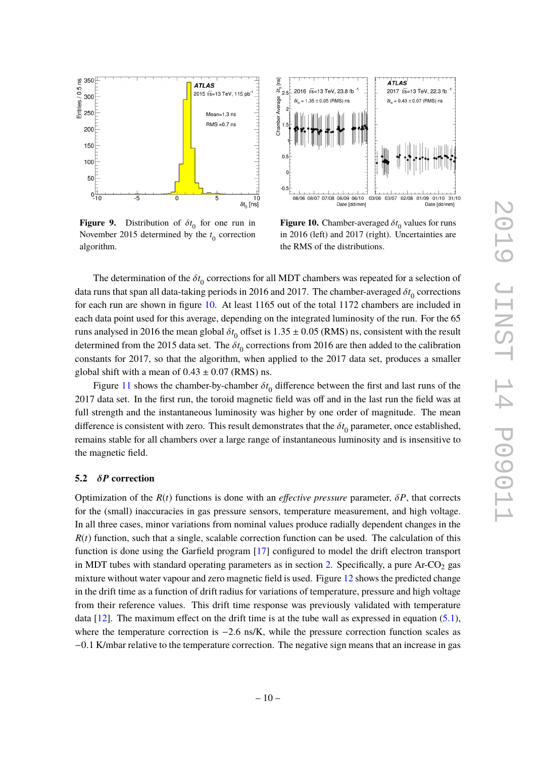<span id="page-10-1"></span>

**Figure 9.** Distribution of  $\delta t_0$  for one run in<br>November 2015 determined by the t-correction November 2015 determined by the  $t_0$  correction algorithm.



**Figure 10.** Chamber-averaged  $\delta t_0$  values for runs<br>in 2016 (left) and 2017 (right). Uncertainties are in 2016 (left) and 2017 (right). Uncertainties are the RMS of the distributions.

The determination of the  $\delta t_0$  corrections for all MDT chambers was repeated for a selection of data runs that span all data-taking periods in 2016 and 2017. The chamber-averaged  $\delta t_0$  corrections for each nun are shown in figure 10. At least 1165 out of the tatel 1172 showbers are included in for each run are shown in figure [10.](#page-10-1) At least 1165 out of the total 1172 chambers are included in each data point used for this average, depending on the integrated luminosity of the run. For the 65 runs analysed in 2016 the mean global  $\delta t_0$  offset is  $1.35 \pm 0.05$  (RMS) ns, consistent with the result<br>determined from the 2015 data set. The *St*, corrections from 2016 are then added to the solibration determined from the 2015 data set. The  $\delta t_0$  corrections from 2016 are then added to the calibration<br>constants for 2017, so that the classifien when english to the 2017 data set, produces a smaller constants for 2017, so that the algorithm, when applied to the 2017 data set, produces a smaller global shift with a mean of  $0.43 \pm 0.07$  (RMS) ns.

Figure [11](#page-11-0) shows the chamber-by-chamber  $\delta t_0$  difference between the first and last runs of the  $l$  data set. In the first win the first win the field was of said was a field was at 2017 data set. In the first run, the toroid magnetic field was off and in the last run the field was at full strength and the instantaneous luminosity was higher by one order of magnitude. The mean difference is consistent with zero. This result demonstrates that the  $\delta t_0$  parameter, once established,  $\epsilon$  and is inconsistent and is inconsistent and is inconsistent and is inconsistent and is inconsistent and is in remains stable for all chambers over a large range of instantaneous luminosity and is insensitive to the magnetic field.

#### <span id="page-10-0"></span>**5.2** δ<sup>P</sup> **correction**

Optimization of the  $R(t)$  functions is done with an *effective pressure* parameter,  $\delta P$ , that corrects for the (small) inaccuracies in gas pressure sensors, temperature measurement, and high voltage. In all three cases, minor variations from nominal values produce radially dependent changes in the  $R(t)$  function, such that a single, scalable correction function can be used. The calculation of this function is done using the Garfield program [\[17\]](#page-18-14) configured to model the drift electron transport in MDT tubes with standard operating parameters as in section [2.](#page-2-0) Specifically, a pure  $Ar-CO<sub>2</sub>$  gas mixture without water vapour and zero magnetic field is used. Figure [12](#page-11-0) shows the predicted change in the drift time as a function of drift radius for variations of temperature, pressure and high voltage from their reference values. This drift time response was previously validated with temperature data  $[12]$ . The maximum effect on the drift time is at the tube wall as expressed in equation  $(5.1)$ , where the temperature correction is  $-2.6$  ns/K, while the pressure correction function scales as <sup>−</sup>0.<sup>1</sup> K/mbar relative to the temperature correction. The negative sign means that an increase in gas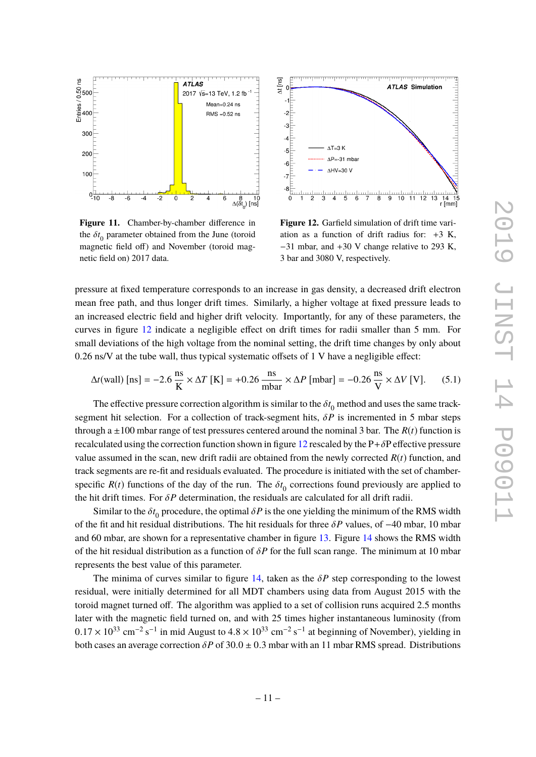<span id="page-11-0"></span>

**Figure 11.** Chamber-by-chamber difference in the  $\delta t_0$  parameter obtained from the June (toroid magnetic field off) and November (toroid magnetic magnetic field off) and November (toroid magnetic field on) 2017 data.



**Figure 12.** Garfield simulation of drift time variation as a function of drift radius for:  $+3$  K, −31 mbar, and +30 V change relative to 293 K, 3 bar and 3080 V, respectively.

pressure at fixed temperature corresponds to an increase in gas density, a decreased drift electron mean free path, and thus longer drift times. Similarly, a higher voltage at fixed pressure leads to an increased electric field and higher drift velocity. Importantly, for any of these parameters, the curves in figure [12](#page-11-0) indicate a negligible effect on drift times for radii smaller than 5 mm. For small deviations of the high voltage from the nominal setting, the drift time changes by only about 0.26 ns/V at the tube wall, thus typical systematic offsets of 1 V have a negligible effect:

<span id="page-11-1"></span>
$$
\Delta t(\text{wall}) \text{ [ns]} = -2.6 \frac{\text{ns}}{\text{K}} \times \Delta T \text{ [K]} = +0.26 \frac{\text{ns}}{\text{mbar}} \times \Delta P \text{ [mbar]} = -0.26 \frac{\text{ns}}{\text{V}} \times \Delta V \text{ [V]}.
$$
 (5.1)

The effective pressure correction algorithm is similar to the  $\delta t_0$  method and uses the same track-<br>next hit selection. For a sellection of track secure thits,  $\delta R$  is incremented in 5 mbar stars segment hit selection. For a collection of track-segment hits, δ*<sup>P</sup>* is incremented in <sup>5</sup> mbar steps through a  $\pm 100$  mbar range of test pressures centered around the nominal 3 bar. The  $R(t)$  function is recalculated using the correction function shown in figure [12](#page-11-0) rescaled by the  $P+\delta P$  effective pressure value assumed in the scan, new drift radii are obtained from the newly corrected  $R(t)$  function, and track segments are re-fit and residuals evaluated. The procedure is initiated with the set of chamberspecific  $R(t)$  functions of the day of the run. The  $\delta t_0$  corrections found previously are applied to<br>the hit drift times. For  $\delta R$  determination, the residuals are applied for all drift redii. the hit drift times. For δ*<sup>P</sup>* determination, the residuals are calculated for all drift radii.

Similar to the  $\delta t_0$  procedure, the optimal  $\delta P$  is the one yielding the minimum of the RMS width of the fit and hit residual distributions. The hit residuals for three δ*<sup>P</sup>* values, of <sup>−</sup>40 mbar, 10 mbar and 60 mbar, are shown for a representative chamber in figure [13.](#page-12-0) Figure [14](#page-12-0) shows the RMS width of the hit residual distribution as a function of δ*<sup>P</sup>* for the full scan range. The minimum at 10 mbar represents the best value of this parameter.

The minima of curves similar to figure [14,](#page-12-0) taken as the  $\delta P$  step corresponding to the lowest residual, were initially determined for all MDT chambers using data from August 2015 with the toroid magnet turned off. The algorithm was applied to a set of collision runs acquired 2.5 months later with the magnetic field turned on, and with 25 times higher instantaneous luminosity (from  $0.17 \times 10^{33}$  cm<sup>-2</sup> s<sup>-1</sup> in mid August to  $4.8 \times 10^{33}$  cm<sup>-2</sup> s<sup>-1</sup> at beginning of November), yielding in<br>heth assesses a sygmose correction  $5R$  of  $30.0 \times 0.3$  mbor with an 11 mbor PMS spreed. Distributions both cases an average correction  $\delta P$  of 30.0  $\pm$  0.3 mbar with an 11 mbar RMS spread. Distributions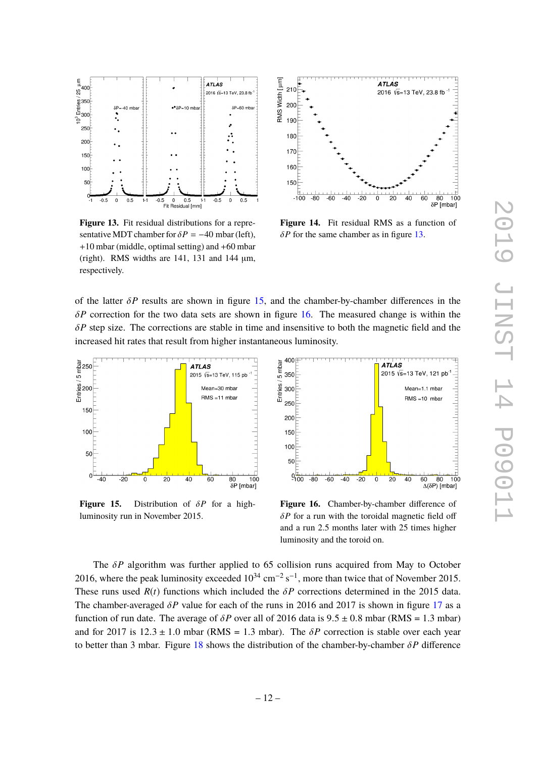<span id="page-12-0"></span>

**Figure 13.** Fit residual distributions for a representative MDT chamber for  $\delta P = -40$  mbar (left), +10 mbar (middle, optimal setting) and +60 mbar (right). RMS widths are  $141$ ,  $131$  and  $144 \mu m$ , respectively.



**Figure 14.** Fit residual RMS as a function of δ*<sup>P</sup>* for the same chamber as in figure [13.](#page-12-0)

of the latter δ*<sup>P</sup>* results are shown in figure [15,](#page-12-1) and the chamber-by-chamber differences in the  $\delta P$  correction for the two data sets are shown in figure [16.](#page-12-1) The measured change is within the δ*<sup>P</sup>* step size. The corrections are stable in time and insensitive to both the magnetic field and the increased hit rates that result from higher instantaneous luminosity.

<span id="page-12-1"></span>

**Figure 15.** Distribution of δ*<sup>P</sup>* for a highluminosity run in November 2015.



**Figure 16.** Chamber-by-chamber difference of δ*<sup>P</sup>* for a run with the toroidal magnetic field off and a run 2.5 months later with 25 times higher luminosity and the toroid on.

The δ*<sup>P</sup>* algorithm was further applied to 65 collision runs acquired from May to October 2016, where the peak luminosity exceeded  $10^{34}$  cm<sup>-2</sup> s<sup>-1</sup>, more than twice that of November 2015. These runs used  $R(t)$  functions which included the  $\delta P$  corrections determined in the 2015 data. The chamber-averaged  $\delta P$  value for each of the runs in 2016 and 20[17](#page-13-1) is shown in figure 17 as a function of run date. The average of  $\delta P$  over all of 2016 data is  $9.5 \pm 0.8$  mbar (RMS = 1.3 mbar) and for 2017 is  $12.3 \pm 1.0$  mbar (RMS = 1.3 mbar). The  $\delta P$  correction is stable over each year to better than 3 mbar. Figure [18](#page-13-1) shows the distribution of the chamber-by-chamber  $\delta P$  difference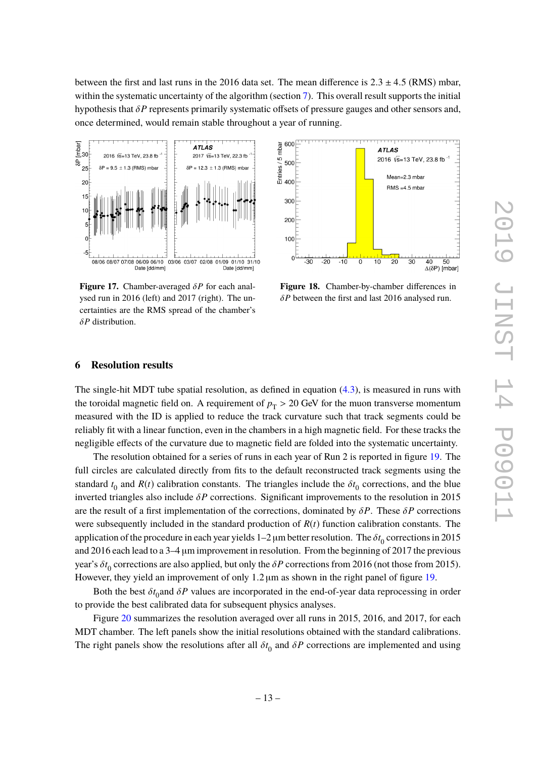between the first and last runs in the 2016 data set. The mean difference is  $2.3 \pm 4.5$  (RMS) mbar, within the systematic uncertainty of the algorithm (section [7\)](#page-15-0). This overall result supports the initial hypothesis that δ*<sup>P</sup>* represents primarily systematic offsets of pressure gauges and other sensors and, once determined, would remain stable throughout a year of running.

<span id="page-13-1"></span>

**Figure 17.** Chamber-averaged δ*<sup>P</sup>* for each analysed run in 2016 (left) and 2017 (right). The uncertainties are the RMS spread of the chamber's δ*<sup>P</sup>* distribution.



**Figure 18.** Chamber-by-chamber differences in δ*<sup>P</sup>* between the first and last 2016 analysed run.

#### <span id="page-13-0"></span>**6 Resolution results**

The single-hit MDT tube spatial resolution, as defined in equation [\(4.3\)](#page-8-3), is measured in runs with the toroidal magnetic field on. A requirement of  $p_T > 20$  GeV for the muon transverse momentum<br>measured with the ID is equiled to reduce the track symptoms such that track seconds sould be measured with the ID is applied to reduce the track curvature such that track segments could be reliably fit with a linear function, even in the chambers in a high magnetic field. For these tracks the negligible effects of the curvature due to magnetic field are folded into the systematic uncertainty.

The resolution obtained for a series of runs in each year of Run 2 is reported in figure [19.](#page-14-0) The full circles are calculated directly from fits to the default reconstructed track segments using the standard  $t_0$  and  $R(t)$  calibration constants. The triangles include the  $\delta t_0$  corrections, and the blue<br>invarted triangles also include  $\delta R$  corrections. Significant improvements to the googlution in 2015 inverted triangles also include  $\delta P$  corrections. Significant improvements to the resolution in 2015 are the result of a first implementation of the corrections, dominated by δ*P*. These δ*<sup>P</sup>* corrections were subsequently included in the standard production of *R*(*t*) function calibration constants. The application of the procedure in each year yields  $1-2 \mu m$  better resolution. The  $\delta t_0$  corrections in 2015 and 2016 each lead to a 3–4 µm improvement in resolution. From the beginning of 2017 the previous year's  $\delta t_0$  corrections are also applied, but only the  $\delta P$  corrections from 2016 (not those from 2015). However, they yield an improvement of only  $1.2 \mu m$  as shown in the right panel of figure [19.](#page-14-0)

Both the best  $\delta t_0$  and  $\delta P$  values are incorporated in the end-of-year data reprocessing in order exists the heat calibrated data for subsequent physics englises to provide the best calibrated data for subsequent physics analyses.

Figure [20](#page-14-0) summarizes the resolution averaged over all runs in 2015, 2016, and 2017, for each MDT chamber. The left panels show the initial resolutions obtained with the standard calibrations. The right panels show the resolutions after all  $\delta t_0$  and  $\delta P$  corrections are implemented and using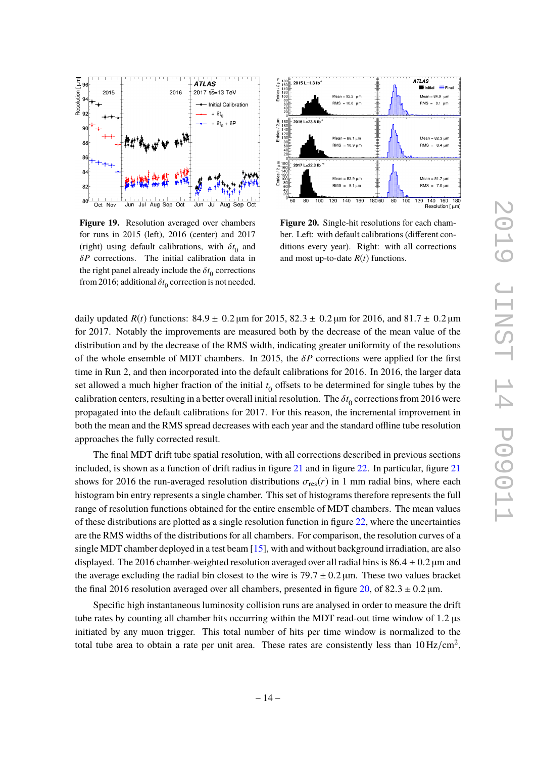<span id="page-14-0"></span>

**Figure 19.** Resolution averaged over chambers for runs in 2015 (left), 2016 (center) and 2017 (right) using default calibrations, with  $\delta t_0$  and  $\delta P$  corrections. The initial calibration data in δ*<sup>P</sup>* corrections. The initial calibration data in the right panel already include the  $\delta t_0$  corrections<br>from 2016; additional  $\delta t$ , correction is not peaded from 2016; additional  $\delta t_0$  correction is not needed.



**Figure 20.** Single-hit resolutions for each chamber. Left: with default calibrations (different conditions every year). Right: with all corrections and most up-to-date *R*(*t*) functions.

daily updated *R*(*t*) functions:  $84.9 \pm 0.2 \mu m$  for 2015,  $82.3 \pm 0.2 \mu m$  for 2016, and  $81.7 \pm 0.2 \mu m$ for 2017. Notably the improvements are measured both by the decrease of the mean value of the distribution and by the decrease of the RMS width, indicating greater uniformity of the resolutions of the whole ensemble of MDT chambers. In 2015, the δ*<sup>P</sup>* corrections were applied for the first time in Run 2, and then incorporated into the default calibrations for 2016. In 2016, the larger data set allowed a much higher fraction of the initial  $t_0$  offsets to be determined for single tubes by the calibration centers, resulting in a better overall initial resolution. The  $\delta t_0$  corrections from 2016 were propagated into the default calibrations for 2017. For this reason, the incremental improvement in both the mean and the RMS spread decreases with each year and the standard offline tube resolution approaches the fully corrected result.

The final MDT drift tube spatial resolution, with all corrections described in previous sections included, is shown as a function of drift radius in figure [21](#page-15-1) and in figure [22.](#page-15-1) In particular, figure [21](#page-15-1) shows for 2016 the run-averaged resolution distributions  $\sigma_{\text{res}}(r)$  in 1 mm radial bins, where each histogram bin entry represents a single chamber. This set of histograms therefore represents the full range of resolution functions obtained for the entire ensemble of MDT chambers. The mean values of these distributions are plotted as a single resolution function in figure [22,](#page-15-1) where the uncertainties are the RMS widths of the distributions for all chambers. For comparison, the resolution curves of a single MDT chamber deployed in a test beam  $[15]$ , with and without background irradiation, are also displayed. The 2016 chamber-weighted resolution averaged over all radial bins is  $86.4 \pm 0.2 \,\mu m$  and the average excluding the radial bin closest to the wire is  $79.7 \pm 0.2$  µm. These two values bracket the final 2016 resolution averaged over all chambers, presented in figure [20,](#page-14-0) of 82.3  $\pm$  0.2  $\mu$ m.

Specific high instantaneous luminosity collision runs are analysed in order to measure the drift tube rates by counting all chamber hits occurring within the MDT read-out time window of 1.2 us initiated by any muon trigger. This total number of hits per time window is normalized to the total tube area to obtain a rate per unit area. These rates are consistently less than  $10 \text{ Hz/cm}^2$ ,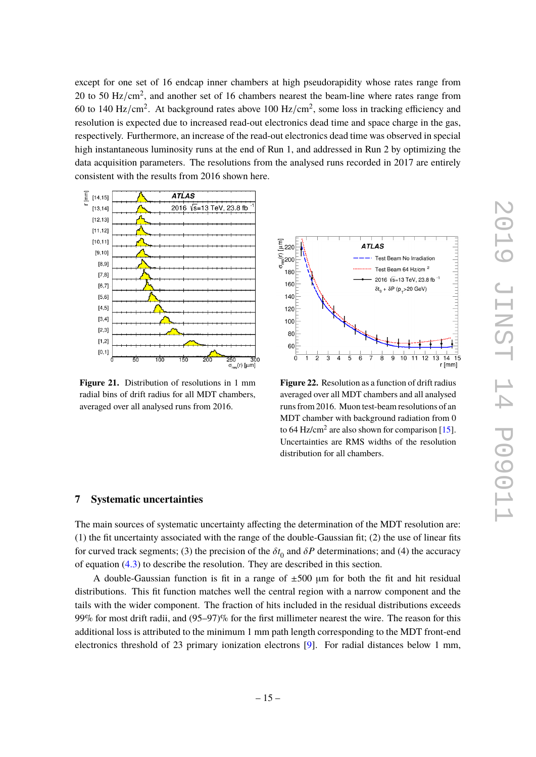except for one set of 16 endcap inner chambers at high pseudorapidity whose rates range from 20 to 50 Hz/cm<sup>2</sup>, and another set of 16 chambers nearest the beam-line where rates range from 60 to 140 Hz/cm<sup>2</sup>. At background rates above 100 Hz/cm<sup>2</sup>, some loss in tracking efficiency and resolution is expected due to increased read-out electronics dead time and space charge in the gas, respectively. Furthermore, an increase of the read-out electronics dead time was observed in special high instantaneous luminosity runs at the end of Run 1, and addressed in Run 2 by optimizing the data acquisition parameters. The resolutions from the analysed runs recorded in 2017 are entirely consistent with the results from 2016 shown here.

<span id="page-15-1"></span>

**Figure 21.** Distribution of resolutions in 1 mm radial bins of drift radius for all MDT chambers, averaged over all analysed runs from 2016.



**Figure 22.** Resolution as a function of drift radius averaged over all MDT chambers and all analysed runs from 2016. Muon test-beam resolutions of an MDT chamber with background radiation from 0 to 64 Hz/cm<sup>2</sup> are also shown for comparison [\[15\]](#page-18-12). Uncertainties are RMS widths of the resolution distribution for all chambers.

#### <span id="page-15-0"></span>**7 Systematic uncertainties**

The main sources of systematic uncertainty affecting the determination of the MDT resolution are: (1) the fit uncertainty associated with the range of the double-Gaussian fit; (2) the use of linear fits for curved track segments; (3) the precision of the  $\delta t_0$  and  $\delta P$  determinations; and (4) the accuracy of equation [\(4.3\)](#page-8-3) to describe the resolution. They are described in this section.

A double-Gaussian function is fit in a range of  $\pm 500$  µm for both the fit and hit residual distributions. This fit function matches well the central region with a narrow component and the tails with the wider component. The fraction of hits included in the residual distributions exceeds 99% for most drift radii, and (95–97)% for the first millimeter nearest the wire. The reason for this additional loss is attributed to the minimum 1 mm path length corresponding to the MDT front-end electronics threshold of 23 primary ionization electrons [\[9\]](#page-18-6). For radial distances below 1 mm,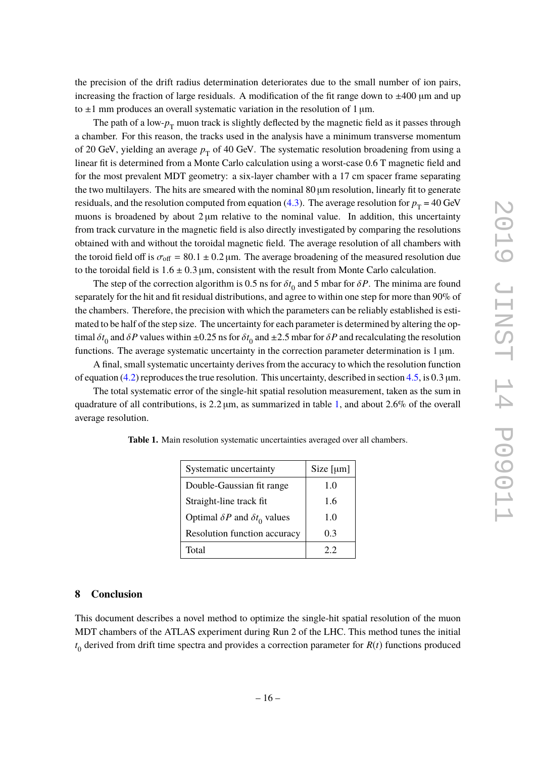the precision of the drift radius determination deteriorates due to the small number of ion pairs, increasing the fraction of large residuals. A modification of the fit range down to  $\pm 400$  µm and up to  $\pm 1$  mm produces an overall systematic variation in the resolution of 1  $\mu$ m.

The path of a low- $p_T$  muon track is slightly deflected by the magnetic field as it passes through a chamber. For this reason, the tracks used in the analysis have a minimum transverse momentum of 20 GeV, yielding an average  $p_{\text{T}}$  of 40 GeV. The systematic resolution broadening from using a linear fit is determined from a Monte Carlo calculation using a worst-case 0.6 T magnetic field and for the most prevalent MDT geometry: a six-layer chamber with a 17 cm spacer frame separating the two multilayers. The hits are smeared with the nominal 80 µm resolution, linearly fit to generate residuals, and the resolution computed from equation  $(4.3)$ . The average resolution for  $p_T = 40$  GeV muons is broadened by about  $2 \mu m$  relative to the nominal value. In addition, this uncertainty from track curvature in the magnetic field is also directly investigated by comparing the resolutions obtained with and without the toroidal magnetic field. The average resolution of all chambers with the toroid field off is  $\sigma_{\text{off}} = 80.1 \pm 0.2 \,\mu$ m. The average broadening of the measured resolution due to the toroidal field is  $1.6 \pm 0.3$  µm, consistent with the result from Monte Carlo calculation.

The step of the correction algorithm is 0.5 ns for  $\delta t_0$  and 5 mbar for  $\delta P$ . The minima are found<br>antely for the hit and fit residual distributions, and expects within one star for more than 000 of separately for the hit and fit residual distributions, and agree to within one step for more than 90% of the chambers. Therefore, the precision with which the parameters can be reliably established is estimated to be half of the step size. The uncertainty for each parameter is determined by altering the optimal  $\delta t_0$  and  $\delta P$  values within  $\pm 0.25$  ns for  $\delta t_0$  and  $\pm 2.5$  mbar for  $\delta P$  and recalculating the resolution<br>functions. The systems systematic uncertainty in the correction normator determination is 1 um. functions. The average systematic uncertainty in the correction parameter determination is  $1 \mu m$ .

A final, small systematic uncertainty derives from the accuracy to which the resolution function of equation [\(4.2\)](#page-8-4) reproduces the true resolution. This uncertainty, described in section [4.5,](#page-7-0) is 0.3  $\mu$ m.

<span id="page-16-1"></span>The total systematic error of the single-hit spatial resolution measurement, taken as the sum in quadrature of all contributions, is  $2.2 \mu m$ , as summarized in table [1,](#page-16-1) and about  $2.6\%$  of the overall average resolution.

| Systematic uncertainty                     | Size $[µm]$ |  |
|--------------------------------------------|-------------|--|
| Double-Gaussian fit range                  | 1.0         |  |
| Straight-line track fit                    | 1.6         |  |
| Optimal $\delta P$ and $\delta t_0$ values | 1.0         |  |
| Resolution function accuracy               | 0.3         |  |
| Total                                      | つつ          |  |

**Table 1.** Main resolution systematic uncertainties averaged over all chambers.

## <span id="page-16-0"></span>**8 Conclusion**

This document describes a novel method to optimize the single-hit spatial resolution of the muon MDT chambers of the ATLAS experiment during Run 2 of the LHC. This method tunes the initial *t* 0 derived from drift time spectra and provides a correction parameter for *R*(*t*) functions produced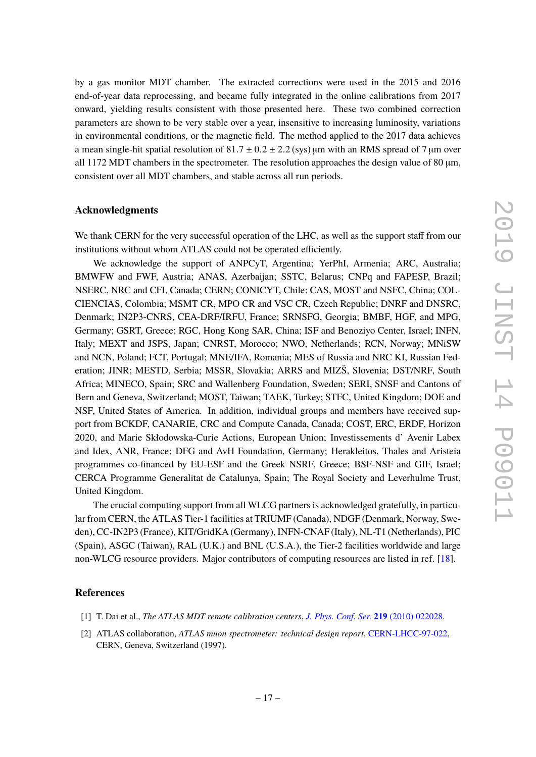by a gas monitor MDT chamber. The extracted corrections were used in the 2015 and 2016 end-of-year data reprocessing, and became fully integrated in the online calibrations from 2017 onward, yielding results consistent with those presented here. These two combined correction parameters are shown to be very stable over a year, insensitive to increasing luminosity, variations in environmental conditions, or the magnetic field. The method applied to the 2017 data achieves a mean single-hit spatial resolution of  $81.7 \pm 0.2 \pm 2.2$  (sys)  $\mu$ m with an RMS spread of 7  $\mu$ m over all  $1172$  MDT chambers in the spectrometer. The resolution approaches the design value of 80  $\mu$ m, consistent over all MDT chambers, and stable across all run periods.

#### **Acknowledgments**

We thank CERN for the very successful operation of the LHC, as well as the support staff from our institutions without whom ATLAS could not be operated efficiently.

We acknowledge the support of ANPCyT, Argentina; YerPhI, Armenia; ARC, Australia; BMWFW and FWF, Austria; ANAS, Azerbaijan; SSTC, Belarus; CNPq and FAPESP, Brazil; NSERC, NRC and CFI, Canada; CERN; CONICYT, Chile; CAS, MOST and NSFC, China; COL-CIENCIAS, Colombia; MSMT CR, MPO CR and VSC CR, Czech Republic; DNRF and DNSRC, Denmark; IN2P3-CNRS, CEA-DRF/IRFU, France; SRNSFG, Georgia; BMBF, HGF, and MPG, Germany; GSRT, Greece; RGC, Hong Kong SAR, China; ISF and Benoziyo Center, Israel; INFN, Italy; MEXT and JSPS, Japan; CNRST, Morocco; NWO, Netherlands; RCN, Norway; MNiSW and NCN, Poland; FCT, Portugal; MNE/IFA, Romania; MES of Russia and NRC KI, Russian Federation; JINR; MESTD, Serbia; MSSR, Slovakia; ARRS and MIZŠ, Slovenia; DST/NRF, South Africa; MINECO, Spain; SRC and Wallenberg Foundation, Sweden; SERI, SNSF and Cantons of Bern and Geneva, Switzerland; MOST, Taiwan; TAEK, Turkey; STFC, United Kingdom; DOE and NSF, United States of America. In addition, individual groups and members have received support from BCKDF, CANARIE, CRC and Compute Canada, Canada; COST, ERC, ERDF, Horizon 2020, and Marie Skłodowska-Curie Actions, European Union; Investissements d' Avenir Labex and Idex, ANR, France; DFG and AvH Foundation, Germany; Herakleitos, Thales and Aristeia programmes co-financed by EU-ESF and the Greek NSRF, Greece; BSF-NSF and GIF, Israel; CERCA Programme Generalitat de Catalunya, Spain; The Royal Society and Leverhulme Trust, United Kingdom.

The crucial computing support from all WLCG partners is acknowledged gratefully, in particular from CERN, the ATLAS Tier-1 facilities at TRIUMF (Canada), NDGF (Denmark, Norway, Sweden), CC-IN2P3 (France), KIT/GridKA (Germany), INFN-CNAF (Italy), NL-T1 (Netherlands), PIC (Spain), ASGC (Taiwan), RAL (U.K.) and BNL (U.S.A.), the Tier-2 facilities worldwide and large non-WLCG resource providers. Major contributors of computing resources are listed in ref. [\[18\]](#page-18-15).

#### **References**

- <span id="page-17-0"></span>[1] T. Dai et al., *The ATLAS MDT remote calibration centers*, *[J. Phys. Conf. Ser.](https://doi.org/10.1088/1742-6596/219/2/022028)* **219** (2010) 022028.
- <span id="page-17-1"></span>[2] ATLAS collaboration, *ATLAS muon spectrometer: technical design report*, [CERN-LHCC-97-022,](http://cds.cern.ch/record/331068) CERN, Geneva, Switzerland (1997).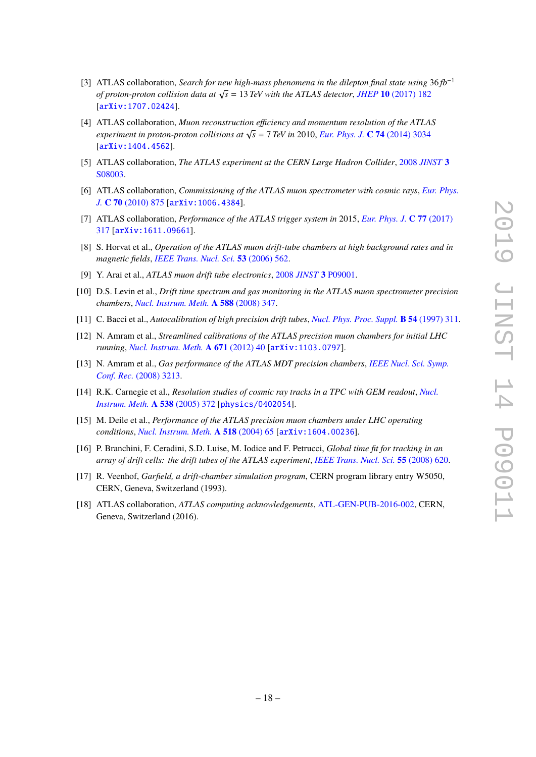- <span id="page-18-0"></span>[3] ATLAS collaboration, *Search for new high-mass phenomena in the dilepton final state using* 36 *fb*−<sup>1</sup> *of proton-proton collision data at* <sup>√</sup> *s* = 13 *TeV with the ATLAS detector*, *JHEP* **10** [\(2017\) 182](https://doi.org/10.1007/JHEP10(2017)182) [[arXiv:1707.02424](https://arxiv.org/abs/1707.02424)].
- <span id="page-18-1"></span>[4] ATLAS collaboration, *Muon reconstruction efficiency and momentum resolution of the ATLAS experiment in proton-proton collisions at* <sup>√</sup> *s* = 7 *TeV in* 2010, *[Eur. Phys. J.](https://doi.org/10.1140/epjc/s10052-014-3034-9)* **C 74** (2014) 3034 [[arXiv:1404.4562](https://arxiv.org/abs/1404.4562)].
- <span id="page-18-2"></span>[5] ATLAS collaboration, *The ATLAS experiment at the CERN Large Hadron Collider*, 2008 *[JINST](https://doi.org/10.1088/1748-0221/3/08/S08003)* **3** [S08003.](https://doi.org/10.1088/1748-0221/3/08/S08003)
- <span id="page-18-3"></span>[6] ATLAS collaboration, *Commissioning of the ATLAS muon spectrometer with cosmic rays*, *[Eur. Phys.](https://doi.org/10.1140/epjc/s10052-010-1415-2) J.* **C 70** [\(2010\) 875](https://doi.org/10.1140/epjc/s10052-010-1415-2) [[arXiv:1006.4384](https://arxiv.org/abs/1006.4384)].
- <span id="page-18-4"></span>[7] ATLAS collaboration, *Performance of the ATLAS trigger system in* 2015, *[Eur. Phys. J.](https://doi.org/10.1140/epjc/s10052-017-4852-3)* **C 77** (2017) [317](https://doi.org/10.1140/epjc/s10052-017-4852-3) [[arXiv:1611.09661](https://arxiv.org/abs/1611.09661)].
- <span id="page-18-5"></span>[8] S. Horvat et al., *Operation of the ATLAS muon drift-tube chambers at high background rates and in magnetic fields*, *[IEEE Trans. Nucl. Sci.](https://doi.org/10.1109/tns.2006.872636)* **53** (2006) 562.
- <span id="page-18-6"></span>[9] Y. Arai et al., *ATLAS muon drift tube electronics*, 2008 *JINST* **3** [P09001.](https://doi.org/10.1088/1748-0221/3/09/P09001)
- <span id="page-18-7"></span>[10] D.S. Levin et al., *Drift time spectrum and gas monitoring in the ATLAS muon spectrometer precision chambers*, *[Nucl. Instrum. Meth.](https://doi.org/10.1016/j.nima.2008.01.096)* **A 588** (2008) 347.
- <span id="page-18-8"></span>[11] C. Bacci et al., *Autocalibration of high precision drift tubes*, *[Nucl. Phys. Proc. Suppl.](https://doi.org/10.1016/s0920-5632(97)00128-x)* **B 54** (1997) 311.
- <span id="page-18-9"></span>[12] N. Amram et al., *Streamlined calibrations of the ATLAS precision muon chambers for initial LHC running*, *[Nucl. Instrum. Meth.](https://doi.org/10.1016/j.nima.2011.12.086)* **A 671** (2012) 40 [[arXiv:1103.0797](https://arxiv.org/abs/1103.0797)].
- <span id="page-18-10"></span>[13] N. Amram et al., *Gas performance of the ATLAS MDT precision chambers*, *[IEEE Nucl. Sci. Symp.](https://doi.org/10.1109/nssmic.2008.4775032) Conf. Rec.* [\(2008\) 3213.](https://doi.org/10.1109/nssmic.2008.4775032)
- <span id="page-18-11"></span>[14] R.K. Carnegie et al., *Resolution studies of cosmic ray tracks in a TPC with GEM readout*, *[Nucl.](https://doi.org/10.1016/j.nima.2004.08.132) [Instrum. Meth.](https://doi.org/10.1016/j.nima.2004.08.132)* **A 538** (2005) 372 [[physics/0402054](https://arxiv.org/abs/physics/0402054)].
- <span id="page-18-12"></span>[15] M. Deile et al., *Performance of the ATLAS precision muon chambers under LHC operating conditions*, *[Nucl. Instrum. Meth.](https://doi.org/10.1016/j.nima.2003.10.025)* **A 518** (2004) 65 [[arXiv:1604.00236](https://arxiv.org/abs/1604.00236)].
- <span id="page-18-13"></span>[16] P. Branchini, F. Ceradini, S.D. Luise, M. Iodice and F. Petrucci, *Global time fit for tracking in an array of drift cells: the drift tubes of the ATLAS experiment*, *[IEEE Trans. Nucl. Sci.](https://doi.org/10.1109/tns.2007.914020)* **55** (2008) 620.
- <span id="page-18-14"></span>[17] R. Veenhof, *Garfield, a drift-chamber simulation program*, CERN program library entry W5050, CERN, Geneva, Switzerland (1993).
- <span id="page-18-15"></span>[18] ATLAS collaboration, *ATLAS computing acknowledgements*, [ATL-GEN-PUB-2016-002,](http://cds.cern.ch/record/2202407) CERN, Geneva, Switzerland (2016).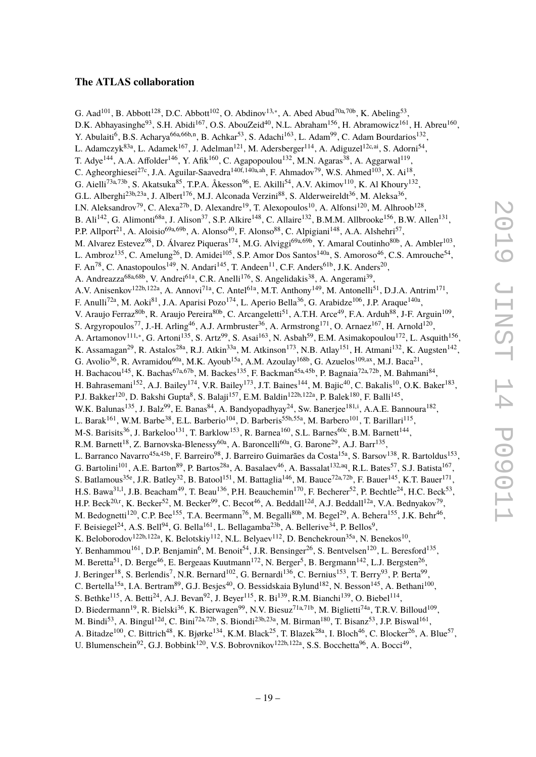## **The ATLAS collaboration**

<span id="page-19-0"></span>G. Aad<sup>101</sup>, B. Abbott<sup>128</sup>, D.C. Abbott<sup>102</sup>, O. Abdinov<sup>13,\*</sup>, A. Abed Abud<sup>70a,70b</sup>, K. Abeling<sup>53</sup>, D.K. Abhayasinghe $^{93}$ , S.H. Abidi<sup>167</sup>, O.S. AbouZeid<sup>40</sup>, N.L. Abraham<sup>156</sup>, H. Abramowicz<sup>161</sup>, H. Abreu<sup>160</sup>, Y. Abulaiti<sup>6</sup>, B.S. Acharya<sup>66a,66b,n</sup>, B. Achkar<sup>53</sup>, S. Adachi<sup>163</sup>, L. Adam<sup>99</sup>, C. Adam Bourdarios<sup>132</sup>, L. Adamczyk<sup>83a</sup>, L. Adamek<sup>167</sup>, J. Adelman<sup>121</sup>, M. Adersberger<sup>114</sup>, A. Adiguzel<sup>12c,ai</sup>, S. Adorni<sup>54</sup>, T. Adye<sup>144</sup>, A.A. Affolder<sup>146</sup>, Y. Afik<sup>160</sup>, C. Agapopoulou<sup>132</sup>, M.N. Agaras<sup>38</sup>, A. Aggarwal<sup>119</sup>, C. Agheorghiesei<sup>27c</sup>, J.A. Aguilar-Saavedra<sup>140f,140a,ah</sup>, F. Ahmadov<sup>79</sup>, W.S. Ahmed<sup>103</sup>, X. Ai<sup>18</sup>, G. Aielli<sup>73a,73b</sup>, S. Akatsuka<sup>85</sup>, T.P.A. Åkesson<sup>96</sup>, E. Akilli<sup>54</sup>, A.V. Akimov<sup>110</sup>, K. Al Khoury<sup>132</sup>, G.L. Alberghi<sup>23b,23a</sup>, J. Albert<sup>176</sup>, M.J. Alconada Verzini<sup>88</sup>, S. Alderweireldt<sup>36</sup>, M. Aleksa<sup>36</sup>, I.N. Aleksandrov<sup>79</sup>, C. Alexa<sup>27b</sup>, D. Alexandre<sup>19</sup>, T. Alexopoulos<sup>10</sup>, A. Alfonsi<sup>120</sup>, M. Alhroob<sup>128</sup>, B. Ali<sup>142</sup>, G. Alimonti<sup>68a</sup>, J. Alison<sup>37</sup>, S.P. Alkire<sup>148</sup>, C. Allaire<sup>132</sup>, B.M.M. Allbrooke<sup>156</sup>, B.W. Allen<sup>131</sup>, P.P. Allport<sup>21</sup>, A. Aloisio<sup>69a,69b</sup>, A. Alonso<sup>40</sup>, F. Alonso<sup>88</sup>, C. Alpigiani<sup>148</sup>, A.A. Alshehri<sup>57</sup>, M. Alvarez Estevez<sup>98</sup>, D. Álvarez Piqueras<sup>174</sup>, M.G. Alviggi<sup>69a,69b</sup>, Y. Amaral Coutinho<sup>80b</sup>, A. Ambler<sup>103</sup>, L. Ambroz<sup>135</sup>, C. Amelung<sup>26</sup>, D. Amidei<sup>105</sup>, S.P. Amor Dos Santos<sup>140a</sup>, S. Amoroso<sup>46</sup>, C.S. Amrouche<sup>54</sup>, F. An<sup>78</sup>, C. Anastopoulos<sup>149</sup>, N. Andari<sup>145</sup>, T. Andeen<sup>11</sup>, C.F. Anders<sup>61b</sup>, J.K. Anders<sup>20</sup>, A. Andreazza<sup>68a,68b</sup>, V. Andrei<sup>61a</sup>, C.R. Anelli<sup>176</sup>, S. Angelidakis<sup>38</sup>, A. Angerami<sup>39</sup>, A.V. Anisenkov<sup>122b,122a</sup>, A. Annovi<sup>71a</sup>, C. Antel<sup>61a</sup>, M.T. Anthony<sup>149</sup>, M. Antonelli<sup>51</sup>, D.J.A. Antrim<sup>171</sup>, F. Anulli<sup>72a</sup>, M. Aoki<sup>81</sup>, J.A. Aparisi Pozo<sup>174</sup>, L. Aperio Bella<sup>36</sup>, G. Arabidze<sup>106</sup>, J.P. Araque<sup>140a</sup>, V. Araujo Ferraz<sup>80b</sup>, R. Araujo Pereira<sup>80b</sup>, C. Arcangeletti<sup>51</sup>, A.T.H. Arce<sup>49</sup>, F.A. Arduh<sup>88</sup>, J-F. Arguin<sup>109</sup>, S. Argyropoulos<sup>77</sup>, J.-H. Arling<sup>46</sup>, A.J. Armbruster<sup>36</sup>, A. Armstrong<sup>171</sup>, O. Arnaez<sup>167</sup>, H. Arnold<sup>120</sup>, A. Artamonov<sup>111,∗</sup>, G. Artoni<sup>135</sup>, S. Artz<sup>99</sup>, S. Asai<sup>163</sup>, N. Asbah<sup>59</sup>, E.M. Asimakopoulou<sup>172</sup>, L. Asquith<sup>156</sup>, K. Assamagan<sup>29</sup>, R. Astalos<sup>28a</sup>, R.J. Atkin<sup>33a</sup>, M. Atkinson<sup>173</sup>, N.B. Atlay<sup>151</sup>, H. Atmani<sup>132</sup>, K. Augsten<sup>142</sup>, G. Avolio<sup>36</sup>, R. Avramidou<sup>60a</sup>, M.K. Ayoub<sup>15a</sup>, A.M. Azoulay<sup>168b</sup>, G. Azuelos<sup>109,ax</sup>, M.J. Baca<sup>21</sup>, H. Bachacou<sup>145</sup>, K. Bachas<sup>67a,67b</sup>, M. Backes<sup>135</sup>, F. Backman<sup>45a,45b</sup>, P. Bagnaia<sup>72a,72b</sup>, M. Bahmani<sup>84</sup>, H. Bahrasemani<sup>152</sup>, A.J. Bailey<sup>174</sup>, V.R. Bailey<sup>173</sup>, J.T. Baines<sup>144</sup>, M. Bajic<sup>40</sup>, C. Bakalis<sup>10</sup>, O.K. Baker<sup>183</sup>, P.J. Bakker<sup>120</sup>, D. Bakshi Gupta<sup>8</sup>, S. Balaji<sup>157</sup>, E.M. Baldin<sup>122b,122a</sup>, P. Balek<sup>180</sup>, F. Balli<sup>145</sup>, W.K. Balunas<sup>135</sup>, J. Balz<sup>99</sup>, E. Banas<sup>84</sup>, A. Bandyopadhyay<sup>24</sup>, Sw. Banerjee<sup>181,i</sup>, A.A.E. Bannoura<sup>182</sup>, L. Barak<sup>161</sup>, W.M. Barbe<sup>38</sup>, E.L. Barberio<sup>104</sup>, D. Barberis<sup>55b,55a</sup>, M. Barbero<sup>101</sup>, T. Barillari<sup>115</sup>, M-S. Barisits<sup>36</sup>, J. Barkeloo<sup>131</sup>, T. Barklow<sup>153</sup>, R. Barnea<sup>160</sup>, S.L. Barnes<sup>60c</sup>, B.M. Barnett<sup>144</sup>, R.M. Barnett<sup>18</sup>, Z. Barnovska-Blenessy<sup>60a</sup>, A. Baroncelli<sup>60a</sup>, G. Barone<sup>29</sup>, A.J. Barr<sup>135</sup>, L. Barranco Navarro<sup>45a,45b</sup>, F. Barreiro<sup>98</sup>, J. Barreiro Guimarães da Costa<sup>15a</sup>, S. Barsov<sup>138</sup>, R. Bartoldus<sup>153</sup>, G. Bartolini<sup>101</sup>, A.E. Barton<sup>89</sup>, P. Bartos<sup>28a</sup>, A. Basalaev<sup>46</sup>, A. Bassalat<sup>132,aq</sup>, R.L. Bates<sup>57</sup>, S.J. Batista<sup>167</sup>, S. Batlamous<sup>35e</sup>, J.R. Batley<sup>32</sup>, B. Batool<sup>151</sup>, M. Battaglia<sup>146</sup>, M. Bauce<sup>72a,72b</sup>, F. Bauer<sup>145</sup>, K.T. Bauer<sup>171</sup>, H.S. Bawa<sup>31,1</sup>, J.B. Beacham<sup>49</sup>, T. Beau<sup>136</sup>, P.H. Beauchemin<sup>170</sup>, F. Becherer<sup>52</sup>, P. Bechtle<sup>24</sup>, H.C. Beck<sup>53</sup>, H.P. Beck<sup>20,r</sup>, K. Becker<sup>52</sup>, M. Becker<sup>99</sup>, C. Becot<sup>46</sup>, A. Beddall<sup>12d</sup>, A.J. Beddall<sup>12a</sup>, V.A. Bednyakov<sup>79</sup>, M. Bedognetti<sup>120</sup>, C.P. Bee<sup>155</sup>, T.A. Beermann<sup>76</sup>, M. Begalli<sup>80b</sup>, M. Begel<sup>29</sup>, A. Behera<sup>155</sup>, J.K. Behr<sup>46</sup>, F. Beisiegel<sup>24</sup>, A.S. Bell<sup>94</sup>, G. Bella<sup>161</sup>, L. Bellagamba<sup>23b</sup>, A. Bellerive<sup>34</sup>, P. Bellos<sup>9</sup>, K. Beloborodov<sup>122b,122a</sup>, K. Belotskiy<sup>112</sup>, N.L. Belyaev<sup>112</sup>, D. Benchekroun<sup>35a</sup>, N. Benekos<sup>10</sup>, Y. Benhammou<sup>161</sup>, D.P. Benjamin<sup>6</sup>, M. Benoit<sup>54</sup>, J.R. Bensinger<sup>26</sup>, S. Bentvelsen<sup>120</sup>, L. Beresford<sup>135</sup>, M. Beretta<sup>51</sup>, D. Berge<sup>46</sup>, E. Bergeaas Kuutmann<sup>172</sup>, N. Berger<sup>5</sup>, B. Bergmann<sup>142</sup>, L.J. Bergsten<sup>26</sup>, J. Beringer<sup>18</sup>, S. Berlendis<sup>7</sup>, N.R. Bernard<sup>102</sup>, G. Bernardi<sup>136</sup>, C. Bernius<sup>153</sup>, T. Berry<sup>93</sup>, P. Berta<sup>99</sup>, C. Bertella<sup>15a</sup>, I.A. Bertram<sup>89</sup>, G.J. Besjes<sup>40</sup>, O. Bessidskaia Bylund<sup>182</sup>, N. Besson<sup>145</sup>, A. Bethani<sup>100</sup>, S. Bethke<sup>115</sup>, A. Betti<sup>24</sup>, A.J. Bevan<sup>92</sup>, J. Beyer<sup>115</sup>, R. Bi<sup>139</sup>, R.M. Bianchi<sup>139</sup>, O. Biebel<sup>114</sup>, D. Biedermann $^{19}$ , R. Bielski $^{36}$ , K. Bierwagen $^{99}$ , N.V. Biesuz $^{71a,71b}$ , M. Biglietti $^{74a}$ , T.R.V. Billoud $^{109}$ , M. Bindi<sup>53</sup>, A. Bingul<sup>12d</sup>, C. Bini<sup>72a,72b</sup>, S. Biondi<sup>23b,23a</sup>, M. Birman<sup>180</sup>, T. Bisanz<sup>53</sup>, J.P. Biswal<sup>161</sup>, A. Bitadze<sup>100</sup>, C. Bittrich<sup>48</sup>, K. Bjørke<sup>134</sup>, K.M. Black<sup>25</sup>, T. Blazek<sup>28a</sup>, I. Bloch<sup>46</sup>, C. Blocker<sup>26</sup>, A. Blue<sup>57</sup>, U. Blumenschein<sup>92</sup>, G.J. Bobbink<sup>120</sup>, V.S. Bobrovnikov<sup>122b,122a</sup>, S.S. Bocchetta<sup>96</sup>, A. Bocci<sup>49</sup>,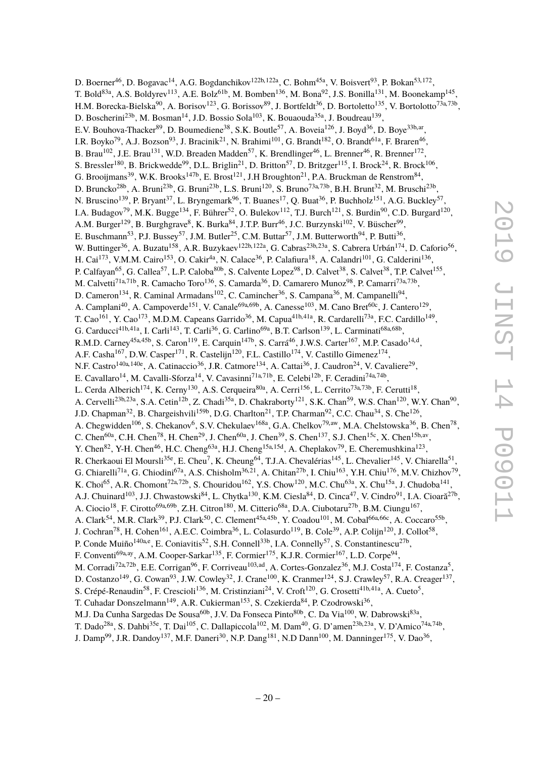D. Boerner<sup>46</sup>, D. Bogavac<sup>14</sup>, A.G. Bogdanchikov<sup>122b,122a</sup>, C. Bohm<sup>45a</sup>, V. Boisvert<sup>93</sup>, P. Bokan<sup>53,172</sup>, T. Bold $^{83a}$ , A.S. Boldyrev $^{113}$ , A.E. Bolz $^{61b}$ , M. Bomben $^{136}$ , M. Bona $^{92}$ , J.S. Bonilla $^{131}$ , M. Boonekamp $^{145}$ , H.M. Borecka-Bielska $^{90}$ , A. Borisov $^{123}$ , G. Borissov $^{89}$ , J. Bortfeldt $^{36}$ , D. Bortoletto $^{135}$ , V. Bortolotto $^{73a,73b}$ , D. Boscherini<sup>23b</sup>, M. Bosman<sup>14</sup>, J.D. Bossio Sola<sup>103</sup>, K. Bouaouda<sup>35a</sup>, J. Boudreau<sup>139</sup>, E.V. Bouhova-Thacker<sup>89</sup>, D. Boumediene<sup>38</sup>, S.K. Boutle<sup>57</sup>, A. Boveia<sup>126</sup>, J. Boyd<sup>36</sup>, D. Boye<sup>33b,ar</sup>, I.R. Boyko<sup>79</sup>, A.J. Bozson<sup>93</sup>, J. Bracinik<sup>21</sup>, N. Brahimi<sup>101</sup>, G. Brandt<sup>182</sup>, O. Brandt<sup>61a</sup>, F. Braren<sup>46</sup>, B. Brau<sup>102</sup>, J.E. Brau<sup>131</sup>, W.D. Breaden Madden<sup>57</sup>, K. Brendlinger<sup>46</sup>, L. Brenner<sup>46</sup>, R. Brenner<sup>172</sup>, S. Bressler $^{180}$ , B. Brickwedde $^{99}$ , D.L. Briglin $^{21}$ , D. Britton $^{57}$ , D. Britzger $^{115}$ , I. Brock $^{24}$ , R. Brock $^{106}$ , G. Brooijmans<sup>39</sup>, W.K. Brooks<sup>147b</sup>, E. Brost<sup>121</sup>, J.H Broughton<sup>21</sup>, P.A. Bruckman de Renstrom<sup>84</sup>, D. Bruncko<sup>28b</sup>, A. Bruni<sup>23b</sup>, G. Bruni<sup>23b</sup>, L.S. Bruni<sup>120</sup>, S. Bruno<sup>73a,73b</sup>, B.H. Brunt<sup>32</sup>, M. Bruschi<sup>23b</sup>, N. Bruscino<sup>139</sup>, P. Bryant<sup>37</sup>, L. Bryngemark<sup>96</sup>, T. Buanes<sup>17</sup>, Q. Buat<sup>36</sup>, P. Buchholz<sup>151</sup>, A.G. Buckley<sup>57</sup>, I.A. Budagov<sup>79</sup>, M.K. Bugge<sup>134</sup>, F. Bührer<sup>52</sup>, O. Bulekov<sup>112</sup>, T.J. Burch<sup>121</sup>, S. Burdin<sup>90</sup>, C.D. Burgard<sup>120</sup>, A.M. Burger<sup>129</sup>, B. Burghgrave<sup>8</sup>, K. Burka<sup>84</sup>, J.T.P. Burr<sup>46</sup>, J.C. Burzynski<sup>102</sup>, V. Büscher<sup>99</sup>, E. Buschmann<sup>53</sup>, P.J. Bussey<sup>57</sup>, J.M. Butler<sup>25</sup>, C.M. Buttar<sup>57</sup>, J.M. Butterworth<sup>94</sup>, P. Butti<sup>36</sup>, W. Buttinger<sup>36</sup>, A. Buzatu<sup>158</sup>, A.R. Buzykaev<sup>122b,122a</sup>, G. Cabras<sup>23b,23a</sup>, S. Cabrera Urbán<sup>174</sup>, D. Caforio<sup>56</sup>, H. Cai<sup>173</sup>, V.M.M. Cairo<sup>153</sup>, O. Cakir<sup>4a</sup>, N. Calace<sup>36</sup>, P. Calafiura<sup>18</sup>, A. Calandri<sup>101</sup>, G. Calderini<sup>136</sup>, P. Calfayan<sup>65</sup>, G. Callea<sup>57</sup>, L.P. Caloba<sup>80b</sup>, S. Calvente Lopez<sup>98</sup>, D. Calvet<sup>38</sup>, S. Calvet<sup>38</sup>, T.P. Calvet<sup>155</sup>, M. Calvetti<sup>71a,71b</sup>, R. Camacho Toro<sup>136</sup>, S. Camarda<sup>36</sup>, D. Camarero Munoz<sup>98</sup>, P. Camarri<sup>73a,73b</sup>, D. Cameron<sup>134</sup>, R. Caminal Armadans<sup>102</sup>, C. Camincher<sup>36</sup>, S. Campana<sup>36</sup>, M. Campanelli<sup>94</sup>, A. Camplani<sup>40</sup>, A. Campoverde<sup>151</sup>, V. Canale<sup>69a, 69b</sup>, A. Canesse<sup>103</sup>, M. Cano Bret<sup>60c</sup>, J. Cantero<sup>129</sup>, T. Cao<sup>161</sup>, Y. Cao<sup>173</sup>, M.D.M. Capeans Garrido<sup>36</sup>, M. Capua<sup>41b,41a</sup>, R. Cardarelli<sup>73a</sup>, F.C. Cardillo<sup>149</sup>, G. Carducci $^{41b,41a}$ , I. Carli $^{143}$ , T. Carli $^{36}$ , G. Carlino $^{69a}$ , B.T. Carlson $^{139}$ , L. Carminati $^{68a,68b}$ , R.M.D. Carney<sup>45a,45b</sup>, S. Caron<sup>119</sup>, E. Carquin<sup>147b</sup>, S. Carrá<sup>46</sup>, J.W.S. Carter<sup>167</sup>, M.P. Casado<sup>14,d</sup>, A.F. Casha<sup>167</sup>, D.W. Casper<sup>171</sup>, R. Castelijn<sup>120</sup>, F.L. Castillo<sup>174</sup>, V. Castillo Gimenez<sup>174</sup>, N.F. Castro<sup>140a,140e</sup>, A. Catinaccio<sup>36</sup>, J.R. Catmore<sup>134</sup>, A. Cattai<sup>36</sup>, J. Caudron<sup>24</sup>, V. Cavaliere<sup>29</sup>, E. Cavallaro<sup>14</sup>, M. Cavalli-Sforza<sup>14</sup>, V. Cavasinni<sup>71a,71b</sup>, E. Celebi<sup>12b</sup>, F. Ceradini<sup>74a,74b</sup>, L. Cerda Alberich<sup>174</sup>, K. Cerny<sup>130</sup>, A.S. Cerqueira<sup>80a</sup>, A. Cerri<sup>156</sup>, L. Cerrito<sup>73a,73b</sup>, F. Cerutti<sup>18</sup>, A. Cervelli<sup>23b,23a</sup>, S.A. Cetin<sup>12b</sup>, Z. Chadi<sup>35a</sup>, D. Chakraborty<sup>121</sup>, S.K. Chan<sup>59</sup>, W.S. Chan<sup>120</sup>, W.Y. Chan<sup>90</sup>, J.D. Chapman<sup>32</sup>, B. Chargeishvili<sup>159b</sup>, D.G. Charlton<sup>21</sup>, T.P. Charman<sup>92</sup>, C.C. Chau<sup>34</sup>, S. Che<sup>126</sup>, A. Chegwidden<sup>106</sup>, S. Chekanov<sup>6</sup>, S.V. Chekulaev<sup>168a</sup>, G.A. Chelkov<sup>79,aw</sup>, M.A. Chelstowska<sup>36</sup>, B. Chen<sup>78</sup>, C. Chen<sup>60a</sup>, C.H. Chen<sup>78</sup>, H. Chen<sup>29</sup>, J. Chen<sup>60a</sup>, J. Chen<sup>39</sup>, S. Chen<sup>137</sup>, S.J. Chen<sup>15c</sup>, X. Chen<sup>15b,av</sup>, Y. Chen<sup>82</sup>, Y-H. Chen<sup>46</sup>, H.C. Cheng<sup>63a</sup>, H.J. Cheng<sup>15a,15d</sup>, A. Cheplakov<sup>79</sup>, E. Cheremushkina<sup>123</sup>, R. Cherkaoui El Moursli<sup>35e</sup>, E. Cheu<sup>7</sup>, K. Cheung<sup>64</sup>, T.J.A. Chevalérias<sup>145</sup>, L. Chevalier<sup>145</sup>, V. Chiarella<sup>51</sup>, G. Chiarelli<sup>71a</sup>, G. Chiodini<sup>67a</sup>, A.S. Chisholm<sup>36,21</sup>, A. Chitan<sup>27b</sup>, I. Chiu<sup>163</sup>, Y.H. Chiu<sup>176</sup>, M.V. Chizhov<sup>79</sup>, K. Choi<sup>65</sup>, A.R. Chomont<sup>72a,72b</sup>, S. Chouridou<sup>162</sup>, Y.S. Chow<sup>120</sup>, M.C. Chu<sup>63a</sup>, X. Chu<sup>15a</sup>, J. Chudoba<sup>141</sup>, A.J. Chuinard<sup>103</sup>, J.J. Chwastowski<sup>84</sup>, L. Chytka<sup>130</sup>, K.M. Ciesla<sup>84</sup>, D. Cinca<sup>47</sup>, V. Cindro<sup>91</sup>, I.A. Cioară<sup>27b</sup>, A. Ciocio<sup>18</sup>, F. Cirotto<sup>69a,69b</sup>, Z.H. Citron<sup>180</sup>, M. Citterio<sup>68a</sup>, D.A. Ciubotaru<sup>27b</sup>, B.M. Ciungu<sup>167</sup>, A. Clark<sup>54</sup>, M.R. Clark<sup>39</sup>, P.J. Clark<sup>50</sup>, C. Clement<sup>45a,45b</sup>, Y. Coadou<sup>101</sup>, M. Cobal<sup>66a,66c</sup>, A. Coccaro<sup>55b</sup>, J. Cochran<sup>78</sup>, H. Cohen<sup>161</sup>, A.E.C. Coimbra<sup>36</sup>, L. Colasurdo<sup>119</sup>, B. Cole<sup>39</sup>, A.P. Colijn<sup>120</sup>, J. Collot<sup>58</sup>, P. Conde Muiño<sup>140a,e</sup>, E. Coniavitis<sup>52</sup>, S.H. Connell<sup>33b</sup>, I.A. Connelly<sup>57</sup>, S. Constantinescu<sup>27b</sup>, F. Conventi<sup>69a,ay</sup>, A.M. Cooper-Sarkar<sup>135</sup>, F. Cormier<sup>175</sup>, K.J.R. Cormier<sup>167</sup>, L.D. Corpe<sup>94</sup>, M. Corradi<sup>72a,72b</sup>, E.E. Corrigan<sup>96</sup>, F. Corriveau<sup>103,ad</sup>, A. Cortes-Gonzalez<sup>36</sup>, M.J. Costa<sup>174</sup>, F. Costanza<sup>5</sup>, D. Costanzo<sup>149</sup>, G. Cowan<sup>93</sup>, J.W. Cowley<sup>32</sup>, J. Crane<sup>100</sup>, K. Cranmer<sup>124</sup>, S.J. Crawley<sup>57</sup>, R.A. Creager<sup>137</sup>, S. Crépé-Renaudin<sup>58</sup>, F. Crescioli<sup>136</sup>, M. Cristinziani<sup>24</sup>, V. Croft<sup>120</sup>, G. Crosetti<sup>41b,41a</sup>, A. Cueto<sup>5</sup>, T. Cuhadar Donszelmann<sup>149</sup>, A.R. Cukierman<sup>153</sup>, S. Czekierda<sup>84</sup>, P. Czodrowski<sup>36</sup>, M.J. Da Cunha Sargedas De Sousa<sup>60b</sup>, J.V. Da Fonseca Pinto<sup>80b</sup>, C. Da Via<sup>100</sup>, W. Dabrowski<sup>83a</sup>,

T. Dado $^{28a}$ , S. Dahbi $^{35e}$ , T. Dai $^{105}$ , C. Dallapiccola $^{102}$ , M. Dam $^{40}$ , G. D'amen $^{23b,23a}$ , V. D'Amico $^{74a,74b}$ ,

J. Damp<sup>99</sup>, J.R. Dandoy<sup>137</sup>, M.F. Daneri<sup>30</sup>, N.P. Dang<sup>181</sup>, N.D Dann<sup>100</sup>, M. Danninger<sup>175</sup>, V. Dao<sup>36</sup>,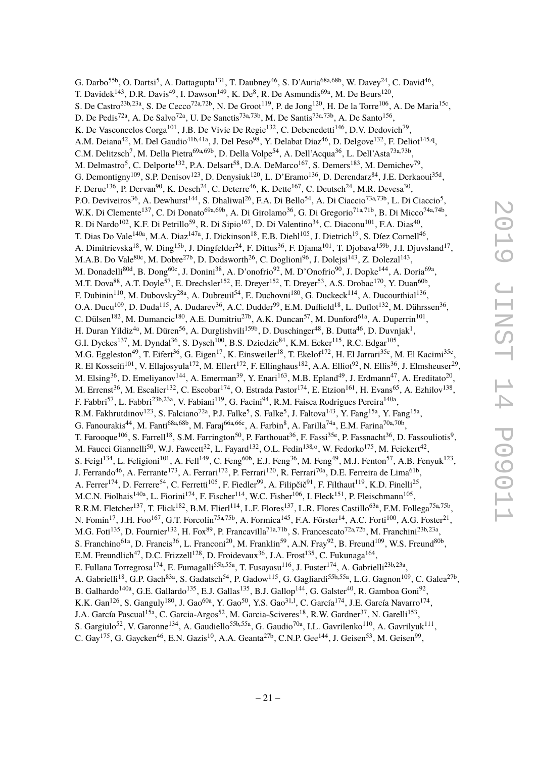G. Darbo<sup>55b</sup>, O. Dartsi<sup>5</sup>, A. Dattagupta<sup>131</sup>, T. Daubney<sup>46</sup>, S. D'Auria<sup>68a,68b</sup>, W. Davey<sup>24</sup>, C. David<sup>46</sup>, T. Davidek<sup>143</sup>, D.R. Davis<sup>49</sup>, I. Dawson<sup>149</sup>, K. De<sup>8</sup>, R. De Asmundis<sup>69a</sup>, M. De Beurs<sup>120</sup>, S. De Castro $^{23b,23a}$ , S. De Cecco $^{72a,72b}$ , N. De Groot $^{119}$ , P. de Jong $^{120}$ , H. De la Torre $^{106}$ , A. De Maria $^{15c}$ , D. De Pedis<sup>72a</sup>, A. De Salvo<sup>72a</sup>, U. De Sanctis<sup>73a,73b</sup>, M. De Santis<sup>73a,73b</sup>, A. De Santo<sup>156</sup>, K. De Vasconcelos Corga<sup>101</sup>, J.B. De Vivie De Regie<sup>132</sup>, C. Debenedetti<sup>146</sup>, D.V. Dedovich<sup>79</sup>, A.M. Deiana<sup>42</sup>, M. Del Gaudio<sup>41b,41a</sup>, J. Del Peso<sup>98</sup>, Y. Delabat Diaz<sup>46</sup>, D. Delgove<sup>132</sup>, F. Deliot<sup>145,q</sup>, C.M. Delitzsch<sup>7</sup>, M. Della Pietra<sup>69a,69b</sup>, D. Della Volpe<sup>54</sup>, A. Dell'Acqua<sup>36</sup>, L. Dell'Asta<sup>73a,73b</sup>, M. Delmastro<sup>5</sup>, C. Delporte<sup>132</sup>, P.A. Delsart<sup>58</sup>, D.A. DeMarco<sup>167</sup>, S. Demers<sup>183</sup>, M. Demichev<sup>79</sup>, G. Demontigny<sup>109</sup>, S.P. Denisov<sup>123</sup>, D. Denysiuk<sup>120</sup>, L. D'Eramo<sup>136</sup>, D. Derendarz<sup>84</sup>, J.E. Derkaoui<sup>35d</sup>, F. Derue<sup>136</sup>, P. Dervan<sup>90</sup>, K. Desch<sup>24</sup>, C. Deterre<sup>46</sup>, K. Dette<sup>167</sup>, C. Deutsch<sup>24</sup>, M.R. Devesa<sup>30</sup>, P.O. Deviveiros<sup>36</sup>, A. Dewhurst<sup>144</sup>, S. Dhaliwal<sup>26</sup>, F.A. Di Bello<sup>54</sup>, A. Di Ciaccio<sup>73a,73b</sup>, L. Di Ciaccio<sup>5</sup>, W.K. Di Clemente<sup>137</sup>, C. Di Donato<sup>69a,69b</sup>, A. Di Girolamo<sup>36</sup>, G. Di Gregorio<sup>71a,71b</sup>, B. Di Micco<sup>74a,74b</sup>, R. Di Nardo<sup>102</sup>, K.F. Di Petrillo<sup>59</sup>, R. Di Sipio<sup>167</sup>, D. Di Valentino<sup>34</sup>, C. Diaconu<sup>101</sup>, F.A. Dias<sup>40</sup>, T. Dias Do Vale $^{140\text{a}},$  M.A. Diaz $^{147\text{a}},$  J. Dickinson $^{18},$  E.B. Diehl $^{105},$  J. Dietrich $^{19},$  S. Díez Cornell $^{46},$ A. Dimitrievska<sup>18</sup>, W. Ding<sup>15b</sup>, J. Dingfelder<sup>24</sup>, F. Dittus<sup>36</sup>, F. Djama<sup>101</sup>, T. Djobava<sup>159b</sup>, J.I. Djuvsland<sup>17</sup>, M.A.B. Do Vale $^{80\rm c}$ , M. Dobre $^{27\rm b}$ , D. Dodsworth $^{26}$ , C. Doglioni $^{96}$ , J. Dolejsi $^{143}$ , Z. Dolezal $^{143}$ , M. Donadelli<sup>80d</sup>, B. Dong<sup>60c</sup>, J. Donini<sup>38</sup>, A. D'onofrio<sup>92</sup>, M. D'Onofrio<sup>90</sup>, J. Dopke<sup>144</sup>, A. Doria<sup>69a</sup>, M.T. Dova<sup>88</sup>, A.T. Doyle<sup>57</sup>, E. Drechsler<sup>152</sup>, E. Dreyer<sup>152</sup>, T. Dreyer<sup>53</sup>, A.S. Drobac<sup>170</sup>, Y. Duan<sup>60b</sup>, F. Dubinin $^{110}$ , M. Dubovsky $^{28a}$ , A. Dubreuil $^{54}$ , E. Duchovni $^{180}$ , G. Duckeck $^{114}$ , A. Ducourthial $^{136}$ , O.A. Ducu<sup>109</sup>, D. Duda<sup>115</sup>, A. Dudarev<sup>36</sup>, A.C. Dudder<sup>99</sup>, E.M. Duffield<sup>18</sup>, L. Duflot<sup>132</sup>, M. Dührssen<sup>36</sup>, C. Dülsen<sup>182</sup>, M. Dumancic<sup>180</sup>, A.E. Dumitriu<sup>27b</sup>, A.K. Duncan<sup>57</sup>, M. Dunford<sup>61a</sup>, A. Duperrin<sup>101</sup>, H. Duran Yildiz<sup>4a</sup>, M. Düren<sup>56</sup>, A. Durglishvili<sup>159b</sup>, D. Duschinger<sup>48</sup>, B. Dutta<sup>46</sup>, D. Duvnjak<sup>1</sup>, G.I. Dyckes<sup>137</sup>, M. Dyndal<sup>36</sup>, S. Dysch<sup>100</sup>, B.S. Dziedzic<sup>84</sup>, K.M. Ecker<sup>115</sup>, R.C. Edgar<sup>105</sup>, M.G. Eggleston<sup>49</sup>, T. Eifert<sup>36</sup>, G. Eigen<sup>17</sup>, K. Einsweiler<sup>18</sup>, T. Ekelof<sup>172</sup>, H. El Jarrari<sup>35e</sup>, M. El Kacimi<sup>35c</sup>, R. El Kosseifi $^{101}$ , V. Ellajosyula $^{172}$ , M. Ellert $^{172}$ , F. Ellinghaus $^{182}$ , A.A. Elliot $^{92}$ , N. Ellis $^{36}$ , J. Elmsheuser $^{29}$ , M. Elsing<sup>36</sup>, D. Emeliyanov<sup>144</sup>, A. Emerman<sup>39</sup>, Y. Enari<sup>163</sup>, M.B. Epland<sup>49</sup>, J. Erdmann<sup>47</sup>, A. Ereditato<sup>20</sup>, M. Errenst<sup>36</sup>, M. Escalier<sup>132</sup>, C. Escobar<sup>174</sup>, O. Estrada Pastor<sup>174</sup>, E. Etzion<sup>161</sup>, H. Evans<sup>65</sup>, A. Ezhilov<sup>138</sup>, F. Fabbri<sup>57</sup>, L. Fabbri<sup>23b,23a</sup>, V. Fabiani<sup>119</sup>, G. Facini<sup>94</sup>, R.M. Faisca Rodrigues Pereira<sup>140a</sup>, R.M. Fakhrutdinov<sup>123</sup>, S. Falciano<sup>72a</sup>, P.J. Falke<sup>5</sup>, S. Falke<sup>5</sup>, J. Faltova<sup>143</sup>, Y. Fang<sup>15a</sup>, Y. Fang<sup>15a</sup>, G. Fanourakis $^{44}$ , M. Fanti $^{68a,68b}$ , M. Faraj $^{66a,66c}$ , A. Farbin $^8$ , A. Farilla $^{74a}$ , E.M. Farina $^{70a,70b}$ , T. Farooque<sup>106</sup>, S. Farrell<sup>18</sup>, S.M. Farrington<sup>50</sup>, P. Farthouat<sup>36</sup>, F. Fassi<sup>35e</sup>, P. Fassnacht<sup>36</sup>, D. Fassouliotis<sup>9</sup>, M. Faucci Giannelli<sup>50</sup>, W.J. Fawcett<sup>32</sup>, L. Fayard<sup>132</sup>, O.L. Fedin<sup>138,0</sup>, W. Fedorko<sup>175</sup>, M. Feickert<sup>42</sup>, S. Feigl<sup>134</sup>, L. Feligioni<sup>101</sup>, A. Fell<sup>149</sup>, C. Feng<sup>60b</sup>, E.J. Feng<sup>36</sup>, M. Feng<sup>49</sup>, M.J. Fenton<sup>57</sup>, A.B. Fenyuk<sup>123</sup>, J. Ferrando<sup>46</sup>, A. Ferrante<sup>173</sup>, A. Ferrari<sup>172</sup>, P. Ferrari<sup>120</sup>, R. Ferrari<sup>70a</sup>, D.E. Ferreira de Lima<sup>61b</sup>, A. Ferrer<sup>174</sup>, D. Ferrere<sup>54</sup>, C. Ferretti<sup>105</sup>, F. Fiedler<sup>99</sup>, A. Filipčič<sup>91</sup>, F. Filthaut<sup>119</sup>, K.D. Finelli<sup>25</sup>, M.C.N. Fiolhais<sup>140a</sup>, L. Fiorini<sup>174</sup>, F. Fischer<sup>114</sup>, W.C. Fisher<sup>106</sup>, I. Fleck<sup>151</sup>, P. Fleischmann<sup>105</sup>, R.R.M. Fletcher $^{137}$ , T. Flick $^{182}$ , B.M. Flierl $^{114}$ , L.F. Flores $^{137}$ , L.R. Flores Castillo $^{63a}$ , F.M. Follega $^{75a,75b},$ N. Fomin<sup>17</sup>, J.H. Foo<sup>167</sup>, G.T. Forcolin<sup>75a,75b</sup>, A. Formica<sup>145</sup>, F.A. Förster<sup>14</sup>, A.C. Forti<sup>100</sup>, A.G. Foster<sup>21</sup>, M.G. Foti<sup>135</sup>, D. Fournier<sup>132</sup>, H. Fox<sup>89</sup>, P. Francavilla<sup>71a,71b</sup>, S. Francescato<sup>72a,72b</sup>, M. Franchini<sup>23b,23a</sup>, S. Franchino<sup>61a</sup>, D. Francis<sup>36</sup>, L. Franconi<sup>20</sup>, M. Franklin<sup>59</sup>, A.N. Fray<sup>92</sup>, B. Freund<sup>109</sup>, W.S. Freund<sup>80b</sup>, E.M. Freundlich<sup>47</sup>, D.C. Frizzell<sup>128</sup>, D. Froidevaux<sup>36</sup>, J.A. Frost<sup>135</sup>, C. Fukunaga<sup>164</sup>, E. Fullana Torregrosa<sup>174</sup>, E. Fumagalli<sup>55b,55a</sup>, T. Fusayasu<sup>116</sup>, J. Fuster<sup>174</sup>, A. Gabrielli<sup>23b,23a</sup>, A. Gabrielli<sup>18</sup>, G.P. Gach<sup>83a</sup>, S. Gadatsch<sup>54</sup>, P. Gadow<sup>115</sup>, G. Gagliardi<sup>55b,55a</sup>, L.G. Gagnon<sup>109</sup>, C. Galea<sup>27b</sup>, B. Galhardo $^{140a}$ , G.E. Gallardo $^{135}$ , E.J. Gallas $^{135}$ , B.J. Gallop $^{144}$ , G. Galster $^{40}$ , R. Gamboa Goni $^{92}$ , K.K. Gan<sup>126</sup>, S. Ganguly<sup>180</sup>, J. Gao<sup>60a</sup>, Y. Gao<sup>50</sup>, Y.S. Gao<sup>31,1</sup>, C. García<sup>174</sup>, J.E. García Navarro<sup>174</sup>, J.A. García Pascual<sup>15a</sup>, C. Garcia-Argos<sup>52</sup>, M. Garcia-Sciveres<sup>18</sup>, R.W. Gardner<sup>37</sup>, N. Garelli<sup>153</sup>, S. Gargiulo<sup>52</sup>, V. Garonne<sup>134</sup>, A. Gaudiello<sup>55b,55a</sup>, G. Gaudio<sup>70a</sup>, I.L. Gavrilenko<sup>110</sup>, A. Gavrilyuk<sup>111</sup>,

C. Gay<sup>175</sup>, G. Gaycken<sup>46</sup>, E.N. Gazis<sup>10</sup>, A.A. Geanta<sup>27b</sup>, C.N.P. Gee<sup>144</sup>, J. Geisen<sup>53</sup>, M. Geisen<sup>99</sup>,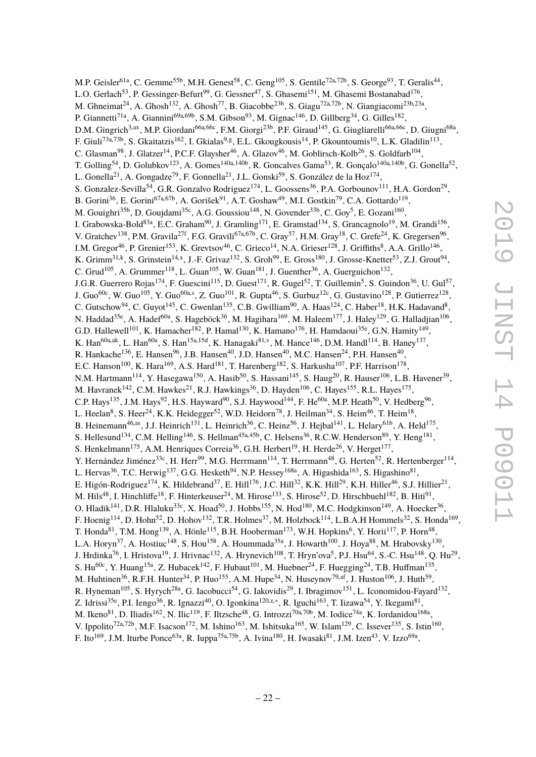M.P. Geisler<sup>61a</sup>, C. Gemme<sup>55b</sup>, M.H. Genest<sup>58</sup>, C. Geng<sup>105</sup>, S. Gentile<sup>72a,72b</sup>, S. George<sup>93</sup>, T. Geralis<sup>44</sup>, L.O. Gerlach<sup>53</sup>, P. Gessinger-Befurt<sup>99</sup>, G. Gessner<sup>47</sup>, S. Ghasemi<sup>151</sup>, M. Ghasemi Bostanabad<sup>176</sup>, M. Ghneimat<sup>24</sup>, A. Ghosh<sup>132</sup>, A. Ghosh<sup>77</sup>, B. Giacobbe<sup>23b</sup>, S. Giagu<sup>72a,72b</sup>, N. Giangiacomi<sup>23b,23a</sup>, P. Giannetti<sup>71a</sup>, A. Giannini<sup>69a,69b</sup>, S.M. Gibson<sup>93</sup>, M. Gignac<sup>146</sup>, D. Gillberg<sup>34</sup>, G. Gilles<sup>182</sup>, D.M. Gingrich<sup>3,ax</sup>, M.P. Giordani<sup>66a,66c</sup>, F.M. Giorgi<sup>23b</sup>, P.F. Giraud<sup>145</sup>, G. Giugliarelli<sup>66a,66c</sup>, D. Giugni<sup>68a</sup>, F. Giuli<sup>73a,73b</sup>, S. Gkaitatzis<sup>162</sup>, I. Gkialas<sup>9,g</sup>, E.L. Gkougkousis<sup>14</sup>, P. Gkountoumis<sup>10</sup>, L.K. Gladilin<sup>113</sup>, C. Glasman<sup>98</sup>, J. Glatzer<sup>14</sup>, P.C.F. Glaysher<sup>46</sup>, A. Glazov<sup>46</sup>, M. Goblirsch-Kolb<sup>26</sup>, S. Goldfarb<sup>104</sup>, T. Golling<sup>54</sup>, D. Golubkov<sup>123</sup>, A. Gomes<sup>140a,140b</sup>, R. Goncalves Gama<sup>53</sup>, R. Gonçalo<sup>140a,140b</sup>, G. Gonella<sup>52</sup>, L. Gonella $^{21}$ , A. Gongadze $^{79}$ , F. Gonnella $^{21}$ , J.L. Gonski $^{59}$ , S. González de la Hoz $^{174},$ S. Gonzalez-Sevilla<sup>54</sup>, G.R. Gonzalvo Rodriguez<sup>174</sup>, L. Goossens<sup>36</sup>, P.A. Gorbounov<sup>111</sup>, H.A. Gordon<sup>29</sup>, B. Gorini $^{36}$ , E. Gorini $^{67a,67b}$ , A. Gorišek $^{91}$ , A.T. Goshaw $^{49}$ , M.I. Gostkin $^{79}$ , C.A. Gottardo $^{119}$ , M. Gouighri<sup>35b</sup>, D. Goujdami<sup>35c</sup>, A.G. Goussiou<sup>148</sup>, N. Govender<sup>33b</sup>, C. Goy<sup>5</sup>, E. Gozani<sup>160</sup>, I. Grabowska-Bold $^{83a}$ , E.C. Graham $^{90}$ , J. Gramling $^{171}$ , E. Gramstad $^{134}$ , S. Grancagnolo $^{19}$ , M. Grandi $^{156}$ , V. Gratchev<sup>138</sup>, P.M. Gravila<sup>27f</sup>, F.G. Gravili<sup>67a,67b</sup>, C. Gray<sup>57</sup>, H.M. Gray<sup>18</sup>, C. Grefe<sup>24</sup>, K. Gregersen<sup>96</sup>, I.M. Gregor $^{46}$ , P. Grenier $^{153}$ , K. Grevtsov $^{46}$ , C. Grieco $^{14}$ , N.A. Grieser $^{128}$ , J. Griffiths $^8$ , A.A. Grillo $^{146}$ , K. Grimm<sup>31,k</sup>, S. Grinstein<sup>14,x</sup>, J.-F. Grivaz<sup>132</sup>, S. Groh<sup>99</sup>, E. Gross<sup>180</sup>, J. Grosse-Knetter<sup>53</sup>, Z.J. Grout<sup>94</sup>, C. Grud<sup>105</sup>, A. Grummer<sup>118</sup>, L. Guan<sup>105</sup>, W. Guan<sup>181</sup>, J. Guenther<sup>36</sup>, A. Guerguichon<sup>132</sup>, J.G.R. Guerrero Rojas<sup>174</sup>, F. Guescini<sup>115</sup>, D. Guest<sup>171</sup>, R. Gugel<sup>52</sup>, T. Guillemin<sup>5</sup>, S. Guindon<sup>36</sup>, U. Gul<sup>57</sup>, J. Guo<sup>60c</sup>, W. Guo<sup>105</sup>, Y. Guo<sup>60a,s</sup>, Z. Guo<sup>101</sup>, R. Gupta<sup>46</sup>, S. Gurbuz<sup>12c</sup>, G. Gustavino<sup>128</sup>, P. Gutierrez<sup>128</sup>, C. Gutschow<sup>94</sup>, C. Guyot<sup>145</sup>, C. Gwenlan<sup>135</sup>, C.B. Gwilliam<sup>90</sup>, A. Haas<sup>124</sup>, C. Haber<sup>18</sup>, H.K. Hadavand<sup>8</sup>, N. Haddad $^{35\text{e}},$  A. Hadef $^{60\text{a}},$  S. Hageböck $^{36},$  M. Hagihara $^{169},$  M. Haleem $^{177},$  J. Haley $^{129},$  G. Halladjian $^{106},$ G.D. Hallewell<sup>101</sup>, K. Hamacher<sup>182</sup>, P. Hamal<sup>130</sup>, K. Hamano<sup>176</sup>, H. Hamdaoui<sup>35e</sup>, G.N. Hamity<sup>149</sup>, K. Han<sup>60a, ak</sup>, L. Han<sup>60a</sup>, S. Han<sup>15a, 15d</sup>, K. Hanagaki<sup>81, v</sup>, M. Hance<sup>146</sup>, D.M. Handl<sup>114</sup>, B. Haney<sup>137</sup>, R. Hankache<sup>136</sup>, E. Hansen<sup>96</sup>, J.B. Hansen<sup>40</sup>, J.D. Hansen<sup>40</sup>, M.C. Hansen<sup>24</sup>, P.H. Hansen<sup>40</sup>, E.C. Hanson<sup>100</sup>, K. Hara<sup>169</sup>, A.S. Hard<sup>181</sup>, T. Harenberg<sup>182</sup>, S. Harkusha<sup>107</sup>, P.F. Harrison<sup>178</sup>, N.M. Hartmann<sup>114</sup>, Y. Hasegawa<sup>150</sup>, A. Hasib<sup>50</sup>, S. Hassani<sup>145</sup>, S. Haug<sup>20</sup>, R. Hauser<sup>106</sup>, L.B. Havener<sup>39</sup>, M. Havranek<sup>142</sup>, C.M. Hawkes<sup>21</sup>, R.J. Hawkings<sup>36</sup>, D. Hayden<sup>106</sup>, C. Hayes<sup>155</sup>, R.L. Hayes<sup>175</sup>, C.P. Hays<sup>135</sup>, J.M. Hays<sup>92</sup>, H.S. Hayward<sup>90</sup>, S.J. Haywood<sup>144</sup>, F. He<sup>60a</sup>, M.P. Heath<sup>50</sup>, V. Hedberg<sup>96</sup>, L. Heelan<sup>8</sup>, S. Heer<sup>24</sup>, K.K. Heidegger<sup>52</sup>, W.D. Heidorn<sup>78</sup>, J. Heilman<sup>34</sup>, S. Heim<sup>46</sup>, T. Heim<sup>18</sup>, B. Heinemann<sup>46,as</sup>, J.J. Heinrich<sup>131</sup>, L. Heinrich<sup>36</sup>, C. Heinz<sup>56</sup>, J. Hejbal<sup>141</sup>, L. Helary<sup>61b</sup>, A. Held<sup>175</sup>, S. Hellesund<sup>134</sup>, C.M. Helling<sup>146</sup>, S. Hellman<sup>45a,45b</sup>, C. Helsens<sup>36</sup>, R.C.W. Henderson<sup>89</sup>, Y. Heng<sup>181</sup>, S. Henkelmann<sup>175</sup>, A.M. Henriques Correia<sup>36</sup>, G.H. Herbert<sup>19</sup>, H. Herde<sup>26</sup>, V. Herget<sup>177</sup>, Y. Hernández Jiménez<sup>33c</sup>, H. Herr<sup>99</sup>, M.G. Herrmann<sup>114</sup>, T. Herrmann<sup>48</sup>, G. Herten<sup>52</sup>, R. Hertenberger<sup>114</sup>, L. Hervas $^{36}$ , T.C. Herwig $^{137}$ , G.G. Hesketh $^{94}$ , N.P. Hessey $^{168a}$ , A. Higashida $^{163}$ , S. Higashino $^{81}$ , E. Higón-Rodriguez<sup>174</sup>, K. Hildebrand<sup>37</sup>, E. Hill<sup>176</sup>, J.C. Hill<sup>32</sup>, K.K. Hill<sup>29</sup>, K.H. Hiller<sup>46</sup>, S.J. Hillier<sup>21</sup>, M. Hils<sup>48</sup>, I. Hinchliffe<sup>18</sup>, F. Hinterkeuser<sup>24</sup>, M. Hirose<sup>133</sup>, S. Hirose<sup>52</sup>, D. Hirschbuehl<sup>182</sup>, B. Hiti<sup>91</sup>, O. Hladik $^{141}$ , D.R. Hlaluku $^{33c}$ , X. Hoad $^{50}$ , J. Hobbs $^{155}$ , N. Hod $^{180}$ , M.C. Hodgkinson $^{149}$ , A. Hoecker $^{36}$ , F. Hoenig<sup>114</sup>, D. Hohn<sup>52</sup>, D. Hohov<sup>132</sup>, T.R. Holmes<sup>37</sup>, M. Holzbock<sup>114</sup>, L.B.A.H Hommels<sup>32</sup>, S. Honda<sup>169</sup>, T. Honda<sup>81</sup>, T.M. Hong<sup>139</sup>, A. Hönle<sup>115</sup>, B.H. Hooberman<sup>173</sup>, W.H. Hopkins<sup>6</sup>, Y. Horii<sup>117</sup>, P. Horn<sup>48</sup>, L.A. Horyn $^{37}$ , A. Hostiuc $^{148}$ , S. Hou $^{158}$ , A. Hoummada $^{35a}$ , J. Howarth $^{100}$ , J. Hoya $^{88}$ , M. Hrabovsky $^{130}$ , J. Hrdinka<sup>76</sup>, I. Hristova<sup>19</sup>, J. Hrivnac<sup>132</sup>, A. Hrynevich<sup>108</sup>, T. Hryn'ova<sup>5</sup>, P.J. Hsu<sup>64</sup>, S.-C. Hsu<sup>148</sup>, Q. Hu<sup>29</sup>, S. Hu<sup>60c</sup>, Y. Huang<sup>15a</sup>, Z. Hubacek<sup>142</sup>, F. Hubaut<sup>101</sup>, M. Huebner<sup>24</sup>, F. Huegging<sup>24</sup>, T.B. Huffman<sup>135</sup>, M. Huhtinen $^{36}$ , R.F.H. Hunter $^{34}$ , P. Huo $^{155}$ , A.M. Hupe $^{34}$ , N. Huseynov $^{79,af}$ , J. Huston $^{106}$ , J. Huth $^{59}$ , R. Hyneman<sup>105</sup>, S. Hyrych<sup>28a</sup>, G. Iacobucci<sup>54</sup>, G. Iakovidis<sup>29</sup>, I. Ibragimov<sup>151</sup>, L. Iconomidou-Fayard<sup>132</sup>, Z. Idrissi<sup>35e</sup>, P.I. Iengo<sup>36</sup>, R. Ignazzi<sup>40</sup>, O. Igonkina<sup>120,z,\*</sup>, R. Iguchi<sup>163</sup>, T. Iizawa<sup>54</sup>, Y. Ikegami<sup>81</sup>, M. Ikeno $^{81}$ , D. Iliadis $^{162}$ , N. Ilic $^{119}$ , F. Iltzsche $^{48}$ , G. Introzzi $^{70a,70b}$ , M. Iodice $^{74a}$ , K. Iordanidou $^{168a}$ , V. Ippolito<sup>72a,72b</sup>, M.F. Isacson<sup>172</sup>, M. Ishino<sup>163</sup>, M. Ishitsuka<sup>165</sup>, W. Islam<sup>129</sup>, C. Issever<sup>135</sup>, S. Istin<sup>160</sup>,

F. Ito<sup>169</sup>, J.M. Iturbe Ponce<sup>63a</sup>, R. Iuppa<sup>75a,75b</sup>, A. Ivina<sup>180</sup>, H. Iwasaki<sup>81</sup>, J.M. Izen<sup>43</sup>, V. Izzo<sup>69a</sup>,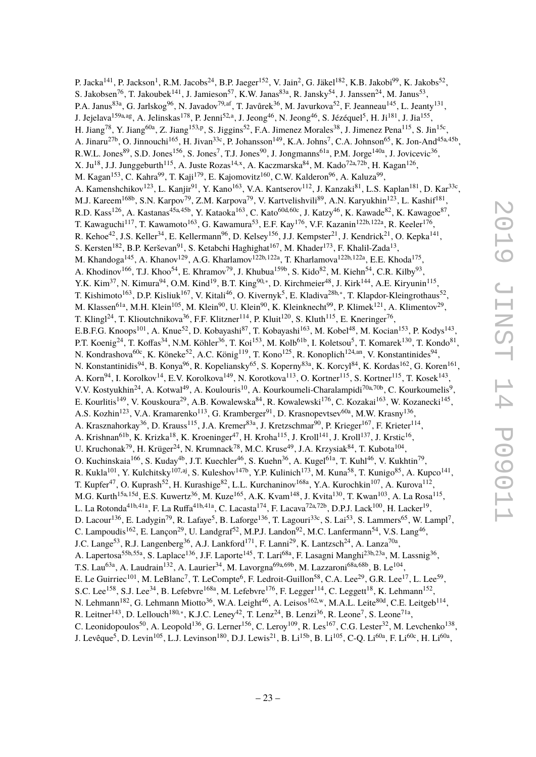P. Jacka<sup>141</sup>, P. Jackson<sup>1</sup>, R.M. Jacobs<sup>24</sup>, B.P. Jaeger<sup>152</sup>, V. Jain<sup>2</sup>, G. Jäkel<sup>182</sup>, K.B. Jakobi<sup>99</sup>, K. Jakobs<sup>52</sup>, S. Jakobsen<sup>76</sup>, T. Jakoubek<sup>141</sup>, J. Jamieson<sup>57</sup>, K.W. Janas<sup>83a</sup>, R. Jansky<sup>54</sup>, J. Janssen<sup>24</sup>, M. Janus<sup>53</sup>, P.A. Janus<sup>83a</sup>, G. Jarlskog<sup>96</sup>, N. Javadov<sup>79,af</sup>, T. Javůrek<sup>36</sup>, M. Javurkova<sup>52</sup>, F. Jeanneau<sup>145</sup>, L. Jeanty<sup>131</sup>, J. Jejelava $^{159a,ag}$ , A. Jelinskas $^{178}$ , P. Jenni $^{52,a}$ , J. Je $\text{ong}^{46}$ , N. J $\text{eong}^{46}$ , S. Jézéquel $^5$ , H. Ji $^{181}$ , J. Jia $^{155}$ , H. Jiang<sup>78</sup>, Y. Jiang<sup>60a</sup>, Z. Jiang<sup>153,p</sup>, S. Jiggins<sup>52</sup>, F.A. Jimenez Morales<sup>38</sup>, J. Jimenez Pena<sup>115</sup>, S. Jin<sup>15c</sup>, A. Jinaru<sup>27b</sup>, O. Jinnouchi<sup>165</sup>, H. Jivan<sup>33c</sup>, P. Johansson<sup>149</sup>, K.A. Johns<sup>7</sup>, C.A. Johnson<sup>65</sup>, K. Jon-And<sup>45a,45b</sup>, R.W.L. Jones<sup>89</sup>, S.D. Jones<sup>156</sup>, S. Jones<sup>7</sup>, T.J. Jones<sup>90</sup>, J. Jongmanns<sup>61a</sup>, P.M. Jorge<sup>140a</sup>, J. Jovicevic<sup>36</sup>, X. Ju<sup>18</sup>, J.J. Junggeburth<sup>115</sup>, A. Juste Rozas<sup>14,x</sup>, A. Kaczmarska<sup>84</sup>, M. Kado<sup>72a,72b</sup>, H. Kagan<sup>126</sup>, M. Kagan<sup>153</sup>, C. Kahra<sup>99</sup>, T. Kaji<sup>179</sup>, E. Kajomovitz<sup>160</sup>, C.W. Kalderon<sup>96</sup>, A. Kaluza<sup>99</sup>, A. Kamenshchikov<sup>123</sup>, L. Kanjir<sup>91</sup>, Y. Kano<sup>163</sup>, V.A. Kantserov<sup>112</sup>, J. Kanzaki<sup>81</sup>, L.S. Kaplan<sup>181</sup>, D. Kar<sup>33c</sup>, M.J. Kareem<sup>168b</sup>, S.N. Karpov<sup>79</sup>, Z.M. Karpova<sup>79</sup>, V. Kartvelishvili<sup>89</sup>, A.N. Karyukhin<sup>123</sup>, L. Kashif<sup>181</sup>, R.D. Kass<sup>126</sup>, A. Kastanas<sup>45a,45b</sup>, Y. Kataoka<sup>163</sup>, C. Kato<sup>60d,60c</sup>, J. Katzy<sup>46</sup>, K. Kawade<sup>82</sup>, K. Kawagoe<sup>87</sup>, T. Kawaguchi<sup>117</sup>, T. Kawamoto<sup>163</sup>, G. Kawamura<sup>53</sup>, E.F. Kay<sup>176</sup>, V.F. Kazanin<sup>122b,122a</sup>, R. Keeler<sup>176</sup>, R. Kehoe $^{42}$ , J.S. Keller $^{34}$ , E. Kellermann $^{96}$ , D. Kelsey $^{156}$ , J.J. Kempster $^{21}$ , J. Kendrick $^{21}$ , O. Kepka $^{141}$ , S. Kersten<sup>182</sup>, B.P. Kerševan<sup>91</sup>, S. Ketabchi Haghighat<sup>167</sup>, M. Khader<sup>173</sup>, F. Khalil-Zada<sup>13</sup>, M. Khandoga $^{145}$ , A. Khanov $^{129}$ , A.G. Kharlamov $^{122b,122a}$ , T. Kharlamova $^{122b,122a}$ , E.E. Khoda $^{175}$ , A. Khodinov<sup>166</sup>, T.J. Khoo<sup>54</sup>, E. Khramov<sup>79</sup>, J. Khubua<sup>159b</sup>, S. Kido<sup>82</sup>, M. Kiehn<sup>54</sup>, C.R. Kilby<sup>93</sup>, Y.K. Kim<sup>37</sup>, N. Kimura<sup>94</sup>, O.M. Kind<sup>19</sup>, B.T. King<sup>90,\*</sup>, D. Kirchmeier<sup>48</sup>, J. Kirk<sup>144</sup>, A.E. Kiryunin<sup>115</sup>, T. Kishimoto<sup>163</sup>, D.P. Kisliuk<sup>167</sup>, V. Kitali<sup>46</sup>, O. Kivernyk<sup>5</sup>, E. Kladiva<sup>28b,</sup>\*, T. Klapdor-Kleingrothaus<sup>52</sup>, M. Klassen<sup>61a</sup>, M.H. Klein<sup>105</sup>, M. Klein<sup>90</sup>, U. Klein<sup>90</sup>, K. Kleinknecht<sup>99</sup>, P. Klimek<sup>121</sup>, A. Klimentov<sup>29</sup>, T. Klingl<sup>24</sup>, T. Klioutchnikova<sup>36</sup>, F.F. Klitzner<sup>114</sup>, P. Kluit<sup>120</sup>, S. Kluth<sup>115</sup>, E. Kneringer<sup>76</sup>, E.B.F.G. Knoops<sup>101</sup>, A. Knue<sup>52</sup>, D. Kobayashi<sup>87</sup>, T. Kobayashi<sup>163</sup>, M. Kobel<sup>48</sup>, M. Kocian<sup>153</sup>, P. Kodys<sup>143</sup>, P.T. Koenig<sup>24</sup>, T. Koffas<sup>34</sup>, N.M. Köhler<sup>36</sup>, T. Koi<sup>153</sup>, M. Kolb<sup>61b</sup>, I. Koletsou<sup>5</sup>, T. Komarek<sup>130</sup>, T. Kondo<sup>81</sup>, N. Kondrashova $^{60c}$ , K. Köneke<sup>52</sup>, A.C. König<sup>119</sup>, T. Kono<sup>125</sup>, R. Konoplich<sup>124,an</sup>, V. Konstantinides<sup>94</sup>, N. Konstantinidis<sup>94</sup>, B. Konya<sup>96</sup>, R. Kopeliansky<sup>65</sup>, S. Koperny<sup>83a</sup>, K. Korcyl<sup>84</sup>, K. Kordas<sup>162</sup>, G. Koren<sup>161</sup>, A. Korn<sup>94</sup>, I. Korolkov<sup>14</sup>, E.V. Korolkova<sup>149</sup>, N. Korotkova<sup>113</sup>, O. Kortner<sup>115</sup>, S. Kortner<sup>115</sup>, T. Kosek<sup>143</sup>, V.V. Kostyukhin<sup>24</sup>, A. Kotwal<sup>49</sup>, A. Koulouris<sup>10</sup>, A. Kourkoumeli-Charalampidi<sup>70a,70b</sup>, C. Kourkoumelis<sup>9</sup>, E. Kourlitis<sup>149</sup>, V. Kouskoura<sup>29</sup>, A.B. Kowalewska<sup>84</sup>, R. Kowalewski<sup>176</sup>, C. Kozakai<sup>163</sup>, W. Kozanecki<sup>145</sup>, A.S. Kozhin<sup>123</sup>, V.A. Kramarenko<sup>113</sup>, G. Kramberger<sup>91</sup>, D. Krasnopevtsev<sup>60a</sup>, M.W. Krasny<sup>136</sup>, A. Krasznahorkay<sup>36</sup>, D. Krauss<sup>115</sup>, J.A. Kremer<sup>83a</sup>, J. Kretzschmar<sup>90</sup>, P. Krieger<sup>167</sup>, F. Krieter<sup>114</sup>, A. Krishnan<sup>61b</sup>, K. Krizka<sup>18</sup>, K. Kroeninger<sup>47</sup>, H. Kroha<sup>115</sup>, J. Kroll<sup>141</sup>, J. Kroll<sup>137</sup>, J. Krstic<sup>16</sup>, U. Kruchonak<sup>79</sup>, H. Krüger<sup>24</sup>, N. Krumnack<sup>78</sup>, M.C. Kruse<sup>49</sup>, J.A. Krzysiak<sup>84</sup>, T. Kubota<sup>104</sup>, O. Kuchinskaia $^{166}$ , S. Kuday $^{4b}$ , J.T. Kuechler $^{46}$ , S. Kuehn $^{36}$ , A. Kugel $^{61a}$ , T. Kuhl $^{46}$ , V. Kukhtin $^{79}$ , R. Kukla $^{101}$ , Y. Kulchitsky $^{107,aj}$ , S. Kuleshov $^{147b}$ , Y.P. Kulinich $^{173}$ , M. Kuna $^{58}$ , T. Kunigo $^{85}$ , A. Kupco $^{141}$ , T. Kupfer<sup>47</sup>, O. Kuprash<sup>52</sup>, H. Kurashige<sup>82</sup>, L.L. Kurchaninov<sup>168a</sup>, Y.A. Kurochkin<sup>107</sup>, A. Kurova<sup>112</sup>, M.G. Kurth<sup>15a,15d</sup>, E.S. Kuwertz<sup>36</sup>, M. Kuze<sup>165</sup>, A.K. Kvam<sup>148</sup>, J. Kvita<sup>130</sup>, T. Kwan<sup>103</sup>, A. La Rosa<sup>115</sup>, L. La Rotonda $^{41b,41a}$ , F. La Ruffa $^{41b,41a}$ , C. Lacasta $^{174}$ , F. Lacava $^{72a,72b}$ , D.P.J. Lack $^{100}$ , H. Lacker $^{19}$ , D. Lacour<sup>136</sup>, E. Ladygin<sup>79</sup>, R. Lafaye<sup>5</sup>, B. Laforge<sup>136</sup>, T. Lagouri<sup>33c</sup>, S. Lai<sup>53</sup>, S. Lammers<sup>65</sup>, W. Lampl<sup>7</sup>, C. Lampoudis<sup>162</sup>, E. Lançon<sup>29</sup>, U. Landgraf<sup>52</sup>, M.P.J. Landon<sup>92</sup>, M.C. Lanfermann<sup>54</sup>, V.S. Lang<sup>46</sup>, J.C. Lange<sup>53</sup>, R.J. Langenberg<sup>36</sup>, A.J. Lankford<sup>171</sup>, F. Lanni<sup>29</sup>, K. Lantzsch<sup>24</sup>, A. Lanza<sup>70a</sup>, A. Lapertosa<sup>55b,55a</sup>, S. Laplace<sup>136</sup>, J.F. Laporte<sup>145</sup>, T. Lari<sup>68a</sup>, F. Lasagni Manghi<sup>23b,23a</sup>, M. Lassnig<sup>36</sup>, T.S. Lau<sup>63a</sup>, A. Laudrain<sup>132</sup>, A. Laurier<sup>34</sup>, M. Lavorgna<sup>69a,69b</sup>, M. Lazzaroni<sup>68a,68b</sup>, B. Le<sup>104</sup>, E. Le Guirriec<sup>101</sup>, M. LeBlanc<sup>7</sup>, T. LeCompte<sup>6</sup>, F. Ledroit-Guillon<sup>58</sup>, C.A. Lee<sup>29</sup>, G.R. Lee<sup>17</sup>, L. Lee<sup>59</sup>, S.C. Lee<sup>158</sup>, S.J. Lee<sup>34</sup>, B. Lefebvre<sup>168a</sup>, M. Lefebvre<sup>176</sup>, F. Legger<sup>114</sup>, C. Leggett<sup>18</sup>, K. Lehmann<sup>152</sup>, N. Lehmann $^{182}$ , G. Lehmann Miotto $^{36}$ , W.A. Leight $^{46}$ , A. Leisos $^{162,w}$ , M.A.L. Leite $^{80d}$ , C.E. Leitgeb $^{114}$ , R. Leitner<sup>143</sup>, D. Lellouch<sup>180,∗</sup>, K.J.C. Leney<sup>42</sup>, T. Lenz<sup>24</sup>, B. Lenzi<sup>36</sup>, R. Leone<sup>7</sup>, S. Leone<sup>71a</sup>, C. Leonidopoulos<sup>50</sup>, A. Leopold<sup>136</sup>, G. Lerner<sup>156</sup>, C. Leroy<sup>109</sup>, R. Les<sup>167</sup>, C.G. Lester<sup>32</sup>, M. Levchenko<sup>138</sup>,

J. Levêque<sup>5</sup>, D. Levin<sup>105</sup>, L.J. Levinson<sup>180</sup>, D.J. Lewis<sup>21</sup>, B. Li<sup>15b</sup>, B. Li<sup>105</sup>, C-Q. Li<sup>60a</sup>, F. Li<sup>60c</sup>, H. Li<sup>60a</sup>,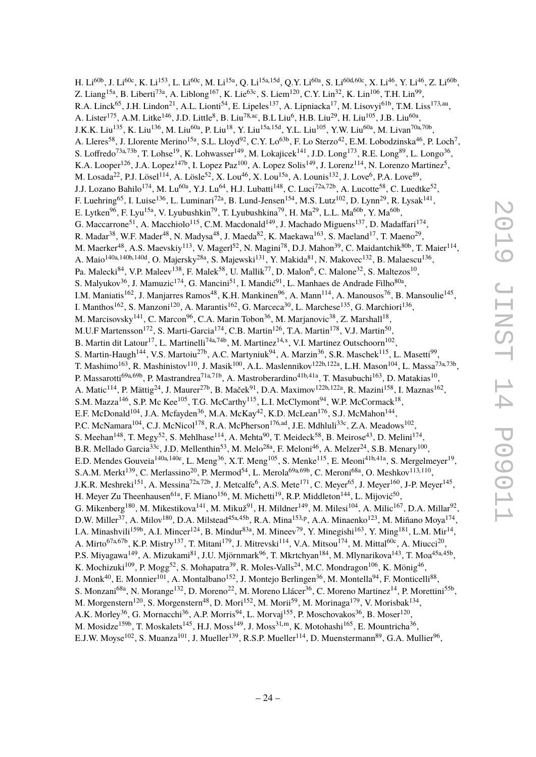$\rm H.~Li^{60b}, J.~Li^{60c}, K.~Li^{153}, L.~Li^{60c}, M.~Li^{15a}, Q.~Li^{15a,15d}, Q.Y.~Li^{60a}, S.~Li^{60d,60c}, X.~Li^{46}, Y.~Li^{46}, Z.~Li^{60b},$ Z. Liang<sup>15a</sup>, B. Liberti<sup>73a</sup>, A. Liblong<sup>167</sup>, K. Lie<sup>63c</sup>, S. Liem<sup>120</sup>, C.Y. Lin<sup>32</sup>, K. Lin<sup>106</sup>, T.H. Lin<sup>99</sup>, R.A. Linck<sup>65</sup>, J.H. Lindon<sup>21</sup>, A.L. Lionti<sup>54</sup>, E. Lipeles<sup>137</sup>, A. Lipniacka<sup>17</sup>, M. Lisovyi<sup>61b</sup>, T.M. Liss<sup>173,au</sup>, A. Lister $^{175}$ , A.M. Litke $^{146}$ , J.D. Little $^8$ , B. Liu<sup>78,ac</sup>, B.L Liu<sup>6</sup>, H.B. Liu<sup>29</sup>, H. Liu<sup>105</sup>, J.B. Liu<sup>60a</sup>, J.K.K. Liu<sup>135</sup>, K. Liu<sup>136</sup>, M. Liu<sup>60a</sup>, P. Liu<sup>18</sup>, Y. Liu<sup>15a,15d</sup>, Y.L. Liu<sup>105</sup>, Y.W. Liu<sup>60a</sup>, M. Livan<sup>70a,70b</sup>, A. Lleres<sup>58</sup>, J. Llorente Merino<sup>15a</sup>, S.L. Lloyd<sup>92</sup>, C.Y. Lo<sup>63b</sup>, F. Lo Sterzo<sup>42</sup>, E.M. Lobodzinska<sup>46</sup>, P. Loch<sup>7</sup>, S. Loffredo<sup>73a,73b</sup>, T. Lohse<sup>19</sup>, K. Lohwasser<sup>149</sup>, M. Lokajicek<sup>141</sup>, J.D. Long<sup>173</sup>, R.E. Long<sup>89</sup>, L. Longo<sup>36</sup>, K.A. Looper<sup>126</sup>, J.A. Lopez<sup>147b</sup>, I. Lopez Paz<sup>100</sup>, A. Lopez Solis<sup>149</sup>, J. Lorenz<sup>114</sup>, N. Lorenzo Martinez<sup>5</sup>, M. Losada $^{22}$ , P.J. Lösel $^{114}$ , A. Lösle $^{52}$ , X. Lou $^{46}$ , X. Lou $^{15a}$ , A. Lounis $^{132}$ , J. Love $^6$ , P.A. Love $^{89}$ , J.J. Lozano Bahilo $^{174}$ , M. Lu $^{60a}$ , Y.J. Lu $^{64}$ , H.J. Lubatti $^{148}$ , C. Luci $^{72a,72b}$ , A. Lucotte $^{58}$ , C. Luedtke $^{52}$ , F. Luehring<sup>65</sup>, I. Luise<sup>136</sup>, L. Luminari<sup>72a</sup>, B. Lund-Jensen<sup>154</sup>, M.S. Lutz<sup>102</sup>, D. Lynn<sup>29</sup>, R. Lysak<sup>141</sup>, E. Lytken $^{96}$ , F. Lyu<sup>15a</sup>, V. Lyubushkin $^{79}$ , T. Lyubushkina $^{79}$ , H. Ma $^{29}$ , L.L. Ma $^{60b}$ , Y. Ma $^{60b}$ , G. Maccarrone<sup>51</sup>, A. Macchiolo<sup>115</sup>, C.M. Macdonald<sup>149</sup>, J. Machado Miguens<sup>137</sup>, D. Madaffari<sup>174</sup>, R. Madar $^{38}$ , W.F. Mader $^{48}$ , N. Madysa $^{48}$ , J. Maeda $^{82}$ , K. Maekawa $^{163}$ , S. Maeland $^{17}$ , T. Maeno $^{29}$ , M. Maerker $^{48}$ , A.S. Maevskiy $^{113}$ , V. Magerl $^{52}$ , N. Magini $^{78}$ , D.J. Mahon $^{39}$ , C. Maidantchik $^{80\mathrm{b}}$ , T. Maier $^{114}$ , A. Maio<sup>140a,140b,140d</sup>, O. Majersky<sup>28a</sup>, S. Majewski<sup>131</sup>, Y. Makida<sup>81</sup>, N. Makovec<sup>132</sup>, B. Malaescu<sup>136</sup>, Pa. Malecki $^{84}$ , V.P. Maleev $^{138}$ , F. Malek $^{58}$ , U. Mallik $^{77}$ , D. Malon $^6$ , C. Malone $^{32}$ , S. Maltezos $^{10},$ S. Malyukov<sup>36</sup>, J. Mamuzic<sup>174</sup>, G. Mancini<sup>51</sup>, I. Mandić<sup>91</sup>, L. Manhaes de Andrade Filho<sup>80a</sup>, I.M. Maniatis $^{162}$ , J. Manjarres Ramos $^{48}$ , K.H. Mankinen $^{96}$ , A. Mann $^{114}$ , A. Manousos $^{76}$ , B. Mansoulie $^{145}$ , I. Manthos<sup>162</sup>, S. Manzoni<sup>120</sup>, A. Marantis<sup>162</sup>, G. Marceca<sup>30</sup>, L. Marchese<sup>135</sup>, G. Marchiori<sup>136</sup>, M. Marcisovsky<sup>141</sup>, C. Marcon<sup>96</sup>, C.A. Marin Tobon<sup>36</sup>, M. Marjanovic<sup>38</sup>, Z. Marshall<sup>18</sup>, M.U.F Martensson $^{172}$ , S. Marti-Garcia $^{174}$ , C.B. Martin $^{126}$ , T.A. Martin $^{178}$ , V.J. Martin $^{50}$ , B. Martin dit Latour $^{17}$ , L. Martinelli $^{74a,74b}$ , M. Martinez $^{14,x}$ , V.I. Martinez Outschoorn $^{102}$ , S. Martin-Haugh<sup>144</sup>, V.S. Martoiu<sup>27b</sup>, A.C. Martyniuk<sup>94</sup>, A. Marzin<sup>36</sup>, S.R. Maschek<sup>115</sup>, L. Masetti<sup>99</sup>, T. Mashimo $^{163}$ , R. Mashinistov $^{110}$ , J. Masik $^{100}$ , A.L. Maslennikov $^{122b,122a}$ , L.H. Mason $^{104}$ , L. Massa $^{73a,73b}$ , P. Massarotti<sup>69a,69b</sup>, P. Mastrandrea<sup>71a,71b</sup>, A. Mastroberardino<sup>41b,41a</sup>, T. Masubuchi<sup>163</sup>, D. Matakias<sup>10</sup>, A. Matic<sup>114</sup>, P. Mättig<sup>24</sup>, J. Maurer<sup>27b</sup>, B. Maček<sup>91</sup>, D.A. Maximov<sup>122b,122a</sup>, R. Mazini<sup>158</sup>, I. Maznas<sup>162</sup>, S.M. Mazza<sup>146</sup>, S.P. Mc Kee<sup>105</sup>, T.G. McCarthy<sup>115</sup>, L.I. McClymont<sup>94</sup>, W.P. McCormack<sup>18</sup>, E.F. McDonald<sup>104</sup>, J.A. Mcfayden<sup>36</sup>, M.A. McKay<sup>42</sup>, K.D. McLean<sup>176</sup>, S.J. McMahon<sup>144</sup>, P.C. McNamara<sup>104</sup>, C.J. McNicol<sup>178</sup>, R.A. McPherson<sup>176,ad</sup>, J.E. Mdhluli<sup>33c</sup>, Z.A. Meadows<sup>102</sup>, S. Meehan<sup>148</sup>, T. Megy<sup>52</sup>, S. Mehlhase<sup>114</sup>, A. Mehta<sup>90</sup>, T. Meideck<sup>58</sup>, B. Meirose<sup>43</sup>, D. Melini<sup>174</sup>, B.R. Mellado Garcia $^{33c}$ , J.D. Mellenthin $^{53}$ , M. Melo $^{28a}$ , F. Meloni $^{46}$ , A. Melzer $^{24}$ , S.B. Menary $^{100}$ , E.D. Mendes Gouveia<sup>140a,140e</sup>, L. Meng<sup>36</sup>, X.T. Meng<sup>105</sup>, S. Menke<sup>115</sup>, E. Meoni<sup>41b,41a</sup>, S. Mergelmeyer<sup>19</sup>, S.A.M. Merkt $^{139}$ , C. Merlassino $^{20}$ , P. Mermod $^{54}$ , L. Merola $^{69a,69b}$ , C. Meroni $^{68a}$ , O. Meshkov $^{113,110}$ , J.K.R. Meshreki $^{151}$ , A. Messina $^{72a,72b}$ , J. Metcalfe $^6$ , A.S. Mete $^{171}$ , C. Meyer $^{65}$ , J. Meyer $^{160}$ , J-P. Meyer $^{145}$ , H. Meyer Zu Theenhausen<sup>61a</sup>, F. Miano<sup>156</sup>, M. Michetti<sup>19</sup>, R.P. Middleton<sup>144</sup>, L. Mijović<sup>50</sup>, G. Mikenberg<sup>180</sup>, M. Mikestikova<sup>141</sup>, M. Mikuž<sup>91</sup>, H. Mildner<sup>149</sup>, M. Milesi<sup>104</sup>, A. Milic<sup>167</sup>, D.A. Millar<sup>92</sup>, D.W. Miller<sup>37</sup>, A. Milov<sup>180</sup>, D.A. Milstead<sup>45a,45b</sup>, R.A. Mina<sup>153,p</sup>, A.A. Minaenko<sup>123</sup>, M. Miñano Moya<sup>174</sup>, I.A. Minashvili<sup>159b</sup>, A.I. Mincer<sup>124</sup>, B. Mindur<sup>83a</sup>, M. Mineev<sup>79</sup>, Y. Minegishi<sup>163</sup>, Y. Ming<sup>181</sup>, L.M. Mir<sup>14</sup>, A. Mirto<sup>67a,67b</sup>, K.P. Mistry<sup>137</sup>, T. Mitani<sup>179</sup>, J. Mitrevski<sup>114</sup>, V.A. Mitsou<sup>174</sup>, M. Mittal<sup>60c</sup>, A. Miucci<sup>20</sup>, P.S. Miyagawa<sup>149</sup>, A. Mizukami<sup>81</sup>, J.U. Mjörnmark<sup>96</sup>, T. Mkrtchyan<sup>184</sup>, M. Mlynarikova<sup>143</sup>, T. Moa<sup>45a,45b</sup>, K. Mochizuki $^{109}$ , P. Mogg<sup>52</sup>, S. Mohapatra $^{39}$ , R. Moles-Valls<sup>24</sup>, M.C. Mondragon $^{106}$ , K. Mönig $^{46}$ , J. Monk<sup>40</sup>, E. Monnier<sup>101</sup>, A. Montalbano<sup>152</sup>, J. Montejo Berlingen<sup>36</sup>, M. Montella<sup>94</sup>, F. Monticelli<sup>88</sup>, S. Monzani<sup>68a</sup>, N. Morange<sup>132</sup>, D. Moreno<sup>22</sup>, M. Moreno Llácer<sup>36</sup>, C. Moreno Martinez<sup>14</sup>, P. Morettini<sup>55b</sup>, M. Morgenstern<sup>120</sup>, S. Morgenstern<sup>48</sup>, D. Mori<sup>152</sup>, M. Morii<sup>59</sup>, M. Morinaga<sup>179</sup>, V. Morisbak<sup>134</sup>, A.K. Morley<sup>36</sup>, G. Mornacchi<sup>36</sup>, A.P. Morris<sup>94</sup>, L. Morvaj<sup>155</sup>, P. Moschovakos<sup>36</sup>, B. Moser<sup>120</sup>, M. Mosidze $^{159b}$ , T. Moskalets $^{145}$ , H.J. Moss $^{149}$ , J. Moss $^{31,m}$ , K. Motohashi $^{165}$ , E. Mountricha $^{36}$ ,

E.J.W. Moyse<sup>102</sup>, S. Muanza<sup>101</sup>, J. Mueller<sup>139</sup>, R.S.P. Mueller<sup>114</sup>, D. Muenstermann<sup>89</sup>, G.A. Mullier<sup>96</sup>,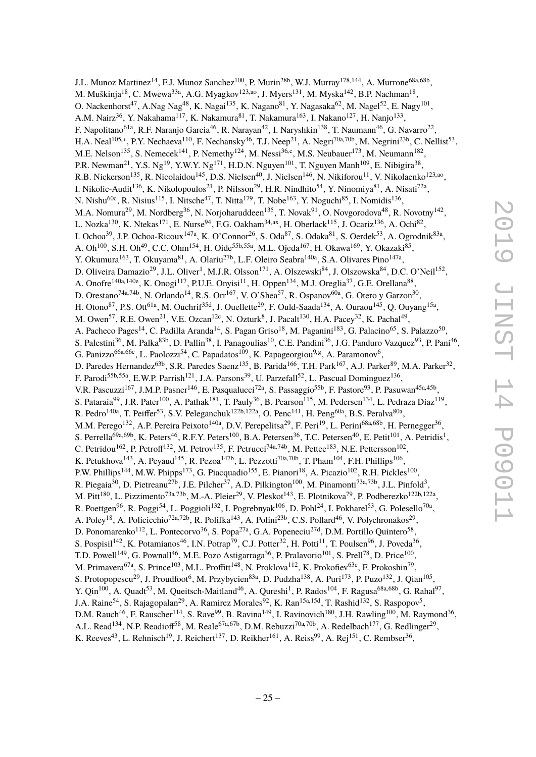J.L. Munoz Martinez<sup>14</sup>, F.J. Munoz Sanchez<sup>100</sup>, P. Murin<sup>28b</sup>, W.J. Murray<sup>178,144</sup>, A. Murrone<sup>68a,68b</sup>, M. Muškinja $^{18}$ , C. Mwewa $^{33a}$ , A.G. Myagkov $^{123,ao}$ , J. Myers $^{131}$ , M. Myska $^{142}$ , B.P. Nachman $^{18}$ , O. Nackenhorst<sup>47</sup>, A.Nag Nag<sup>48</sup>, K. Nagai<sup>135</sup>, K. Nagano<sup>81</sup>, Y. Nagasaka<sup>62</sup>, M. Nagel<sup>52</sup>, E. Nagy<sup>101</sup>, A.M. Nairz<sup>36</sup>, Y. Nakahama<sup>117</sup>, K. Nakamura<sup>81</sup>, T. Nakamura<sup>163</sup>, I. Nakano<sup>127</sup>, H. Nanjo<sup>133</sup>, F. Napolitano<sup>61a</sup>, R.F. Naranjo Garcia<sup>46</sup>, R. Narayan<sup>42</sup>, I. Naryshkin<sup>138</sup>, T. Naumann<sup>46</sup>, G. Navarro<sup>22</sup>, H.A. Neal<sup>105,∗</sup>, P.Y. Nechaeva<sup>110</sup>, F. Nechansky<sup>46</sup>, T.J. Neep<sup>21</sup>, A. Negri<sup>70a,70b</sup>, M. Negrini<sup>23b</sup>, C. Nellist<sup>53</sup>, M.E. Nelson<sup>135</sup>, S. Nemecek<sup>141</sup>, P. Nemethy<sup>124</sup>, M. Nessi<sup>36,c</sup>, M.S. Neubauer<sup>173</sup>, M. Neumann<sup>182</sup>, P.R. Newman<sup>21</sup>, Y.S. Ng<sup>19</sup>, Y.W.Y. Ng<sup>171</sup>, H.D.N. Nguyen<sup>101</sup>, T. Nguyen Manh<sup>109</sup>, E. Nibigira<sup>38</sup>, R.B. Nickerson $^{135}$ , R. Nicolaidou $^{145}$ , D.S. Nielsen $^{40}$ , J. Nielsen $^{146}$ , N. Nikiforou $^{11}$ , V. Nikolaenko $^{123, ao}$ , I. Nikolic-Audit<sup>136</sup>, K. Nikolopoulos<sup>21</sup>, P. Nilsson<sup>29</sup>, H.R. Nindhito<sup>54</sup>, Y. Ninomiya<sup>81</sup>, A. Nisati<sup>72a</sup>, N. Nishu $^{60c}$ , R. Nisius $^{115}$ , I. Nitsche $^{47}$ , T. Nitta $^{179}$ , T. Nobe $^{163}$ , Y. Noguchi $^{85}$ , I. Nomidis $^{136}$ , M.A. Nomura<sup>29</sup>, M. Nordberg<sup>36</sup>, N. Norjoharuddeen<sup>135</sup>, T. Novak<sup>91</sup>, O. Novgorodova<sup>48</sup>, R. Novotny<sup>142</sup>, L. Nozka $^{130}$ , K. Ntekas $^{171}$ , E. Nurse $^{94}$ , F.G. Oakham $^{34,ax}$ , H. Oberlack $^{115}$ , J. Ocariz $^{136}$ , A. Ochi $^{82}$ , I. Ochoa<sup>39</sup>, J.P. Ochoa-Ricoux<sup>147a</sup>, K. O'Connor<sup>26</sup>, S. Oda<sup>87</sup>, S. Odaka<sup>81</sup>, S. Oerdek<sup>53</sup>, A. Ogrodnik<sup>83a</sup>, A. Oh<sup>100</sup>, S.H. Oh<sup>49</sup>, C.C. Ohm<sup>154</sup>, H. Oide<sup>55b,55a</sup>, M.L. Ojeda<sup>167</sup>, H. Okawa<sup>169</sup>, Y. Okazaki<sup>85</sup>, Y. Okumura<sup>163</sup>, T. Okuyama<sup>81</sup>, A. Olariu<sup>27b</sup>, L.F. Oleiro Seabra<sup>140a</sup>, S.A. Olivares Pino<sup>147a</sup>, D. Oliveira Damazio<sup>29</sup>, J.L. Oliver<sup>1</sup>, M.J.R. Olsson<sup>171</sup>, A. Olszewski<sup>84</sup>, J. Olszowska<sup>84</sup>, D.C. O'Neil<sup>152</sup>, A. Onofre<sup>140a,140e</sup>, K. Onogi<sup>117</sup>, P.U.E. Onyisi<sup>11</sup>, H. Oppen<sup>134</sup>, M.J. Oreglia<sup>37</sup>, G.E. Orellana<sup>88</sup>, D. Orestano<sup>74a,74b</sup>, N. Orlando<sup>14</sup>, R.S. Orr<sup>167</sup>, V. O'Shea<sup>57</sup>, R. Ospanov<sup>60a</sup>, G. Otero y Garzon<sup>30</sup>, H. Otono $^{87}$ , P.S. Ott $^{61a}$ , M. Ouchrif $^{35d}$ , J. Ouellette $^{29}$ , F. Ould-Saada $^{134}$ , A. Ouraou $^{145}$ , Q. Ouyang $^{15a}$ , M. Owen<sup>57</sup>, R.E. Owen<sup>21</sup>, V.E. Ozcan<sup>12c</sup>, N. Ozturk<sup>8</sup>, J. Pacalt<sup>130</sup>, H.A. Pacey<sup>32</sup>, K. Pachal<sup>49</sup>, A. Pacheco Pages<sup>14</sup>, C. Padilla Aranda<sup>14</sup>, S. Pagan Griso<sup>18</sup>, M. Paganini<sup>183</sup>, G. Palacino<sup>65</sup>, S. Palazzo<sup>50</sup>, S. Palestini<sup>36</sup>, M. Palka<sup>83b</sup>, D. Pallin<sup>38</sup>, I. Panagoulias<sup>10</sup>, C.E. Pandini<sup>36</sup>, J.G. Panduro Vazquez<sup>93</sup>, P. Pani<sup>46</sup>, G. Panizzo $^{66a,66c},$  L. Paolozzi $^{54}$ , C. Papadatos $^{109}$ , K. Papageorgiou $^{9,g},$  A. Paramonov $^6,$ D. Paredes Hernandez $^{63b}$ , S.R. Paredes Saenz $^{135}$ , B. Parida $^{166}$ , T.H. Park $^{167}$ , A.J. Parker $^{89}$ , M.A. Parker $^{32}$ , F. Parodi $^{55b,55a}$ , E.W.P. Parrish $^{121}$ , J.A. Parsons $^{39}$ , U. Parzefall $^{52}$ , L. Pascual Dominguez $^{136}$ , V.R. Pascuzzi<sup>167</sup>, J.M.P. Pasner<sup>146</sup>, E. Pasqualucci<sup>72a</sup>, S. Passaggio<sup>55b</sup>, F. Pastore<sup>93</sup>, P. Pasuwan<sup>45a,45b</sup>, S. Pataraia<sup>99</sup>, J.R. Pater<sup>100</sup>, A. Pathak<sup>181</sup>, T. Pauly<sup>36</sup>, B. Pearson<sup>115</sup>, M. Pedersen<sup>134</sup>, L. Pedraza Diaz<sup>119</sup>, R. Pedro $^{140a}$ , T. Peiffer<sup>53</sup>, S.V. Peleganchuk<sup>122b,122a</sup>, O. Penc<sup>141</sup>, H. Peng<sup>60a</sup>, B.S. Peralva<sup>80a</sup>, M.M. Perego<sup>132</sup>, A.P. Pereira Peixoto<sup>140a</sup>, D.V. Perepelitsa<sup>29</sup>, F. Peri<sup>19</sup>, L. Perini<sup>68a,68b</sup>, H. Pernegger<sup>36</sup>, S. Perrella<sup>69a,69b</sup>, K. Peters<sup>46</sup>, R.F.Y. Peters<sup>100</sup>, B.A. Petersen<sup>36</sup>, T.C. Petersen<sup>40</sup>, E. Petit<sup>101</sup>, A. Petridis<sup>1</sup>, C. Petridou<sup>162</sup>, P. Petroff<sup>132</sup>, M. Petrov<sup>135</sup>, F. Petrucci<sup>74a,74b</sup>, M. Pettee<sup>183</sup>, N.E. Pettersson<sup>102</sup>, K. Petukhova<sup>143</sup>, A. Peyaud<sup>145</sup>, R. Pezoa<sup>147b</sup>, L. Pezzotti<sup>70a,70b</sup>, T. Pham<sup>104</sup>, F.H. Phillips<sup>106</sup>, P.W. Phillips<sup>144</sup>, M.W. Phipps<sup>173</sup>, G. Piacquadio<sup>155</sup>, E. Pianori<sup>18</sup>, A. Picazio<sup>102</sup>, R.H. Pickles<sup>100</sup>, R. Piegaia $^{30}$ , D. Pietreanu<sup>27b</sup>, J.E. Pilcher $^{37}$ , A.D. Pilkington<sup>100</sup>, M. Pinamonti<sup>73a,73b</sup>, J.L. Pinfold<sup>3</sup>, M. Pitt $^{180}$ , L. Pizzimento<sup>73a,73b</sup>, M.-A. Pleier<sup>29</sup>, V. Pleskot $^{143}$ , E. Plotnikova<sup>79</sup>, P. Podberezko $^{122b,122a}$ , R. Poettgen<sup>96</sup>, R. Poggi<sup>54</sup>, L. Poggioli<sup>132</sup>, I. Pogrebnyak<sup>106</sup>, D. Pohl<sup>24</sup>, I. Pokharel<sup>53</sup>, G. Polesello<sup>70a</sup>, A. Poley<sup>18</sup>, A. Policicchio<sup>72a,72b</sup>, R. Polifka<sup>143</sup>, A. Polini<sup>23b</sup>, C.S. Pollard<sup>46</sup>, V. Polychronakos<sup>29</sup>, D. Ponomarenko<sup>112</sup>, L. Pontecorvo<sup>36</sup>, S. Popa<sup>27a</sup>, G.A. Popeneciu<sup>27d</sup>, D.M. Portillo Quintero<sup>58</sup>, S. Pospisil<sup>142</sup>, K. Potamianos<sup>46</sup>, I.N. Potrap<sup>79</sup>, C.J. Potter<sup>32</sup>, H. Potti<sup>11</sup>, T. Poulsen<sup>96</sup>, J. Poveda<sup>36</sup>, T.D. Powell<sup>149</sup>, G. Pownall<sup>46</sup>, M.E. Pozo Astigarraga<sup>36</sup>, P. Pralavorio<sup>101</sup>, S. Prell<sup>78</sup>, D. Price<sup>100</sup>, M. Primavera $^{67a}$ , S. Prince $^{103}$ , M.L. Proffitt $^{148}$ , N. Proklova $^{112}$ , K. Prokofiev $^{63c}$ , F. Prokoshin $^{79}$ , S. Protopopescu<sup>29</sup>, J. Proudfoot<sup>6</sup>, M. Przybycien<sup>83a</sup>, D. Pudzha<sup>138</sup>, A. Puri<sup>173</sup>, P. Puzo<sup>132</sup>, J. Qian<sup>105</sup>, Y. Qin<sup>100</sup>, A. Quadt<sup>53</sup>, M. Queitsch-Maitland<sup>46</sup>, A. Qureshi<sup>1</sup>, P. Rados<sup>104</sup>, F. Ragusa<sup>68a,68b</sup>, G. Rahal<sup>97</sup>, J.A. Raine<sup>54</sup>, S. Rajagopalan<sup>29</sup>, A. Ramirez Morales<sup>92</sup>, K. Ran<sup>15a,15d</sup>, T. Rashid<sup>132</sup>, S. Raspopov<sup>5</sup>, D.M. Rauch<sup>46</sup>, F. Rauscher<sup>114</sup>, S. Rave<sup>99</sup>, B. Ravina<sup>149</sup>, I. Ravinovich<sup>180</sup>, J.H. Rawling<sup>100</sup>, M. Raymond<sup>36</sup>, A.L. Read<sup>134</sup>, N.P. Readioff<sup>58</sup>, M. Reale<sup>67a,67b</sup>, D.M. Rebuzzi<sup>70a,70b</sup>, A. Redelbach<sup>177</sup>, G. Redlinger<sup>29</sup>,

K. Reeves<sup>43</sup>, L. Rehnisch<sup>19</sup>, J. Reichert<sup>137</sup>, D. Reikher<sup>161</sup>, A. Reiss<sup>99</sup>, A. Rej<sup>151</sup>, C. Rembser<sup>36</sup>,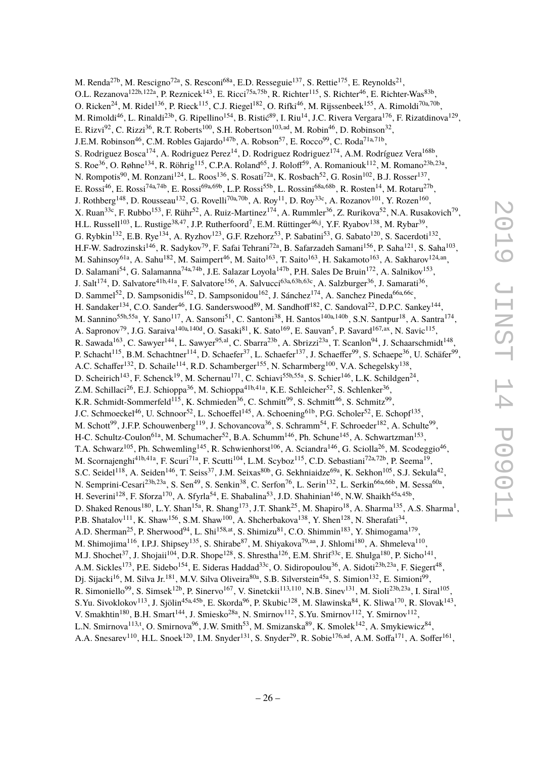M. Renda<sup>27b</sup>, M. Rescigno<sup>72a</sup>, S. Resconi<sup>68a</sup>, E.D. Resseguie<sup>137</sup>, S. Rettie<sup>175</sup>, E. Reynolds<sup>21</sup>, O.L. Rezanova<sup>122b,122a</sup>, P. Reznicek<sup>143</sup>, E. Ricci<sup>75a,75b</sup>, R. Richter<sup>115</sup>, S. Richter<sup>46</sup>, E. Richter-Was<sup>83b</sup>, O. Ricken $^{24}$ , M. Ridel $^{136}$ , P. Rieck $^{115}$ , C.J. Riegel $^{182}$ , O. Rifki $^{46}$ , M. Rijssenbeek $^{155}$ , A. Rimoldi $^{70a,70b}$ , M. Rimoldi<sup>46</sup>, L. Rinaldi<sup>23b</sup>, G. Ripellino<sup>154</sup>, B. Ristić<sup>89</sup>, I. Riu<sup>14</sup>, J.C. Rivera Vergara<sup>176</sup>, F. Rizatdinova<sup>129</sup>, E. Rizvi<sup>92</sup>, C. Rizzi<sup>36</sup>, R.T. Roberts<sup>100</sup>, S.H. Robertson<sup>103,ad</sup>, M. Robin<sup>46</sup>, D. Robinson<sup>32</sup>, J.E.M. Robinson<sup>46</sup>, C.M. Robles Gajardo<sup>147b</sup>, A. Robson<sup>57</sup>, E. Rocco<sup>99</sup>, C. Roda<sup>71a,71b</sup>, S. Rodriguez Bosca $^{174}$ , A. Rodriguez Perez $^{14}$ , D. Rodriguez Rodriguez $^{174}$ , A.M. Rodríguez Vera $^{168b}$ , S. Roe<sup>36</sup>, O. Røhne<sup>134</sup>, R. Röhrig<sup>115</sup>, C.P.A. Roland<sup>65</sup>, J. Roloff<sup>59</sup>, A. Romaniouk<sup>112</sup>, M. Romano<sup>23b,23a</sup>, N. Rompotis<sup>90</sup>, M. Ronzani<sup>124</sup>, L. Roos<sup>136</sup>, S. Rosati<sup>72a</sup>, K. Rosbach<sup>52</sup>, G. Rosin<sup>102</sup>, B.J. Rosser<sup>137</sup>, E. Rossi<sup>46</sup>, E. Rossi<sup>74a,74b</sup>, E. Rossi<sup>69a,69b</sup>, L.P. Rossi<sup>55b</sup>, L. Rossini<sup>68a,68b</sup>, R. Rosten<sup>14</sup>, M. Rotaru<sup>27b</sup>, J. Rothberg<sup>148</sup>, D. Rousseau<sup>132</sup>, G. Rovelli<sup>70a,70b</sup>, A. Roy<sup>11</sup>, D. Roy<sup>33c</sup>, A. Rozanov<sup>101</sup>, Y. Rozen<sup>160</sup>, X. Ruan<sup>33c</sup>, F. Rubbo<sup>153</sup>, F. Rühr<sup>52</sup>, A. Ruiz-Martinez<sup>174</sup>, A. Rummler<sup>36</sup>, Z. Rurikova<sup>52</sup>, N.A. Rusakovich<sup>79</sup>, H.L. Russell<sup>103</sup>, L. Rustige<sup>38,47</sup>, J.P. Rutherfoord<sup>7</sup>, E.M. Rüttinger<sup>46,j</sup>, Y.F. Ryabov<sup>138</sup>, M. Rybar<sup>39</sup>, G. Rybkin<sup>132</sup>, E.B. Rye<sup>134</sup>, A. Ryzhov<sup>123</sup>, G.F. Rzehorz<sup>53</sup>, P. Sabatini<sup>53</sup>, G. Sabato<sup>120</sup>, S. Sacerdoti<sup>132</sup>, H.F-W. Sadrozinski<sup>146</sup>, R. Sadykov<sup>79</sup>, F. Safai Tehrani<sup>72a</sup>, B. Safarzadeh Samani<sup>156</sup>, P. Saha<sup>121</sup>, S. Saha<sup>103</sup>, M. Sahinsoy<sup>61a</sup>, A. Sahu<sup>182</sup>, M. Saimpert<sup>46</sup>, M. Saito<sup>163</sup>, T. Saito<sup>163</sup>, H. Sakamoto<sup>163</sup>, A. Sakharov<sup>124,an</sup>, D. Salamani<sup>54</sup>, G. Salamanna<sup>74a,74b</sup>, J.E. Salazar Loyola<sup>147b</sup>, P.H. Sales De Bruin<sup>172</sup>, A. Salnikov<sup>153</sup>, J. Salt<sup>174</sup>, D. Salvatore<sup>41b,41a</sup>, F. Salvatore<sup>156</sup>, A. Salvucci<sup>63a,63b,63c</sup>, A. Salzburger<sup>36</sup>, J. Samarati<sup>36</sup>, D. Sammel<sup>52</sup>, D. Sampsonidis<sup>162</sup>, D. Sampsonidou<sup>162</sup>, J. Sánchez<sup>174</sup>, A. Sanchez Pineda<sup>66a,66c</sup>, H. Sandaker<sup>134</sup>, C.O. Sander<sup>46</sup>, I.G. Sanderswood<sup>89</sup>, M. Sandhoff<sup>182</sup>, C. Sandoval<sup>22</sup>, D.P.C. Sankey<sup>144</sup>, M. Sannino<sup>55b,55a</sup>, Y. Sano<sup>117</sup>, A. Sansoni<sup>51</sup>, C. Santoni<sup>38</sup>, H. Santos<sup>140a,140b</sup>, S.N. Santpur<sup>18</sup>, A. Santra<sup>174</sup>, A. Sapronov<sup>79</sup>, J.G. Saraiva<sup>140a, 140d</sup>, O. Sasaki<sup>81</sup>, K. Sato<sup>169</sup>, E. Sauvan<sup>5</sup>, P. Savard<sup>167,ax</sup>, N. Savic<sup>115</sup>, R. Sawada $^{163}$ , C. Sawyer $^{144}$ , L. Sawyer $^{95,al}$ , C. Sbarra $^{23b}$ , A. Sbrizzi $^{23a}$ , T. Scanlon $^{94}$ , J. Schaarschmidt $^{148}$ , P. Schacht<sup>115</sup>, B.M. Schachtner<sup>114</sup>, D. Schaefer<sup>37</sup>, L. Schaefer<sup>137</sup>, J. Schaeffer<sup>99</sup>, S. Schaepe<sup>36</sup>, U. Schäfer<sup>99</sup>, A.C. Schaffer<sup>132</sup>, D. Schaile<sup>114</sup>, R.D. Schamberger<sup>155</sup>, N. Scharmberg<sup>100</sup>, V.A. Schegelsky<sup>138</sup>, D. Scheirich<sup>143</sup>, F. Schenck<sup>19</sup>, M. Schernau<sup>171</sup>, C. Schiavi<sup>55b,55a</sup>, S. Schier<sup>146</sup>, L.K. Schildgen<sup>24</sup>, Z.M. Schillaci $^{26}$ , E.J. Schioppa $^{36}$ , M. Schioppa $^{41b,41a}$ , K.E. Schleicher $^{52}$ , S. Schlenker $^{36}$ , K.R. Schmidt-Sommerfeld<sup>115</sup>, K. Schmieden<sup>36</sup>, C. Schmitt<sup>99</sup>, S. Schmitt<sup>46</sup>, S. Schmitz<sup>99</sup>, J.C. Schmoeckel<sup>46</sup>, U. Schnoor<sup>52</sup>, L. Schoeffel<sup>145</sup>, A. Schoening<sup>61b</sup>, P.G. Scholer<sup>52</sup>, E. Schopf<sup>135</sup>, M. Schott<sup>99</sup>, J.F.P. Schouwenberg<sup>119</sup>, J. Schovancova<sup>36</sup>, S. Schramm<sup>54</sup>, F. Schroeder<sup>182</sup>, A. Schulte<sup>99</sup>, H-C. Schultz-Coulon<sup>61a</sup>, M. Schumacher<sup>52</sup>, B.A. Schumm<sup>146</sup>, Ph. Schune<sup>145</sup>, A. Schwartzman<sup>153</sup>, T.A. Schwarz<sup>105</sup>, Ph. Schwemling<sup>145</sup>, R. Schwienhorst<sup>106</sup>, A. Sciandra<sup>146</sup>, G. Sciolla<sup>26</sup>, M. Scodeggio<sup>46</sup>, M. Scornajenghi<sup>41b,41a</sup>, F. Scuri<sup>71a</sup>, F. Scutti<sup>104</sup>, L.M. Scyboz<sup>115</sup>, C.D. Sebastiani<sup>72a,72b</sup>, P. Seema<sup>19</sup>, S.C. Seidel<sup>118</sup>, A. Seiden<sup>146</sup>, T. Seiss<sup>37</sup>, J.M. Seixas<sup>80b</sup>, G. Sekhniaidze<sup>69a</sup>, K. Sekhon<sup>105</sup>, S.J. Sekula<sup>42</sup>, N. Semprini-Cesari<sup>23b,23a</sup>, S. Sen<sup>49</sup>, S. Senkin<sup>38</sup>, C. Serfon<sup>76</sup>, L. Serin<sup>132</sup>, L. Serkin<sup>66a,66b</sup>, M. Sessa<sup>60a</sup>, H. Severini<sup>128</sup>, F. Sforza<sup>170</sup>, A. Sfyrla<sup>54</sup>, E. Shabalina<sup>53</sup>, J.D. Shahinian<sup>146</sup>, N.W. Shaikh<sup>45a,45b</sup>, D. Shaked Renous<sup>180</sup>, L.Y. Shan<sup>15a</sup>, R. Shang<sup>173</sup>, J.T. Shank<sup>25</sup>, M. Shapiro<sup>18</sup>, A. Sharma<sup>135</sup>, A.S. Sharma<sup>1</sup>, P.B. Shatalov<sup>111</sup>, K. Shaw<sup>156</sup>, S.M. Shaw<sup>100</sup>, A. Shcherbakova<sup>138</sup>, Y. Shen<sup>128</sup>, N. Sherafati<sup>34</sup>, A.D. Sherman<sup>25</sup>, P. Sherwood<sup>94</sup>, L. Shi<sup>158,at</sup>, S. Shimizu<sup>81</sup>, C.O. Shimmin<sup>183</sup>, Y. Shimogama<sup>179</sup>, M. Shimojima $^{116}$ , I.P.J. Shipsey $^{135}$ , S. Shirabe $^{87}$ , M. Shiyakova $^{79,aa}$ , J. Shlomi $^{180}$ , A. Shmeleva $^{110}$ , M.J. Shochet<sup>37</sup>, J. Shojaii<sup>104</sup>, D.R. Shope<sup>128</sup>, S. Shrestha<sup>126</sup>, E.M. Shrif<sup>33c</sup>, E. Shulga<sup>180</sup>, P. Sicho<sup>141</sup>, A.M. Sickles<sup>173</sup>, P.E. Sidebo<sup>154</sup>, E. Sideras Haddad<sup>33c</sup>, O. Sidiropoulou<sup>36</sup>, A. Sidoti<sup>23b,23a</sup>, F. Siegert<sup>48</sup>, Dj. Sijacki<sup>16</sup>, M. Silva Jr.<sup>181</sup>, M.V. Silva Oliveira<sup>80a</sup>, S.B. Silverstein<sup>45a</sup>, S. Simion<sup>132</sup>, E. Simioni<sup>99</sup>, R. Simoniello<sup>99</sup>, S. Simsek<sup>12b</sup>, P. Sinervo<sup>167</sup>, V. Sinetckii<sup>113,110</sup>, N.B. Sinev<sup>131</sup>, M. Sioli<sup>23b,23a</sup>, I. Siral<sup>105</sup>, S.Yu. Sivoklokov $^{113}$ , J. Sjölin $^{45$ a, $^{45}$ b, E. Skorda $^{96}$ , P. Skubic $^{128}$ , M. Slawinska $^{84}$ , K. Sliwa $^{170}$ , R. Slovak $^{143}$ , V. Smakhtin<sup>180</sup>, B.H. Smart<sup>144</sup>, J. Smiesko<sup>28a</sup>, N. Smirnov<sup>112</sup>, S.Yu. Smirnov<sup>112</sup>, Y. Smirnov<sup>112</sup>, L.N. Smirnova $^{113,t}$ , O. Smirnova $^{96}$ , J.W. Smith $^{53}$ , M. Smizanska $^{89}$ , K. Smolek $^{142}$ , A. Smykiewicz $^{84}$ ,

A.A. Snesarev<sup>110</sup>, H.L. Snoek<sup>120</sup>, I.M. Snyder<sup>131</sup>, S. Snyder<sup>29</sup>, R. Sobie<sup>176,ad</sup>, A.M. Soffa<sup>171</sup>, A. Soffer<sup>161</sup>,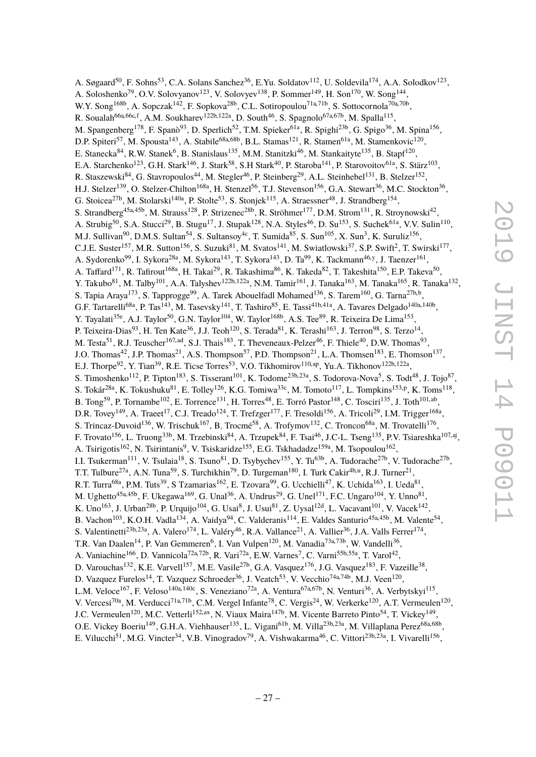A. Søgaard<sup>50</sup>, F. Sohns<sup>53</sup>, C.A. Solans Sanchez<sup>36</sup>, E.Yu. Soldatov<sup>112</sup>, U. Soldevila<sup>174</sup>, A.A. Solodkov<sup>123</sup>, A. Soloshenko<sup>79</sup>, O.V. Solovyanov<sup>123</sup>, V. Solovyev<sup>138</sup>, P. Sommer<sup>149</sup>, H. Son<sup>170</sup>, W. Song<sup>144</sup>, W.Y. Song<sup>168b</sup>, A. Sopczak<sup>142</sup>, F. Sopkova<sup>28b</sup>, C.L. Sotiropoulou<sup>71a,71b</sup>, S. Sottocornola<sup>70a,70b</sup>, R. Soualah $^{66a,66c,f}$ , A.M. Soukharev $^{122b,122a}$ , D. South $^{46}$ , S. Spagnolo $^{67a,67b}$ , M. Spalla $^{115}$ , M. Spangenberg<sup>178</sup>, F. Spanò<sup>93</sup>, D. Sperlich<sup>52</sup>, T.M. Spieker<sup>61a</sup>, R. Spighi<sup>23b</sup>, G. Spigo<sup>36</sup>, M. Spina<sup>156</sup>, D.P. Spiteri<sup>57</sup>, M. Spousta<sup>143</sup>, A. Stabile<sup>68a,68b</sup>, B.L. Stamas<sup>121</sup>, R. Stamen<sup>61a</sup>, M. Stamenkovic<sup>120</sup>, E. Stanecka $^{84}$ , R.W. Stanek $^6$ , B. Stanislaus $^{135}$ , M.M. Stanitzki $^{46}$ , M. Stankaityte $^{135}$ , B. Stapf $^{120}$ , E.A. Starchenko<sup>123</sup>, G.H. Stark<sup>146</sup>, J. Stark<sup>58</sup>, S.H Stark<sup>40</sup>, P. Staroba<sup>141</sup>, P. Starovoitov<sup>61a</sup>, S. Stärz<sup>103</sup>, R. Staszewski<sup>84</sup>, G. Stavropoulos<sup>44</sup>, M. Stegler<sup>46</sup>, P. Steinberg<sup>29</sup>, A.L. Steinhebel<sup>131</sup>, B. Stelzer<sup>152</sup>, H.J. Stelzer<sup>139</sup>, O. Stelzer-Chilton<sup>168a</sup>, H. Stenzel<sup>56</sup>, T.J. Stevenson<sup>156</sup>, G.A. Stewart<sup>36</sup>, M.C. Stockton<sup>36</sup>, G. Stoicea<sup>27b</sup>, M. Stolarski<sup>140a</sup>, P. Stolte<sup>53</sup>, S. Stonjek<sup>115</sup>, A. Straessner<sup>48</sup>, J. Strandberg<sup>154</sup>, S. Strandberg<sup>45a,45b</sup>, M. Strauss<sup>128</sup>, P. Strizenec<sup>28b</sup>, R. Ströhmer<sup>177</sup>, D.M. Strom<sup>131</sup>, R. Stroynowski<sup>42</sup>, A. Strubig<sup>50</sup>, S.A. Stucci<sup>29</sup>, B. Stugu<sup>17</sup>, J. Stupak<sup>128</sup>, N.A. Styles<sup>46</sup>, D. Su<sup>153</sup>, S. Suchek<sup>61a</sup>, V.V. Sulin<sup>110</sup>, M.J. Sullivan<sup>90</sup>, D.M.S. Sultan<sup>54</sup>, S. Sultansoy<sup>4c</sup>, T. Sumida<sup>85</sup>, S. Sun<sup>105</sup>, X. Sun<sup>3</sup>, K. Suruliz<sup>156</sup>, C.J.E. Suster<sup>157</sup>, M.R. Sutton<sup>156</sup>, S. Suzuki<sup>81</sup>, M. Svatos<sup>141</sup>, M. Swiatlowski<sup>37</sup>, S.P. Swift<sup>2</sup>, T. Swirski<sup>177</sup>, A. Sydorenko<sup>99</sup>, I. Sykora<sup>28a</sup>, M. Sykora<sup>143</sup>, T. Sykora<sup>143</sup>, D. Ta<sup>99</sup>, K. Tackmann<sup>46,y</sup>, J. Taenzer<sup>161</sup>, A. Taffard<sup>171</sup>, R. Tafirout<sup>168a</sup>, H. Takai<sup>29</sup>, R. Takashima<sup>86</sup>, K. Takeda<sup>82</sup>, T. Takeshita<sup>150</sup>, E.P. Takeva<sup>50</sup>, Y. Takubo<sup>81</sup>, M. Talby<sup>101</sup>, A.A. Talyshev<sup>122b,122a</sup>, N.M. Tamir<sup>161</sup>, J. Tanaka<sup>163</sup>, M. Tanaka<sup>165</sup>, R. Tanaka<sup>132</sup>, S. Tapia Araya<sup>173</sup>, S. Tapprogge<sup>99</sup>, A. Tarek Abouelfadl Mohamed<sup>136</sup>, S. Tarem<sup>160</sup>, G. Tarna<sup>27b,b</sup>, G.F. Tartarelli<sup>68a</sup>, P. Tas<sup>143</sup>, M. Tasevsky<sup>141</sup>, T. Tashiro<sup>85</sup>, E. Tassi<sup>41b,41a</sup>, A. Tavares Delgado<sup>140a,140b</sup>, Y. Tayalati<sup>35e</sup>, A.J. Taylor<sup>50</sup>, G.N. Taylor<sup>104</sup>, W. Taylor<sup>168b</sup>, A.S. Tee<sup>89</sup>, R. Teixeira De Lima<sup>153</sup>, P. Teixeira-Dias $^{93}$ , H. Ten Kate $^{36}$ , J.J. Teoh $^{120}$ , S. Terada $^{81}$ , K. Terashi $^{163}$ , J. Terron $^{98}$ , S. Terzo $^{14}$ , M. Testa<sup>51</sup>, R.J. Teuscher<sup>167,ad</sup>, S.J. Thais<sup>183</sup>, T. Theveneaux-Pelzer<sup>46</sup>, F. Thiele<sup>40</sup>, D.W. Thomas<sup>93</sup>, J.O. Thomas<sup>42</sup>, J.P. Thomas<sup>21</sup>, A.S. Thompson<sup>57</sup>, P.D. Thompson<sup>21</sup>, L.A. Thomsen<sup>183</sup>, E. Thomson<sup>137</sup>, E.J. Thorpe<sup>92</sup>, Y. Tian<sup>39</sup>, R.E. Ticse Torres<sup>53</sup>, V.O. Tikhomirov<sup>110,ap</sup>, Yu.A. Tikhonov<sup>122b,122a</sup>, S. Timoshenko<sup>112</sup>, P. Tipton<sup>183</sup>, S. Tisserant<sup>101</sup>, K. Todome<sup>23b,23a</sup>, S. Todorova-Nova<sup>5</sup>, S. Todt<sup>48</sup>, J. Tojo<sup>87</sup>, S. Tokár $^{28a}$ , K. Tokushuku $^{81}$ , E. Tolley $^{126}$ , K.G. Tomiwa $^{33c}$ , M. Tomoto $^{117}$ , L. Tompkins $^{153,p}$ , K. Toms $^{118}$ , B. Tong<sup>59</sup>, P. Tornambe<sup>102</sup>, E. Torrence<sup>131</sup>, H. Torres<sup>48</sup>, E. Torró Pastor<sup>148</sup>, C. Tosciri<sup>135</sup>, J. Toth<sup>101,ab</sup>, D.R. Tovey<sup>149</sup>, A. Traeet<sup>17</sup>, C.J. Treado<sup>124</sup>, T. Trefzger<sup>177</sup>, F. Tresoldi<sup>156</sup>, A. Tricoli<sup>29</sup>, I.M. Trigger<sup>168a</sup>, S. Trincaz-Duvoid<sup>136</sup>, W. Trischuk<sup>167</sup>, B. Trocmé<sup>58</sup>, A. Trofymov<sup>132</sup>, C. Troncon<sup>68a</sup>, M. Trovatelli<sup>176</sup>, F. Trovato<sup>156</sup>, L. Truong<sup>33b</sup>, M. Trzebinski<sup>84</sup>, A. Trzupek<sup>84</sup>, F. Tsai<sup>46</sup>, J.C-L. Tseng<sup>135</sup>, P.V. Tsiareshka<sup>107,aj</sup>, A. Tsirigotis<sup>162</sup>, N. Tsirintanis<sup>9</sup>, V. Tsiskaridze<sup>155</sup>, E.G. Tskhadadze<sup>159a</sup>, M. Tsopoulou<sup>162</sup>, I.I. Tsukerman<sup>111</sup>, V. Tsulaia<sup>18</sup>, S. Tsuno<sup>81</sup>, D. Tsybychev<sup>155</sup>, Y. Tu<sup>63b</sup>, A. Tudorache<sup>27b</sup>, V. Tudorache<sup>27b</sup>, T.T. Tulbure<sup>27a</sup>, A.N. Tuna<sup>59</sup>, S. Turchikhin<sup>79</sup>, D. Turgeman<sup>180</sup>, I. Turk Cakir<sup>4b,u</sup>, R.J. Turner<sup>21</sup>, R.T. Turra<sup>68a</sup>, P.M. Tuts<sup>39</sup>, S Tzamarias<sup>162</sup>, E. Tzovara<sup>99</sup>, G. Ucchielli<sup>47</sup>, K. Uchida<sup>163</sup>, I. Ueda<sup>81</sup>, M. Ughetto<sup>45a,45b</sup>, F. Ukegawa<sup>169</sup>, G. Unal<sup>36</sup>, A. Undrus<sup>29</sup>, G. Unel<sup>171</sup>, F.C. Ungaro<sup>104</sup>, Y. Unno<sup>81</sup>, K. Uno<sup>163</sup>, J. Urban<sup>28b</sup>, P. Urquijo<sup>104</sup>, G. Usai<sup>8</sup>, J. Usui<sup>81</sup>, Z. Uysal<sup>12d</sup>, L. Vacavant<sup>101</sup>, V. Vacek<sup>142</sup>, B. Vachon<sup>103</sup>, K.O.H. Vadla<sup>134</sup>, A. Vaidya<sup>94</sup>, C. Valderanis<sup>114</sup>, E. Valdes Santurio<sup>45a,45b</sup>, M. Valente<sup>54</sup>, S. Valentinetti<sup>23b,23a</sup>, A. Valero<sup>174</sup>, L. Valéry<sup>46</sup>, R.A. Vallance<sup>21</sup>, A. Vallier<sup>36</sup>, J.A. Valls Ferrer<sup>174</sup>, T.R. Van Daalen $^{14}$ , P. Van Gemmeren $^6$ , I. Van Vulpen $^{120}$ , M. Vanadia $^{73$ a, $^{73b}}$ , W. Vandelli $^{36}$ , A. Vaniachine<sup>166</sup>, D. Vannicola<sup>72a,72b</sup>, R. Vari<sup>72a</sup>, E.W. Varnes<sup>7</sup>, C. Varni<sup>55b,55a</sup>, T. Varol<sup>42</sup>, D. Varouchas<sup>132</sup>, K.E. Varvell<sup>157</sup>, M.E. Vasile<sup>27b</sup>, G.A. Vasquez<sup>176</sup>, J.G. Vasquez<sup>183</sup>, F. Vazeille<sup>38</sup>, D. Vazquez Furelos<sup>14</sup>, T. Vazquez Schroeder<sup>36</sup>, J. Veatch<sup>53</sup>, V. Vecchio<sup>74a,74b</sup>, M.J. Veen<sup>120</sup>, L.M. Veloce<sup>167</sup>, F. Veloso<sup>140a,140c</sup>, S. Veneziano<sup>72a</sup>, A. Ventura<sup>67a,67b</sup>, N. Venturi<sup>36</sup>, A. Verbytskyi<sup>115</sup>, V. Vercesi<sup>70a</sup>, M. Verducci<sup>71a,71b</sup>, C.M. Vergel Infante<sup>78</sup>, C. Vergis<sup>24</sup>, W. Verkerke<sup>120</sup>, A.T. Vermeulen<sup>120</sup>, J.C. Vermeulen<sup>120</sup>, M.C. Vetterli<sup>152,ax</sup>, N. Viaux Maira<sup>147b</sup>, M. Vicente Barreto Pinto<sup>54</sup>, T. Vickey<sup>149</sup>, O.E. Vickey Boeriu<sup>149</sup>, G.H.A. Viehhauser<sup>135</sup>, L. Vigani<sup>61b</sup>, M. Villa<sup>23b,23a</sup>, M. Villaplana Perez<sup>68a,68b</sup>,

E. Vilucchi<sup>51</sup>, M.G. Vincter<sup>34</sup>, V.B. Vinogradov<sup>79</sup>, A. Vishwakarma<sup>46</sup>, C. Vittori<sup>23b,23a</sup>, I. Vivarelli<sup>156</sup>,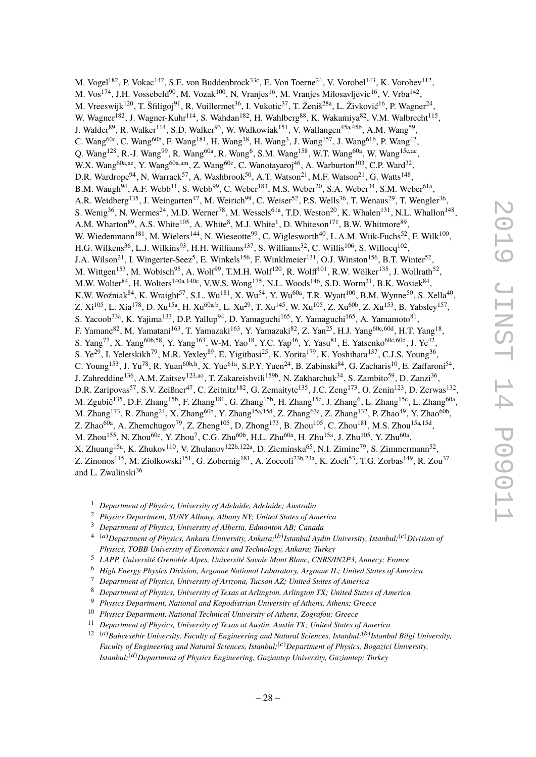M. Vogel<sup>182</sup>, P. Vokac<sup>142</sup>, S.E. von Buddenbrock<sup>33c</sup>, E. Von Toerne<sup>24</sup>, V. Vorobel<sup>143</sup>, K. Vorobev<sup>112</sup>, M. Vos<sup>174</sup>, J.H. Vossebeld<sup>90</sup>, M. Vozak<sup>100</sup>, N. Vranjes<sup>16</sup>, M. Vranjes Milosavljevic<sup>16</sup>, V. Vrba<sup>142</sup>, M. Vreeswijk<sup>120</sup>, T. Šfiligoj<sup>91</sup>, R. Vuillermet<sup>36</sup>, I. Vukotic<sup>37</sup>, T. Ženiš<sup>28a</sup>, L. Živković<sup>16</sup>, P. Wagner<sup>24</sup>, W. Wagner<sup>182</sup>, J. Wagner-Kuhr<sup>114</sup>, S. Wahdan<sup>182</sup>, H. Wahlberg<sup>88</sup>, K. Wakamiya<sup>82</sup>, V.M. Walbrecht<sup>115</sup>, J. Walder $^{89}$ , R. Walker $^{114}$ , S.D. Walker $^{93}$ , W. Walkowiak $^{151}$ , V. Wallangen $^{45$ a, $^{45}$ b, A.M. Wang $^{59}$ , C. Wang<sup>60c</sup>, C. Wang<sup>60b</sup>, F. Wang<sup>181</sup>, H. Wang<sup>18</sup>, H. Wang<sup>3</sup>, J. Wang<sup>157</sup>, J. Wang<sup>61b</sup>, P. Wang<sup>42</sup>, Q. Wang<sup>128</sup>, R.-J. Wang<sup>99</sup>, R. Wang<sup>60a</sup>, R. Wang<sup>6</sup>, S.M. Wang<sup>158</sup>, W.T. Wang<sup>60a</sup>, W. Wang<sup>15c,ae</sup>, W.X. Wang<sup>60a,ae</sup>, Y. Wang<sup>60a,am</sup>, Z. Wang<sup>60c</sup>, C. Wanotayaroj<sup>46</sup>, A. Warburton<sup>103</sup>, C.P. Ward<sup>32</sup>, D.R. Wardrope<sup>94</sup>, N. Warrack<sup>57</sup>, A. Washbrook<sup>50</sup>, A.T. Watson<sup>21</sup>, M.F. Watson<sup>21</sup>, G. Watts<sup>148</sup>, B.M. Waugh<sup>94</sup>, A.F. Webb<sup>11</sup>, S. Webb<sup>99</sup>, C. Weber<sup>183</sup>, M.S. Weber<sup>20</sup>, S.A. Weber<sup>34</sup>, S.M. Weber<sup>61a</sup>, A.R. Weidberg<sup>135</sup>, J. Weingarten<sup>47</sup>, M. Weirich<sup>99</sup>, C. Weiser<sup>52</sup>, P.S. Wells<sup>36</sup>, T. Wenaus<sup>29</sup>, T. Wengler<sup>36</sup>, S. Wenig<sup>36</sup>, N. Wermes<sup>24</sup>, M.D. Werner<sup>78</sup>, M. Wessels<sup>61a</sup>, T.D. Weston<sup>20</sup>, K. Whalen<sup>131</sup>, N.L. Whallon<sup>148</sup>, A.M. Wharton<sup>89</sup>, A.S. White<sup>105</sup>, A. White<sup>8</sup>, M.J. White<sup>1</sup>, D. Whiteson<sup>171</sup>, B.W. Whitmore<sup>89</sup>, W. Wiedenmann<sup>181</sup>, M. Wielers<sup>144</sup>, N. Wieseotte<sup>99</sup>, C. Wiglesworth<sup>40</sup>, L.A.M. Wiik-Fuchs<sup>52</sup>, F. Wilk<sup>100</sup>, H.G. Wilkens<sup>36</sup>, L.J. Wilkins<sup>93</sup>, H.H. Williams<sup>137</sup>, S. Williams<sup>32</sup>, C. Willis<sup>106</sup>, S. Willocq<sup>102</sup>, J.A. Wilson<sup>21</sup>, I. Wingerter-Seez<sup>5</sup>, E. Winkels<sup>156</sup>, F. Winklmeier<sup>131</sup>, O.J. Winston<sup>156</sup>, B.T. Winter<sup>52</sup>, M. Wittgen<sup>153</sup>, M. Wobisch<sup>95</sup>, A. Wolf<sup>99</sup>, T.M.H. Wolf<sup>120</sup>, R. Wolff<sup>101</sup>, R.W. Wölker<sup>135</sup>, J. Wollrath<sup>52</sup>, M.W. Wolter $^{84}$ , H. Wolters $^{140a,140c}$ , V.W.S. Wong $^{175}$ , N.L. Woods $^{146}$ , S.D. Worm $^{21}$ , B.K. Wosiek $^{84}$ , K.W. Woźniak $^{84}$ , K. Wraight $^{57}$ , S.L. Wu $^{181}$ , X. Wu $^{54}$ , Y. Wu $^{60a}$ , T.R. Wyatt $^{100}$ , B.M. Wynne $^{50}$ , S. Xella $^{40}$ ,  $Z. Xi^{105}$ , L. Xia<sup>178</sup>, D. Xu<sup>15a</sup>, H. Xu<sup>60a,b</sup>, L. Xu<sup>29</sup>, T. Xu<sup>145</sup>, W. Xu<sup>105</sup>, Z. Xu<sup>60b</sup>, Z. Xu<sup>153</sup>, B. Yabsley<sup>157</sup>, S. Yacoob<sup>33a</sup>, K. Yajima<sup>133</sup>, D.P. Yallup<sup>94</sup>, D. Yamaguchi<sup>165</sup>, Y. Yamaguchi<sup>165</sup>, A. Yamamoto<sup>81</sup>, F. Yamane $^{82}$ , M. Yamatani $^{163}$ , T. Yamazaki $^{163}$ , Y. Yamazaki $^{82}$ , Z. Yan<sup>25</sup>, H.J. Yang $^{60c,60d}$ , H.T. Yang $^{18}$ , S. Yang<sup>77</sup>, X. Yang<sup>60b,58</sup>, Y. Yang<sup>163</sup>, W-M. Yao<sup>18</sup>, Y.C. Yap<sup>46</sup>, Y. Yasu<sup>81</sup>, E. Yatsenko<sup>60c,60d</sup>, J. Ye<sup>42</sup>, S. Ye<sup>29</sup>, I. Yeletskikh<sup>79</sup>, M.R. Yexley<sup>89</sup>, E. Yigitbasi<sup>25</sup>, K. Yorita<sup>179</sup>, K. Yoshihara<sup>137</sup>, C.J.S. Young<sup>36</sup>, C. Young<sup>153</sup>, J. Yu<sup>78</sup>, R. Yuan<sup>60b,h</sup>, X. Yue<sup>61a</sup>, S.P.Y. Yuen<sup>24</sup>, B. Zabinski<sup>84</sup>, G. Zacharis<sup>10</sup>, E. Zaffaroni<sup>54</sup>, J. Zahreddine $^{136}$ , A.M. Zaitsev $^{123, ao}$ , T. Zakareishvili $^{159b}$ , N. Zakharchuk $^{34}$ , S. Zambito $^{59}$ , D. Zanzi $^{36}$ , D.R. Zaripovas<sup>57</sup>, S.V. Zeißner<sup>47</sup>, C. Zeitnitz<sup>182</sup>, G. Zemaityte<sup>135</sup>, J.C. Zeng<sup>173</sup>, O. Zenin<sup>123</sup>, D. Zerwas<sup>132</sup>, M. Zgubič<sup>135</sup>, D.F. Zhang<sup>15b</sup>, F. Zhang<sup>181</sup>, G. Zhang<sup>15b</sup>, H. Zhang<sup>15c</sup>, J. Zhang<sup>6</sup>, L. Zhang<sup>15c</sup>, L. Zhang<sup>60a</sup>, M. Zhang $^{173}$ , R. Zhang $^{24}$ , X. Zhang $^{60b}$ , Y. Zhang $^{15a,15d}$ , Z. Zhang $^{63a}$ , Z. Zhang $^{132}$ , P. Zhao $^{49}$ , Y. Zhao $^{60b}$ , Z. Zhao $^{60a}$ , A. Zhemchugov<sup>79</sup>, Z. Zheng<sup>105</sup>, D. Zhong<sup>173</sup>, B. Zhou<sup>105</sup>, C. Zhou<sup>181</sup>, M.S. Zhou<sup>15a,15d</sup>, M. Zhou<sup>155</sup>, N. Zhou<sup>60c</sup>, Y. Zhou<sup>7</sup>, C.G. Zhu<sup>60b</sup>, H.L. Zhu<sup>60a</sup>, H. Zhu<sup>15a</sup>, J. Zhu<sup>105</sup>, Y. Zhu<sup>60a</sup>, X. Zhuang<sup>15a</sup>, K. Zhukov<sup>110</sup>, V. Zhulanov<sup>122b,122a</sup>, D. Zieminska<sup>65</sup>, N.I. Zimine<sup>79</sup>, S. Zimmermann<sup>52</sup>, Z. Zinonos<sup>115</sup>, M. Ziolkowski<sup>151</sup>, G. Zobernig<sup>181</sup>, A. Zoccoli<sup>23b,23a</sup>, K. Zoch<sup>53</sup>, T.G. Zorbas<sup>149</sup>, R. Zou<sup>37</sup> and L. Zwalinski $36$ 

- <sup>1</sup> *Department of Physics, University of Adelaide, Adelaide; Australia*
- <sup>2</sup> *Physics Department, SUNY Albany, Albany NY; United States of America*
- <sup>3</sup> *Department of Physics, University of Alberta, Edmonton AB; Canada*
- <sup>4</sup> (a)Department of Physics, Ankara University, Ankara;<sup>(b)</sup>Istanbul Aydin University, Istanbul;<sup>(c)</sup>Division of *Physics, TOBB University of Economics and Technology, Ankara; Turkey*
- <sup>5</sup> *LAPP, Université Grenoble Alpes, Université Savoie Mont Blanc, CNRS/IN2P3, Annecy; France*
- <sup>6</sup> *High Energy Physics Division, Argonne National Laboratory, Argonne IL; United States of America*
- <sup>7</sup> *Department of Physics, University of Arizona, Tucson AZ; United States of America*
- <sup>8</sup> *Department of Physics, University of Texas at Arlington, Arlington TX; United States of America*
- <sup>9</sup> *Physics Department, National and Kapodistrian University of Athens, Athens; Greece*
- <sup>10</sup> *Physics Department, National Technical University of Athens, Zografou; Greece*
- <sup>11</sup> *Department of Physics, University of Texas at Austin, Austin TX; United States of America*
- <sup>12</sup> (a)*Bahcesehir University, Faculty of Engineering and Natural Sciences, Istanbul;*(b) *Istanbul Bilgi University, Faculty of Engineering and Natural Sciences, Istanbul;*(c)*Department of Physics, Bogazici University, Istanbul;*(d)*Department of Physics Engineering, Gaziantep University, Gaziantep; Turkey*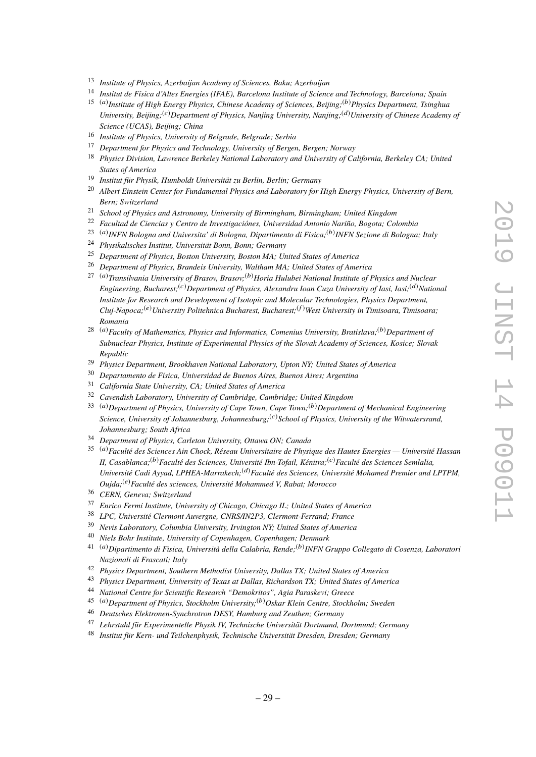- *Institute of Physics, Azerbaijan Academy of Sciences, Baku; Azerbaijan*
- *Institut de Física d'Altes Energies (IFAE), Barcelona Institute of Science and Technology, Barcelona; Spain*
- (a) *Institute of High Energy Physics, Chinese Academy of Sciences, Beijing;*(b)*Physics Department, Tsinghua University, Beijing;*(c)*Department of Physics, Nanjing University, Nanjing;*(d)*University of Chinese Academy of Science (UCAS), Beijing; China*
- *Institute of Physics, University of Belgrade, Belgrade; Serbia*
- *Department for Physics and Technology, University of Bergen, Bergen; Norway*
- *Physics Division, Lawrence Berkeley National Laboratory and University of California, Berkeley CA; United States of America*
- *Institut für Physik, Humboldt Universität zu Berlin, Berlin; Germany*
- *Albert Einstein Center for Fundamental Physics and Laboratory for High Energy Physics, University of Bern, Bern; Switzerland*
- *School of Physics and Astronomy, University of Birmingham, Birmingham; United Kingdom*
- *Facultad de Ciencias y Centro de Investigaciónes, Universidad Antonio Nariño, Bogota; Colombia*
- (a) *INFN Bologna and Universita' di Bologna, Dipartimento di Fisica;*(b) *INFN Sezione di Bologna; Italy*
- *Physikalisches Institut, Universität Bonn, Bonn; Germany*
- *Department of Physics, Boston University, Boston MA; United States of America*
- *Department of Physics, Brandeis University, Waltham MA; United States of America*
- (a)*Transilvania University of Brasov, Brasov;*(b)*Horia Hulubei National Institute of Physics and Nuclear Engineering, Bucharest;*(c)*Department of Physics, Alexandru Ioan Cuza University of Iasi, Iasi;*(d)*National Institute for Research and Development of Isotopic and Molecular Technologies, Physics Department, Cluj-Napoca;*(e)*University Politehnica Bucharest, Bucharest;*(<sup>f</sup> )*West University in Timisoara, Timisoara; Romania*
- (a)*Faculty of Mathematics, Physics and Informatics, Comenius University, Bratislava;*(b)*Department of Subnuclear Physics, Institute of Experimental Physics of the Slovak Academy of Sciences, Kosice; Slovak Republic*
- *Physics Department, Brookhaven National Laboratory, Upton NY; United States of America*
- *Departamento de Física, Universidad de Buenos Aires, Buenos Aires; Argentina*
- *California State University, CA; United States of America*
- *Cavendish Laboratory, University of Cambridge, Cambridge; United Kingdom*
- (a)*Department of Physics, University of Cape Town, Cape Town;*(b)*Department of Mechanical Engineering Science, University of Johannesburg, Johannesburg;*(c)*School of Physics, University of the Witwatersrand, Johannesburg; South Africa*
- *Department of Physics, Carleton University, Ottawa ON; Canada*
- (a)*Faculté des Sciences Ain Chock, Réseau Universitaire de Physique des Hautes Energies Université Hassan II, Casablanca;*(b)*Faculté des Sciences, Université Ibn-Tofail, Kénitra;*(c)*Faculté des Sciences Semlalia, Université Cadi Ayyad, LPHEA-Marrakech;*(d)*Faculté des Sciences, Université Mohamed Premier and LPTPM, Oujda;*(e)*Faculté des sciences, Université Mohammed V, Rabat; Morocco*
- *CERN, Geneva; Switzerland*
- *Enrico Fermi Institute, University of Chicago, Chicago IL; United States of America*
- *LPC, Université Clermont Auvergne, CNRS/IN2P3, Clermont-Ferrand; France*
- *Nevis Laboratory, Columbia University, Irvington NY; United States of America*
- *Niels Bohr Institute, University of Copenhagen, Copenhagen; Denmark*
- (a)*Dipartimento di Fisica, Università della Calabria, Rende;*(b) *INFN Gruppo Collegato di Cosenza, Laboratori Nazionali di Frascati; Italy*
- *Physics Department, Southern Methodist University, Dallas TX; United States of America*
- *Physics Department, University of Texas at Dallas, Richardson TX; United States of America*
- *National Centre for Scientific Research "Demokritos", Agia Paraskevi; Greece*
- (a)*Department of Physics, Stockholm University;*(b)*Oskar Klein Centre, Stockholm; Sweden*
- *Deutsches Elektronen-Synchrotron DESY, Hamburg and Zeuthen; Germany*
- *Lehrstuhl für Experimentelle Physik IV, Technische Universität Dortmund, Dortmund; Germany*
- *Institut für Kern- und Teilchenphysik, Technische Universität Dresden, Dresden; Germany*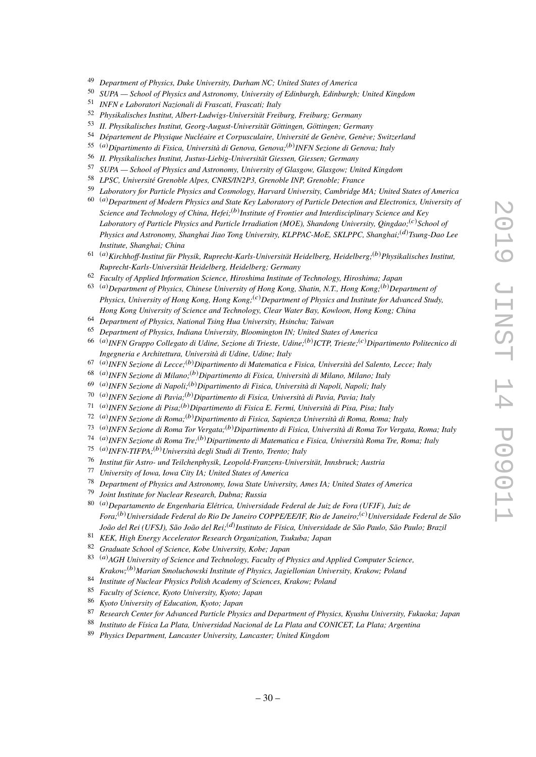- *Department of Physics, Duke University, Durham NC; United States of America*
- *SUPA School of Physics and Astronomy, University of Edinburgh, Edinburgh; United Kingdom*
- *INFN e Laboratori Nazionali di Frascati, Frascati; Italy*
- *Physikalisches Institut, Albert-Ludwigs-Universität Freiburg, Freiburg; Germany*
- *II. Physikalisches Institut, Georg-August-Universität Göttingen, Göttingen; Germany*
- *Département de Physique Nucléaire et Corpusculaire, Université de Genève, Genève; Switzerland*
- (a)*Dipartimento di Fisica, Università di Genova, Genova;*(b) *INFN Sezione di Genova; Italy*
- *II. Physikalisches Institut, Justus-Liebig-Universität Giessen, Giessen; Germany*
- *SUPA School of Physics and Astronomy, University of Glasgow, Glasgow; United Kingdom*
- *LPSC, Université Grenoble Alpes, CNRS/IN2P3, Grenoble INP, Grenoble; France*
- *Laboratory for Particle Physics and Cosmology, Harvard University, Cambridge MA; United States of America*
- (a)*Department of Modern Physics and State Key Laboratory of Particle Detection and Electronics, University of* Science and Technology of China, Hefei;<sup>(b)</sup>Institute of Frontier and Interdisciplinary Science and Key *Laboratory of Particle Physics and Particle Irradiation (MOE), Shandong University, Qingdao;*(c)*School of Physics and Astronomy, Shanghai Jiao Tong University, KLPPAC-MoE, SKLPPC, Shanghai;*(d)*Tsung-Dao Lee Institute, Shanghai; China*
- (a)*Kirchhoff-Institut für Physik, Ruprecht-Karls-Universität Heidelberg, Heidelberg;*(b)*Physikalisches Institut, Ruprecht-Karls-Universität Heidelberg, Heidelberg; Germany*
- *Faculty of Applied Information Science, Hiroshima Institute of Technology, Hiroshima; Japan*
- (a)*Department of Physics, Chinese University of Hong Kong, Shatin, N.T., Hong Kong;*(b)*Department of Physics, University of Hong Kong, Hong Kong;*(c)*Department of Physics and Institute for Advanced Study, Hong Kong University of Science and Technology, Clear Water Bay, Kowloon, Hong Kong; China*
- *Department of Physics, National Tsing Hua University, Hsinchu; Taiwan*
- *Department of Physics, Indiana University, Bloomington IN; United States of America*
- (a) *INFN Gruppo Collegato di Udine, Sezione di Trieste, Udine;*(b) *ICTP, Trieste;*(c)*Dipartimento Politecnico di Ingegneria e Architettura, Università di Udine, Udine; Italy*
- (a) *INFN Sezione di Lecce;*(b)*Dipartimento di Matematica e Fisica, Università del Salento, Lecce; Italy*
- (a) *INFN Sezione di Milano;*(b)*Dipartimento di Fisica, Università di Milano, Milano; Italy*
- (a) *INFN Sezione di Napoli;*(b)*Dipartimento di Fisica, Università di Napoli, Napoli; Italy*
- (a) *INFN Sezione di Pavia;*(b)*Dipartimento di Fisica, Università di Pavia, Pavia; Italy*
- (a) *INFN Sezione di Pisa;*(b)*Dipartimento di Fisica E. Fermi, Università di Pisa, Pisa; Italy*
- (a) *INFN Sezione di Roma;*(b)*Dipartimento di Fisica, Sapienza Università di Roma, Roma; Italy*
- (a) *INFN Sezione di Roma Tor Vergata;*(b)*Dipartimento di Fisica, Università di Roma Tor Vergata, Roma; Italy*
- (a) *INFN Sezione di Roma Tre;*(b)*Dipartimento di Matematica e Fisica, Università Roma Tre, Roma; Italy*
- (a) *INFN-TIFPA;*(b)*Università degli Studi di Trento, Trento; Italy*
- *Institut für Astro- und Teilchenphysik, Leopold-Franzens-Universität, Innsbruck; Austria*
- *University of Iowa, Iowa City IA; United States of America*
- *Department of Physics and Astronomy, Iowa State University, Ames IA; United States of America*
- *Joint Institute for Nuclear Research, Dubna; Russia*
- (a)*Departamento de Engenharia Elétrica, Universidade Federal de Juiz de Fora (UFJF), Juiz de Fora;*(b)*Universidade Federal do Rio De Janeiro COPPE/EE/IF, Rio de Janeiro;*(c)*Universidade Federal de São João del Rei (UFSJ), São João del Rei;*(d) *Instituto de Física, Universidade de São Paulo, São Paulo; Brazil*
- *KEK, High Energy Accelerator Research Organization, Tsukuba; Japan*
- *Graduate School of Science, Kobe University, Kobe; Japan*
- (a)*AGH University of Science and Technology, Faculty of Physics and Applied Computer Science, Krakow;*(b)*Marian Smoluchowski Institute of Physics, Jagiellonian University, Krakow; Poland*
- *Institute of Nuclear Physics Polish Academy of Sciences, Krakow; Poland*
- *Faculty of Science, Kyoto University, Kyoto; Japan*
- *Kyoto University of Education, Kyoto; Japan*
- *Research Center for Advanced Particle Physics and Department of Physics, Kyushu University, Fukuoka; Japan*
- *Instituto de Física La Plata, Universidad Nacional de La Plata and CONICET, La Plata; Argentina*
- *Physics Department, Lancaster University, Lancaster; United Kingdom*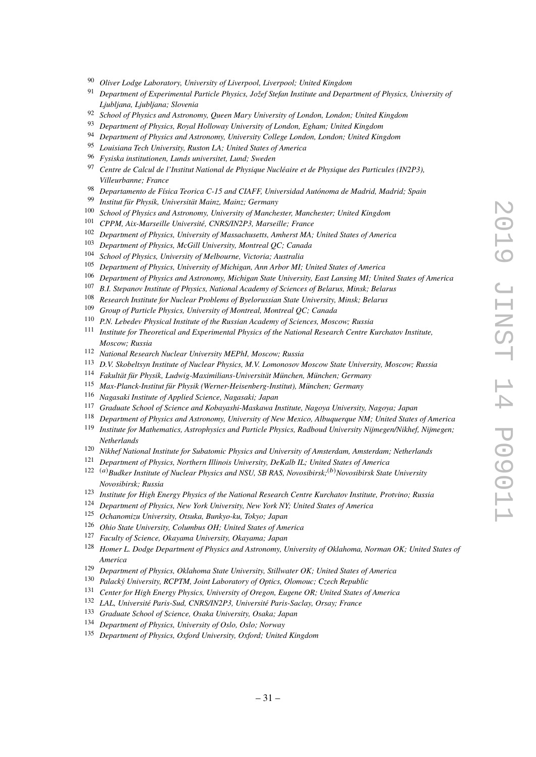- *Oliver Lodge Laboratory, University of Liverpool, Liverpool; United Kingdom*
- *Department of Experimental Particle Physics, Jožef Stefan Institute and Department of Physics, University of Ljubljana, Ljubljana; Slovenia*
- *School of Physics and Astronomy, Queen Mary University of London, London; United Kingdom*
- *Department of Physics, Royal Holloway University of London, Egham; United Kingdom*
- *Department of Physics and Astronomy, University College London, London; United Kingdom*
- *Louisiana Tech University, Ruston LA; United States of America*
- *Fysiska institutionen, Lunds universitet, Lund; Sweden*
- *Centre de Calcul de l'Institut National de Physique Nucléaire et de Physique des Particules (IN2P3), Villeurbanne; France*
- *Departamento de Física Teorica C-15 and CIAFF, Universidad Autónoma de Madrid, Madrid; Spain*
- *Institut für Physik, Universität Mainz, Mainz; Germany*
- *School of Physics and Astronomy, University of Manchester, Manchester; United Kingdom*
- *CPPM, Aix-Marseille Université, CNRS/IN2P3, Marseille; France*
- *Department of Physics, University of Massachusetts, Amherst MA; United States of America*
- *Department of Physics, McGill University, Montreal QC; Canada*
- *School of Physics, University of Melbourne, Victoria; Australia*
- *Department of Physics, University of Michigan, Ann Arbor MI; United States of America*
- *Department of Physics and Astronomy, Michigan State University, East Lansing MI; United States of America*
- *B.I. Stepanov Institute of Physics, National Academy of Sciences of Belarus, Minsk; Belarus*
- *Research Institute for Nuclear Problems of Byelorussian State University, Minsk; Belarus*
- *Group of Particle Physics, University of Montreal, Montreal QC; Canada*
- *P.N. Lebedev Physical Institute of the Russian Academy of Sciences, Moscow; Russia*
- *Institute for Theoretical and Experimental Physics of the National Research Centre Kurchatov Institute, Moscow; Russia*
- *National Research Nuclear University MEPhI, Moscow; Russia*
- *D.V. Skobeltsyn Institute of Nuclear Physics, M.V. Lomonosov Moscow State University, Moscow; Russia*
- *Fakultät für Physik, Ludwig-Maximilians-Universität München, München; Germany*
- *Max-Planck-Institut für Physik (Werner-Heisenberg-Institut), München; Germany*
- *Nagasaki Institute of Applied Science, Nagasaki; Japan*
- *Graduate School of Science and Kobayashi-Maskawa Institute, Nagoya University, Nagoya; Japan*
- *Department of Physics and Astronomy, University of New Mexico, Albuquerque NM; United States of America*
- *Institute for Mathematics, Astrophysics and Particle Physics, Radboud University Nijmegen/Nikhef, Nijmegen; Netherlands*
- *Nikhef National Institute for Subatomic Physics and University of Amsterdam, Amsterdam; Netherlands*
- *Department of Physics, Northern Illinois University, DeKalb IL; United States of America*
- (a)*Budker Institute of Nuclear Physics and NSU, SB RAS, Novosibirsk;*(b)*Novosibirsk State University Novosibirsk; Russia*
- *Institute for High Energy Physics of the National Research Centre Kurchatov Institute, Protvino; Russia*
- *Department of Physics, New York University, New York NY; United States of America*
- *Ochanomizu University, Otsuka, Bunkyo-ku, Tokyo; Japan*
- *Ohio State University, Columbus OH; United States of America*
- *Faculty of Science, Okayama University, Okayama; Japan*
- *Homer L. Dodge Department of Physics and Astronomy, University of Oklahoma, Norman OK; United States of America*
- *Department of Physics, Oklahoma State University, Stillwater OK; United States of America*
- *Palacký University, RCPTM, Joint Laboratory of Optics, Olomouc; Czech Republic*
- *Center for High Energy Physics, University of Oregon, Eugene OR; United States of America*
- *LAL, Université Paris-Sud, CNRS/IN2P3, Université Paris-Saclay, Orsay; France*
- *Graduate School of Science, Osaka University, Osaka; Japan*
- *Department of Physics, University of Oslo, Oslo; Norway*
- *Department of Physics, Oxford University, Oxford; United Kingdom*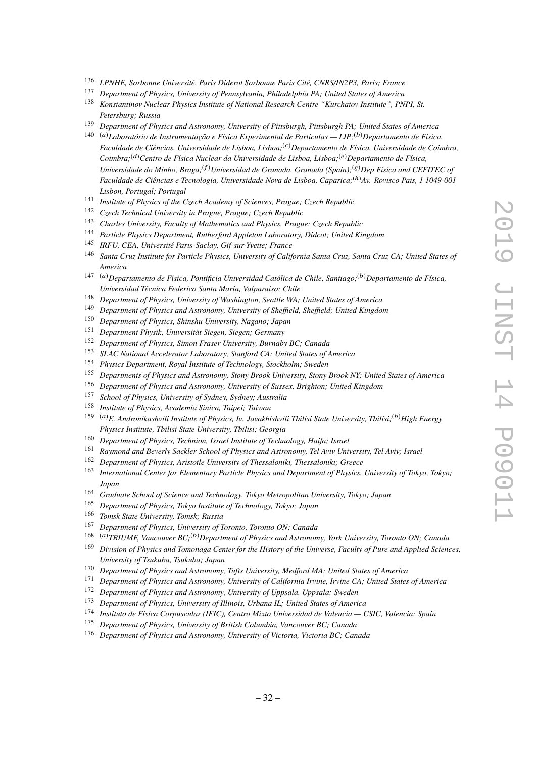- *LPNHE, Sorbonne Université, Paris Diderot Sorbonne Paris Cité, CNRS/IN2P3, Paris; France*
- *Department of Physics, University of Pennsylvania, Philadelphia PA; United States of America*
- *Konstantinov Nuclear Physics Institute of National Research Centre "Kurchatov Institute", PNPI, St. Petersburg; Russia*
- *Department of Physics and Astronomy, University of Pittsburgh, Pittsburgh PA; United States of America*
- (a)*Laboratório de Instrumentação e Física Experimental de Partículas LIP;*(b)*Departamento de Física, Faculdade de Ciências, Universidade de Lisboa, Lisboa;*(c)*Departamento de Física, Universidade de Coimbra, Coimbra;*(d)*Centro de Física Nuclear da Universidade de Lisboa, Lisboa;*(e)*Departamento de Física, Universidade do Minho, Braga;*<sup>(f)</sup>*Universidad de Granada, Granada (Spain)*;<sup>(g)</sup>*Dep Física and CEFITEC of Faculdade de Ciências e Tecnologia, Universidade Nova de Lisboa, Caparica;*(h)*Av. Rovisco Pais, 1 1049-001 Lisbon, Portugal; Portugal*
- *Institute of Physics of the Czech Academy of Sciences, Prague; Czech Republic*
- *Czech Technical University in Prague, Prague; Czech Republic*
- *Charles University, Faculty of Mathematics and Physics, Prague; Czech Republic*
- *Particle Physics Department, Rutherford Appleton Laboratory, Didcot; United Kingdom*
- *IRFU, CEA, Université Paris-Saclay, Gif-sur-Yvette; France*
- *Santa Cruz Institute for Particle Physics, University of California Santa Cruz, Santa Cruz CA; United States of America*
- (a)*Departamento de Física, Pontificia Universidad Católica de Chile, Santiago;*(b)*Departamento de Física, Universidad Técnica Federico Santa María, Valparaíso; Chile*
- *Department of Physics, University of Washington, Seattle WA; United States of America*
- *Department of Physics and Astronomy, University of Sheffield, Sheffield; United Kingdom*
- *Department of Physics, Shinshu University, Nagano; Japan*
- *Department Physik, Universität Siegen, Siegen; Germany*
- *Department of Physics, Simon Fraser University, Burnaby BC; Canada*
- *SLAC National Accelerator Laboratory, Stanford CA; United States of America*
- *Physics Department, Royal Institute of Technology, Stockholm; Sweden*
- *Departments of Physics and Astronomy, Stony Brook University, Stony Brook NY; United States of America*
- *Department of Physics and Astronomy, University of Sussex, Brighton; United Kingdom*
- *School of Physics, University of Sydney, Sydney; Australia*
- *Institute of Physics, Academia Sinica, Taipei; Taiwan*
- (a)*E. Andronikashvili Institute of Physics, Iv. Javakhishvili Tbilisi State University, Tbilisi;*(b)*High Energy Physics Institute, Tbilisi State University, Tbilisi; Georgia*
- *Department of Physics, Technion, Israel Institute of Technology, Haifa; Israel*
- *Raymond and Beverly Sackler School of Physics and Astronomy, Tel Aviv University, Tel Aviv; Israel*
- *Department of Physics, Aristotle University of Thessaloniki, Thessaloniki; Greece*
- *International Center for Elementary Particle Physics and Department of Physics, University of Tokyo, Tokyo; Japan*
- *Graduate School of Science and Technology, Tokyo Metropolitan University, Tokyo; Japan*
- *Department of Physics, Tokyo Institute of Technology, Tokyo; Japan*
- *Tomsk State University, Tomsk; Russia*
- *Department of Physics, University of Toronto, Toronto ON; Canada*
- (a)*TRIUMF, Vancouver BC;*(b)*Department of Physics and Astronomy, York University, Toronto ON; Canada*
- *Division of Physics and Tomonaga Center for the History of the Universe, Faculty of Pure and Applied Sciences, University of Tsukuba, Tsukuba; Japan*
- *Department of Physics and Astronomy, Tufts University, Medford MA; United States of America*
- *Department of Physics and Astronomy, University of California Irvine, Irvine CA; United States of America*
- <sup>172</sup> *Department of Physics and Astronomy, University of Uppsala, Uppsala; Sweden*<br><sup>173</sup> *Department of Physics University of Illinois Urbang II : United States of Ameri*
- *Department of Physics, University of Illinois, Urbana IL; United States of America*
- *Instituto de Física Corpuscular (IFIC), Centro Mixto Universidad de Valencia CSIC, Valencia; Spain*
- *Department of Physics, University of British Columbia, Vancouver BC; Canada*
- *Department of Physics and Astronomy, University of Victoria, Victoria BC; Canada*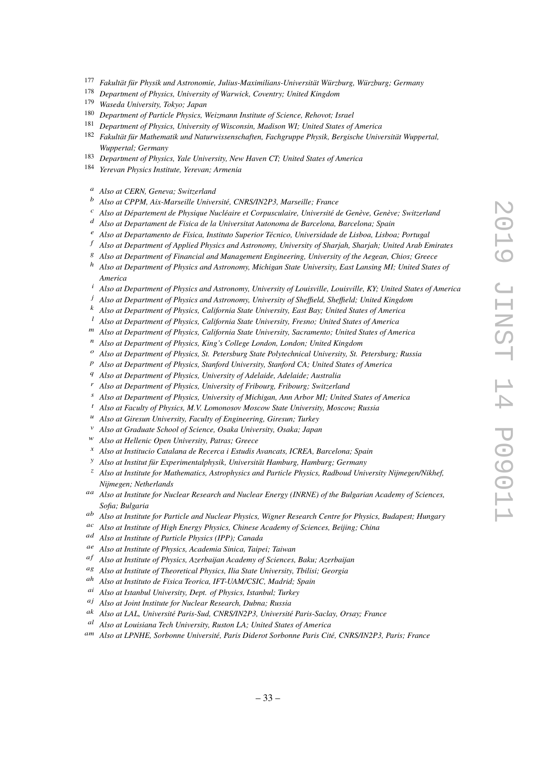- <sup>177</sup> *Fakultät für Physik und Astronomie, Julius-Maximilians-Universität Würzburg, Würzburg; Germany*
- <sup>178</sup> *Department of Physics, University of Warwick, Coventry; United Kingdom*
- <sup>179</sup> *Waseda University, Tokyo; Japan*
- <sup>180</sup> *Department of Particle Physics, Weizmann Institute of Science, Rehovot; Israel*
- <sup>181</sup> *Department of Physics, University of Wisconsin, Madison WI; United States of America*
- <sup>182</sup> *Fakultät für Mathematik und Naturwissenschaften, Fachgruppe Physik, Bergische Universität Wuppertal, Wuppertal; Germany*
- <sup>183</sup> *Department of Physics, Yale University, New Haven CT; United States of America*
- <sup>184</sup> *Yerevan Physics Institute, Yerevan; Armenia*
- <sup>a</sup> *Also at CERN, Geneva; Switzerland*
- <sup>b</sup> *Also at CPPM, Aix-Marseille Université, CNRS/IN2P3, Marseille; France*
- <sup>c</sup> *Also at Département de Physique Nucléaire et Corpusculaire, Université de Genève, Genève; Switzerland*
- <sup>d</sup> *Also at Departament de Fisica de la Universitat Autonoma de Barcelona, Barcelona; Spain*
- <sup>e</sup> *Also at Departamento de Física, Instituto Superior Técnico, Universidade de Lisboa, Lisboa; Portugal*
- <sup>f</sup> *Also at Department of Applied Physics and Astronomy, University of Sharjah, Sharjah; United Arab Emirates*
- <sup>g</sup> *Also at Department of Financial and Management Engineering, University of the Aegean, Chios; Greece*
- <sup>h</sup> *Also at Department of Physics and Astronomy, Michigan State University, East Lansing MI; United States of America*
- <sup>i</sup> *Also at Department of Physics and Astronomy, University of Louisville, Louisville, KY; United States of America*
- <sup>j</sup> *Also at Department of Physics and Astronomy, University of Sheffield, Sheffield; United Kingdom*
- <sup>k</sup> *Also at Department of Physics, California State University, East Bay; United States of America*
- <sup>l</sup> *Also at Department of Physics, California State University, Fresno; United States of America*
- <sup>m</sup> *Also at Department of Physics, California State University, Sacramento; United States of America*
- <sup>n</sup> *Also at Department of Physics, King's College London, London; United Kingdom*
- <sup>o</sup> *Also at Department of Physics, St. Petersburg State Polytechnical University, St. Petersburg; Russia*
- <sup>p</sup> *Also at Department of Physics, Stanford University, Stanford CA; United States of America*
- <sup>q</sup> *Also at Department of Physics, University of Adelaide, Adelaide; Australia*
- <sup>r</sup> *Also at Department of Physics, University of Fribourg, Fribourg; Switzerland*
- <sup>s</sup> *Also at Department of Physics, University of Michigan, Ann Arbor MI; United States of America*
- <sup>t</sup> *Also at Faculty of Physics, M.V. Lomonosov Moscow State University, Moscow; Russia*
- <sup>u</sup> *Also at Giresun University, Faculty of Engineering, Giresun; Turkey*
- <sup>v</sup> *Also at Graduate School of Science, Osaka University, Osaka; Japan*
- Also at Hellenic Open University, Patras; Greece
- <sup>x</sup> *Also at Institucio Catalana de Recerca i Estudis Avancats, ICREA, Barcelona; Spain*
- <sup>y</sup> *Also at Institut für Experimentalphysik, Universität Hamburg, Hamburg; Germany*
- <sup>z</sup> *Also at Institute for Mathematics, Astrophysics and Particle Physics, Radboud University Nijmegen/Nikhef, Nijmegen; Netherlands*
- aa *Also at Institute for Nuclear Research and Nuclear Energy (INRNE) of the Bulgarian Academy of Sciences, Sofia; Bulgaria*
- ab *Also at Institute for Particle and Nuclear Physics, Wigner Research Centre for Physics, Budapest; Hungary*
- ac *Also at Institute of High Energy Physics, Chinese Academy of Sciences, Beijing; China*
- ad *Also at Institute of Particle Physics (IPP); Canada*
- ae *Also at Institute of Physics, Academia Sinica, Taipei; Taiwan*
- af Also at Institute of Physics, Azerbaijan Academy of Sciences, Baku; Azerbaijan
- ag *Also at Institute of Theoretical Physics, Ilia State University, Tbilisi; Georgia*
- ah *Also at Instituto de Fisica Teorica, IFT-UAM/CSIC, Madrid; Spain*
- ai *Also at Istanbul University, Dept. of Physics, Istanbul; Turkey*
- aj Also at Joint Institute for Nuclear Research, Dubna; Russia
- ak *Also at LAL, Université Paris-Sud, CNRS/IN2P3, Université Paris-Saclay, Orsay; France*
- al *Also at Louisiana Tech University, Ruston LA; United States of America*
- am *Also at LPNHE, Sorbonne Université, Paris Diderot Sorbonne Paris Cité, CNRS/IN2P3, Paris; France*